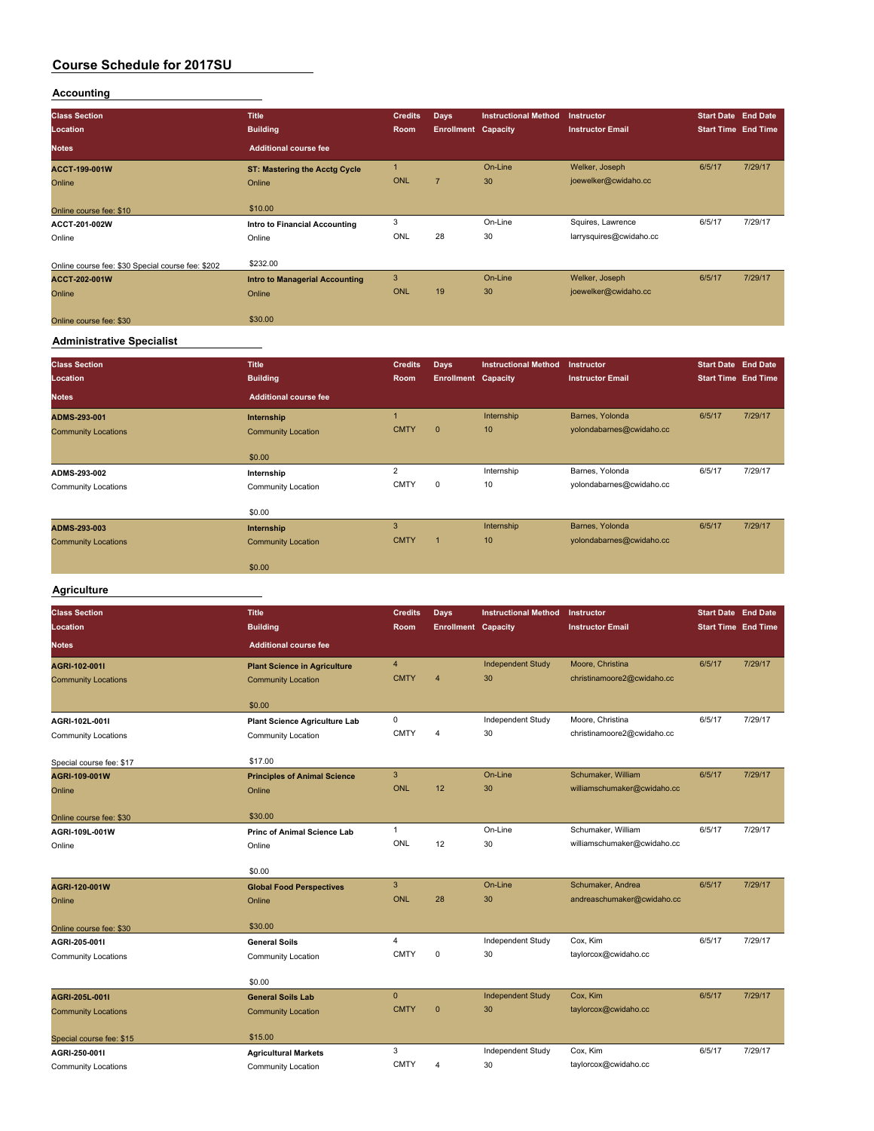### **Accounting**

| <b>Class Section</b><br>Location                  | <b>Title</b><br><b>Building</b>                | <b>Credits</b><br>Room     | Days<br><b>Enrollment Capacity</b> | <b>Instructional Method</b> | Instructor<br><b>Instructor Email</b>  | <b>Start Date End Date</b><br><b>Start Time End Time</b> |         |
|---------------------------------------------------|------------------------------------------------|----------------------------|------------------------------------|-----------------------------|----------------------------------------|----------------------------------------------------------|---------|
| <b>Notes</b>                                      | <b>Additional course fee</b>                   |                            |                                    |                             |                                        |                                                          |         |
| ACCT-199-001W<br>Online                           | <b>ST: Mastering the Acctg Cycle</b><br>Online | $\mathbf{1}$<br><b>ONL</b> | $\overline{7}$                     | On-Line<br>30               | Welker, Joseph<br>joewelker@cwidaho.cc | 6/5/17                                                   | 7/29/17 |
| Online course fee: \$10                           | \$10.00                                        |                            |                                    |                             |                                        |                                                          |         |
| ACCT-201-002W                                     | <b>Intro to Financial Accounting</b>           | 3                          |                                    | On-Line                     | Squires, Lawrence                      | 6/5/17                                                   | 7/29/17 |
| Online                                            | Online                                         | <b>ONL</b>                 | 28                                 | 30                          | larrysquires@cwidaho.cc                |                                                          |         |
| Online course fee: \$30 Special course fee: \$202 | \$232.00                                       |                            |                                    |                             |                                        |                                                          |         |
| ACCT-202-001W                                     | <b>Intro to Managerial Accounting</b>          | $\overline{3}$             |                                    | On-Line                     | Welker, Joseph                         | 6/5/17                                                   | 7/29/17 |
| Online                                            | Online                                         | <b>ONL</b>                 | 19                                 | 30                          | joewelker@cwidaho.cc                   |                                                          |         |
| Online course fee: \$30                           | \$30.00                                        |                            |                                    |                             |                                        |                                                          |         |
| <b>Administrative Specialist</b>                  |                                                |                            |                                    |                             |                                        |                                                          |         |
| <b>Class Section</b>                              | <b>Title</b>                                   | <b>Credits</b>             | Days                               | <b>Instructional Method</b> | Instructor                             | <b>Start Date End Date</b>                               |         |
|                                                   |                                                |                            |                                    |                             |                                        |                                                          |         |
| Location                                          | <b>Building</b>                                | Room                       | <b>Enrollment Capacity</b>         |                             | <b>Instructor Email</b>                | <b>Start Time End Time</b>                               |         |
| <b>Notes</b>                                      | <b>Additional course fee</b>                   |                            |                                    |                             |                                        |                                                          |         |
| ADMS-293-001                                      | Internship                                     | $\mathbf{1}$               |                                    | Internship                  | Barnes, Yolonda                        | 6/5/17                                                   | 7/29/17 |
| <b>Community Locations</b>                        | <b>Community Location</b>                      | <b>CMTY</b>                | $\overline{0}$                     | 10                          | yolondabarnes@cwidaho.cc               |                                                          |         |
|                                                   | \$0.00                                         |                            |                                    |                             |                                        |                                                          |         |
| ADMS-293-002                                      | Internship                                     | $\overline{2}$             |                                    | Internship                  | Barnes, Yolonda                        | 6/5/17                                                   | 7/29/17 |
| <b>Community Locations</b>                        | <b>Community Location</b>                      | <b>CMTY</b>                | $\mathbf 0$                        | 10                          | yolondabarnes@cwidaho.cc               |                                                          |         |
|                                                   | \$0.00                                         |                            |                                    |                             |                                        |                                                          |         |
| ADMS-293-003                                      | Internship                                     | 3                          |                                    | Internship                  | Barnes, Yolonda                        | 6/5/17                                                   | 7/29/17 |
| <b>Community Locations</b>                        | <b>Community Location</b>                      | <b>CMTY</b>                | $\overline{1}$                     | 10                          | yolondabarnes@cwidaho.cc               |                                                          |         |
|                                                   | \$0.00                                         |                            |                                    |                             |                                        |                                                          |         |

# **Class Section Title Credits Days Instructional Method Instructor Start Date End Date Location Building Room Enrollment Capacity Instructor Email Start Time End Time Notes Additional course fee AGRI-102-001I Plant Science in Agriculture** 4 Independent Study Moore, Christina 6/5/17 7/29/17 Community Locations Community Location Community Location CMTY 4 30 christinamoore2@cwidaho.cc \$0.00 **AGRI-102L-001I Plant Science Agriculture Lab** 0 Independent Study Moore, Christina 6/5/17 7/29/17<br> **Community Locations** Community Location CMTY 4 30 christinamoore2@cwidaho.cc Community Locations Community Location CMTY 4 30 christinamoore2@cwidaho.cc Special course fee: \$17 \$17.00 **AGRI-109-001W Principles of Animal Science** 3 On-Line Schumaker, William 6/5/17 7/29/17 Online Online ONL 12 30 williamschumaker@cwidaho.cc Online course fee: \$30 \$30.00 **AGRI-109L-001W Princ of Animal Science Lab** 1 On-Line Schumaker, William 6/5/17 7/29/17 Online Online ONL 12 30 williamschumaker@cwidaho.cc \$0.00 **AGRI-120-001W Global Food Perspectives** 3 On-Line Schumaker, Andrea 6/5/17 7/29/17 Online Online ONL 28 30 andreaschumaker@cwidaho.cc Online course fee: \$30 \$30.00 **AGRI-205-001I General Soils** 4 Independent Study Cox, Kim 6/5/17 7/29/17 Community Locations Community Location CMTY 0 30 taylorcox@cwidaho.cc \$0.00 **AGRI-205L-001I General Soils Lab** 0 Independent Study Cox, Kim 6/5/17 7/29/17 Community Locations Community Location Community Location CMTY 0 30 taylorcox@cwidaho.cc Special course fee: \$15

**AGRI-250-001I Agricultural Markets** 3 Independent Study Cox, Kim 6/5/17 7/29/17 Community Locations Community Location CMTY 4 30 taylorcox@cwidaho.cc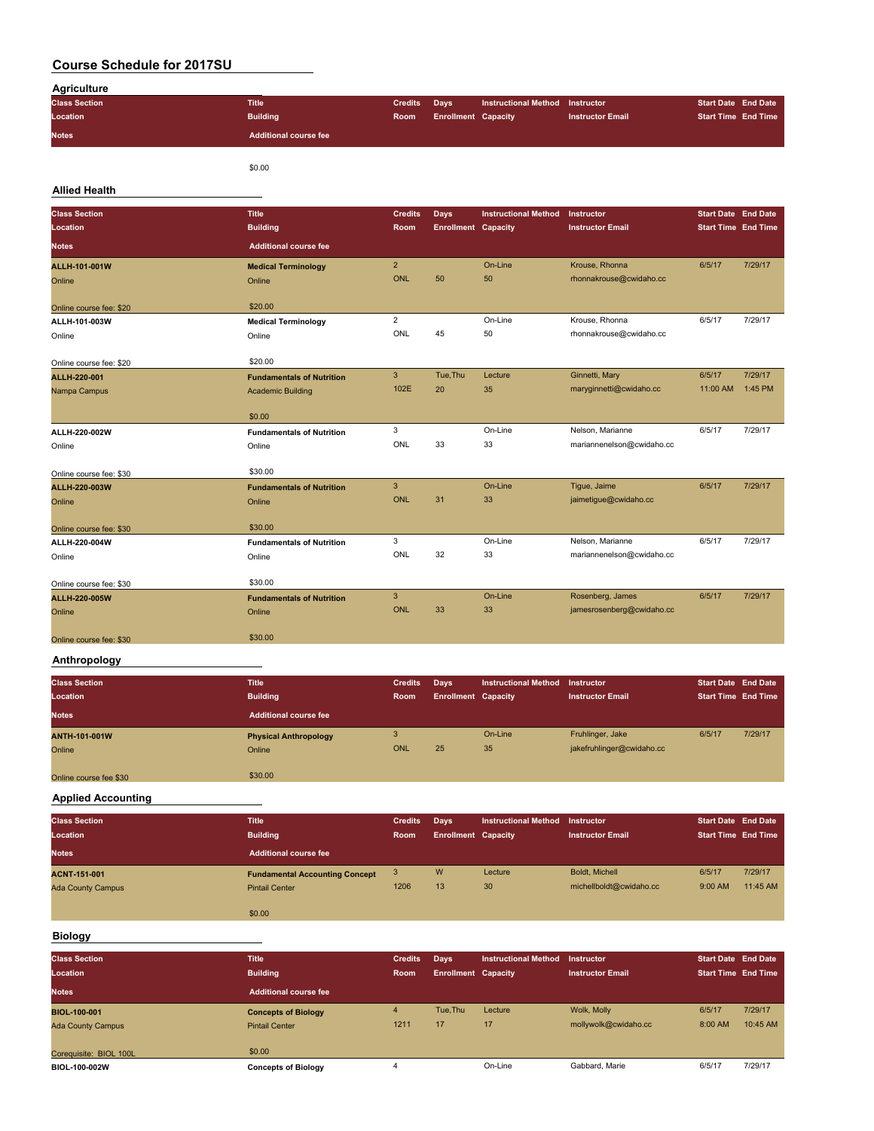| <b>Agriculture</b>   |                              |                |                            |                                 |                         |                            |  |
|----------------------|------------------------------|----------------|----------------------------|---------------------------------|-------------------------|----------------------------|--|
| <b>Class Section</b> | <b>Title</b>                 | <b>Credits</b> | Days                       | Instructional Method Instructor |                         | <b>Start Date End Date</b> |  |
| Location             | <b>Building</b>              | Room           | <b>Enrollment Capacity</b> |                                 | <b>Instructor Email</b> | <b>Start Time End Time</b> |  |
| <b>Notes</b>         | <b>Additional course fee</b> |                |                            |                                 |                         |                            |  |
|                      |                              |                |                            |                                 |                         |                            |  |

\$0.00

### **Allied Health**

| <b>Class Section</b>    | <b>Title</b>                     | <b>Credits</b> | <b>Days</b>                | <b>Instructional Method</b> | Instructor                | <b>Start Date End Date</b> |         |
|-------------------------|----------------------------------|----------------|----------------------------|-----------------------------|---------------------------|----------------------------|---------|
| Location                | <b>Building</b>                  | Room           | <b>Enrollment Capacity</b> |                             | <b>Instructor Email</b>   | <b>Start Time End Time</b> |         |
| <b>Notes</b>            | <b>Additional course fee</b>     |                |                            |                             |                           |                            |         |
| ALLH-101-001W           | <b>Medical Terminology</b>       | $\overline{2}$ |                            | On-Line                     | Krouse, Rhonna            | 6/5/17                     | 7/29/17 |
| Online                  | Online                           | <b>ONL</b>     | 50                         | 50                          | rhonnakrouse@cwidaho.cc   |                            |         |
| Online course fee: \$20 | \$20.00                          |                |                            |                             |                           |                            |         |
| ALLH-101-003W           | <b>Medical Terminology</b>       | $\overline{2}$ |                            | On-Line                     | Krouse, Rhonna            | 6/5/17                     | 7/29/17 |
| Online                  | Online                           | ONL            | 45                         | 50                          | rhonnakrouse@cwidaho.cc   |                            |         |
|                         |                                  |                |                            |                             |                           |                            |         |
| Online course fee: \$20 | \$20.00                          |                |                            |                             |                           |                            |         |
| ALLH-220-001            | <b>Fundamentals of Nutrition</b> | 3              | Tue.Thu                    | Lecture                     | Ginnetti, Mary            | 6/5/17                     | 7/29/17 |
| Nampa Campus            | <b>Academic Building</b>         | 102E           | 20                         | 35                          | maryginnetti@cwidaho.cc   | 11:00 AM                   | 1:45 PM |
|                         |                                  |                |                            |                             |                           |                            |         |
|                         | \$0.00                           |                |                            |                             |                           |                            |         |
| ALLH-220-002W           | <b>Fundamentals of Nutrition</b> | 3              |                            | On-Line                     | Nelson, Marianne          | 6/5/17                     | 7/29/17 |
| Online                  | Online                           | ONL            | 33                         | 33                          | mariannenelson@cwidaho.cc |                            |         |
|                         |                                  |                |                            |                             |                           |                            |         |
| Online course fee: \$30 | \$30.00                          |                |                            |                             |                           |                            |         |
| ALLH-220-003W           | <b>Fundamentals of Nutrition</b> | $\mathbf{3}$   |                            | On-Line                     | Tique, Jaime              | 6/5/17                     | 7/29/17 |
| Online                  | Online                           | <b>ONL</b>     | 31                         | 33                          | jaimetigue@cwidaho.cc     |                            |         |
|                         |                                  |                |                            |                             |                           |                            |         |
| Online course fee: \$30 | \$30.00                          |                |                            |                             |                           |                            |         |
| ALLH-220-004W           | <b>Fundamentals of Nutrition</b> | 3              |                            | On-Line                     | Nelson, Marianne          | 6/5/17                     | 7/29/17 |
| Online                  | Online                           | ONL            | 32                         | 33                          | mariannenelson@cwidaho.cc |                            |         |
|                         | \$30.00                          |                |                            |                             |                           |                            |         |
| Online course fee: \$30 |                                  | $\mathbf{3}$   |                            | On-Line                     | Rosenberg, James          | 6/5/17                     | 7/29/17 |
| ALLH-220-005W           | <b>Fundamentals of Nutrition</b> | ONL            | 33                         | 33                          | jamesrosenberg@cwidaho.cc |                            |         |
| Online                  | Online                           |                |                            |                             |                           |                            |         |
| Online course fee: \$30 | \$30.00                          |                |                            |                             |                           |                            |         |
|                         |                                  |                |                            |                             |                           |                            |         |

### **Anthropology**

| <b>Class Section</b>   | <b>Title</b>                 | <b>Credits</b> | Days                       | Instructional Method | Instructor                | <b>Start Date End Date</b> |         |
|------------------------|------------------------------|----------------|----------------------------|----------------------|---------------------------|----------------------------|---------|
| Location               | <b>Building</b>              | Room           | <b>Enrollment Capacity</b> |                      | <b>Instructor Email</b>   | <b>Start Time End Time</b> |         |
| <b>Notes</b>           | <b>Additional course fee</b> |                |                            |                      |                           |                            |         |
| ANTH-101-001W          | <b>Physical Anthropology</b> |                |                            | On-Line              | Fruhlinger, Jake          | 6/5/17                     | 7/29/17 |
| Online                 | Online                       | ONL            | 25                         | 35                   | jakefruhlinger@cwidaho.cc |                            |         |
|                        |                              |                |                            |                      |                           |                            |         |
| Online course fee \$30 | \$30.00                      |                |                            |                      |                           |                            |         |

#### **Applied Accounting**

| <b>Class Section</b><br>Location | <b>Title</b><br><b>Building</b>       | <b>Credits</b><br>Room | Days<br><b>Enrollment Capacity</b> | <b>Instructional Method</b> | Instructor<br><b>Instructor Email</b> | <b>Start Date End Date</b><br><b>Start Time End Time</b> |          |
|----------------------------------|---------------------------------------|------------------------|------------------------------------|-----------------------------|---------------------------------------|----------------------------------------------------------|----------|
| <b>Notes</b>                     | <b>Additional course fee</b>          |                        |                                    |                             |                                       |                                                          |          |
| <b>ACNT-151-001</b>              | <b>Fundamental Accounting Concept</b> | 3                      | W                                  | Lecture                     | Boldt, Michell                        | 6/5/17                                                   | 7/29/17  |
| <b>Ada County Campus</b>         | <b>Pintail Center</b>                 | 1206                   | 13                                 | 30                          | michellboldt@cwidaho.cc               | 9:00 AM                                                  | 11:45 AM |
|                                  | \$0.00                                |                        |                                    |                             |                                       |                                                          |          |

### **Biology**

| <b>Class Section</b><br>Location<br><b>Notes</b> | <b>Title</b><br><b>Building</b><br>Additional course fee | <b>Credits</b><br>Room | Days<br><b>Enrollment Capacity</b> | <b>Instructional Method</b> | Instructor<br><b>Instructor Email</b> | <b>Start Date End Date</b><br><b>Start Time End Time</b> |                     |
|--------------------------------------------------|----------------------------------------------------------|------------------------|------------------------------------|-----------------------------|---------------------------------------|----------------------------------------------------------|---------------------|
| <b>BIOL-100-001</b><br><b>Ada County Campus</b>  | <b>Concepts of Biology</b><br><b>Pintail Center</b>      | 4<br>1211              | Tue.Thu<br>17                      | Lecture<br>17               | Wolk, Molly<br>mollywolk@cwidaho.cc   | 6/5/17<br>8:00 AM                                        | 7/29/17<br>10:45 AM |
| Corequisite: BIOL 100L<br>BIOL-100-002W          | \$0.00<br><b>Concepts of Biology</b>                     |                        |                                    | On-Line                     | Gabbard, Marie                        | 6/5/17                                                   | 7/29/17             |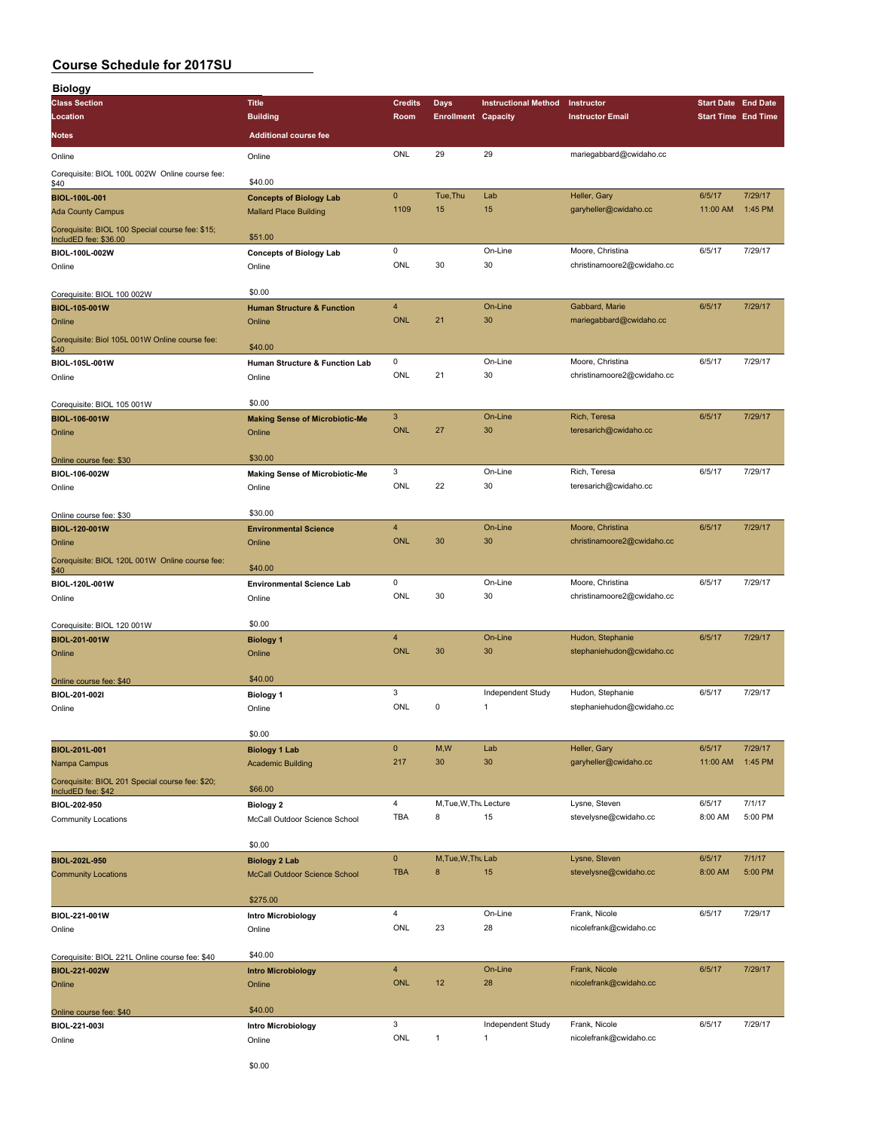| <b>Biology</b>                                                           |                                                                 |                              |                            |                             |                                                |                            |         |
|--------------------------------------------------------------------------|-----------------------------------------------------------------|------------------------------|----------------------------|-----------------------------|------------------------------------------------|----------------------------|---------|
| <b>Class Section</b>                                                     | <b>Title</b>                                                    | <b>Credits</b>               | Days                       | <b>Instructional Method</b> | Instructor                                     | <b>Start Date End Date</b> |         |
| Location                                                                 | <b>Building</b>                                                 | Room                         | <b>Enrollment Capacity</b> |                             | <b>Instructor Email</b>                        | <b>Start Time End Time</b> |         |
| <b>Notes</b>                                                             | <b>Additional course fee</b>                                    |                              |                            |                             |                                                |                            |         |
| Online                                                                   | Online                                                          | ONL                          | 29                         | 29                          | mariegabbard@cwidaho.cc                        |                            |         |
| Corequisite: BIOL 100L 002W Online course fee:                           |                                                                 |                              |                            |                             |                                                |                            |         |
| \$40                                                                     | \$40.00                                                         | $\pmb{0}$                    | Tue, Thu                   | Lab                         | Heller, Gary                                   | 6/5/17                     | 7/29/17 |
| <b>BIOL-100L-001</b><br><b>Ada County Campus</b>                         | <b>Concepts of Biology Lab</b><br><b>Mallard Place Building</b> | 1109                         | 15                         | 15                          | garyheller@cwidaho.cc                          | 11:00 AM                   | 1:45 PM |
|                                                                          |                                                                 |                              |                            |                             |                                                |                            |         |
| Corequisite: BIOL 100 Special course fee: \$15;<br>IncludED fee: \$36.00 | \$51.00                                                         |                              |                            |                             |                                                |                            |         |
| BIOL-100L-002W                                                           | <b>Concepts of Biology Lab</b>                                  | 0                            |                            | On-Line                     | Moore, Christina                               | 6/5/17                     | 7/29/17 |
| Online                                                                   | Online                                                          | ONL                          | 30                         | 30                          | christinamoore2@cwidaho.cc                     |                            |         |
| Corequisite: BIOL 100 002W                                               | \$0.00                                                          |                              |                            |                             |                                                |                            |         |
| BIOL-105-001W                                                            | <b>Human Structure &amp; Function</b>                           | 4                            |                            | On-Line                     | Gabbard, Marie                                 | 6/5/17                     | 7/29/17 |
| Online                                                                   | Online                                                          | <b>ONL</b>                   | 21                         | 30                          | mariegabbard@cwidaho.cc                        |                            |         |
| Corequisite: Biol 105L 001W Online course fee:                           |                                                                 |                              |                            |                             |                                                |                            |         |
| \$40                                                                     | \$40.00                                                         | 0                            |                            | On-Line                     | Moore, Christina                               | 6/5/17                     | 7/29/17 |
| BIOL-105L-001W<br>Online                                                 | Human Structure & Function Lab<br>Online                        | ONL                          | 21                         | 30                          | christinamoore2@cwidaho.cc                     |                            |         |
|                                                                          |                                                                 |                              |                            |                             |                                                |                            |         |
| Corequisite: BIOL 105 001W                                               | \$0.00                                                          |                              |                            |                             |                                                |                            |         |
| BIOL-106-001W                                                            | <b>Making Sense of Microbiotic-Me</b>                           | 3                            |                            | On-Line                     | Rich, Teresa                                   | 6/5/17                     | 7/29/17 |
| Online                                                                   | Online                                                          | <b>ONL</b>                   | 27                         | 30                          | teresarich@cwidaho.cc                          |                            |         |
| Online course fee: \$30                                                  | \$30.00                                                         |                              |                            |                             |                                                |                            |         |
| BIOL-106-002W                                                            | <b>Making Sense of Microbiotic-Me</b>                           | 3                            |                            | On-Line                     | Rich, Teresa                                   | 6/5/17                     | 7/29/17 |
| Online                                                                   | Online                                                          | ONL                          | 22                         | 30                          | teresarich@cwidaho.cc                          |                            |         |
|                                                                          |                                                                 |                              |                            |                             |                                                |                            |         |
| Online course fee: \$30                                                  | \$30.00                                                         |                              |                            |                             |                                                |                            |         |
| BIOL-120-001W                                                            | <b>Environmental Science</b>                                    | $\overline{4}$<br><b>ONL</b> | 30                         | On-Line<br>30               | Moore, Christina<br>christinamoore2@cwidaho.cc | 6/5/17                     | 7/29/17 |
| Online                                                                   | Online                                                          |                              |                            |                             |                                                |                            |         |
| Corequisite: BIOL 120L 001W Online course fee:<br>\$40                   | \$40.00                                                         |                              |                            |                             |                                                |                            |         |
| BIOL-120L-001W                                                           | <b>Environmental Science Lab</b>                                | 0                            |                            | On-Line                     | Moore, Christina                               | 6/5/17                     | 7/29/17 |
| Online                                                                   | Online                                                          | ONL                          | 30                         | 30                          | christinamoore2@cwidaho.cc                     |                            |         |
|                                                                          |                                                                 |                              |                            |                             |                                                |                            |         |
| Corequisite: BIOL 120 001W                                               | \$0.00                                                          | $\overline{4}$               |                            | On-Line                     | Hudon, Stephanie                               | 6/5/17                     | 7/29/17 |
| BIOL-201-001W<br>Online                                                  | <b>Biology 1</b><br>Online                                      | <b>ONL</b>                   | 30                         | 30                          | stephaniehudon@cwidaho.cc                      |                            |         |
|                                                                          |                                                                 |                              |                            |                             |                                                |                            |         |
| Online course fee: \$40                                                  | \$40.00                                                         |                              |                            |                             |                                                |                            |         |
| BIOL-201-002I                                                            | <b>Biology 1</b>                                                | 3                            |                            | Independent Study           | Hudon, Stephanie                               | 6/5/17                     | 7/29/17 |
| Online                                                                   | Online                                                          | ONL                          | 0                          | 1                           | stephaniehudon@cwidaho.cc                      |                            |         |
|                                                                          | \$0.00                                                          |                              |                            |                             |                                                |                            |         |
| BIOL-201L-001                                                            | <b>Biology 1 Lab</b>                                            | $\pmb{0}$                    | M,W                        | Lab                         | Heller, Gary                                   | 6/5/17                     | 7/29/17 |
| Nampa Campus                                                             | <b>Academic Building</b>                                        | 217                          | 30                         | 30                          | garyheller@cwidaho.cc                          | 11:00 AM                   | 1:45 PM |
| Corequisite: BIOL 201 Special course fee: \$20;                          |                                                                 |                              |                            |                             |                                                |                            |         |
| IncludED fee: \$42                                                       | \$66.00                                                         | 4                            | M, Tue, W, Thu Lecture     |                             |                                                |                            | 7/1/17  |
| BIOL-202-950<br><b>Community Locations</b>                               | <b>Biology 2</b><br>McCall Outdoor Science School               | <b>TBA</b>                   | 8                          | 15                          | Lysne, Steven<br>stevelysne@cwidaho.cc         | 6/5/17<br>8:00 AM          | 5:00 PM |
|                                                                          |                                                                 |                              |                            |                             |                                                |                            |         |
|                                                                          | \$0.00                                                          |                              |                            |                             |                                                |                            |         |
| BIOL-202L-950                                                            | <b>Biology 2 Lab</b>                                            | $\pmb{0}$                    | M, Tue, W, Thu Lab         |                             | Lysne, Steven                                  | 6/5/17                     | 7/1/17  |
| <b>Community Locations</b>                                               | McCall Outdoor Science School                                   | <b>TBA</b>                   | $\bf 8$                    | 15                          | stevelysne@cwidaho.cc                          | 8:00 AM                    | 5:00 PM |
|                                                                          | \$275.00                                                        |                              |                            |                             |                                                |                            |         |
| BIOL-221-001W                                                            | <b>Intro Microbiology</b>                                       | 4                            |                            | On-Line                     | Frank, Nicole                                  | 6/5/17                     | 7/29/17 |
| Online                                                                   | Online                                                          | ONL                          | 23                         | 28                          | nicolefrank@cwidaho.cc                         |                            |         |
|                                                                          |                                                                 |                              |                            |                             |                                                |                            |         |
| Corequisite: BIOL 221L Online course fee: \$40                           | \$40.00                                                         |                              |                            |                             |                                                |                            |         |
| BIOL-221-002W                                                            | <b>Intro Microbiology</b>                                       | $\overline{4}$               |                            | On-Line                     | Frank, Nicole                                  | 6/5/17                     | 7/29/17 |
| Online                                                                   | Online                                                          | <b>ONL</b>                   | 12                         | 28                          | nicolefrank@cwidaho.cc                         |                            |         |
| Online course fee: \$40                                                  | \$40.00                                                         |                              |                            |                             |                                                |                            |         |
| BIOL-221-003I                                                            | <b>Intro Microbiology</b>                                       | 3                            |                            | Independent Study           | Frank, Nicole                                  | 6/5/17                     | 7/29/17 |
| Online                                                                   | Online                                                          | ONL                          | 1                          | 1                           | nicolefrank@cwidaho.cc                         |                            |         |
|                                                                          |                                                                 |                              |                            |                             |                                                |                            |         |
|                                                                          | \$0.00                                                          |                              |                            |                             |                                                |                            |         |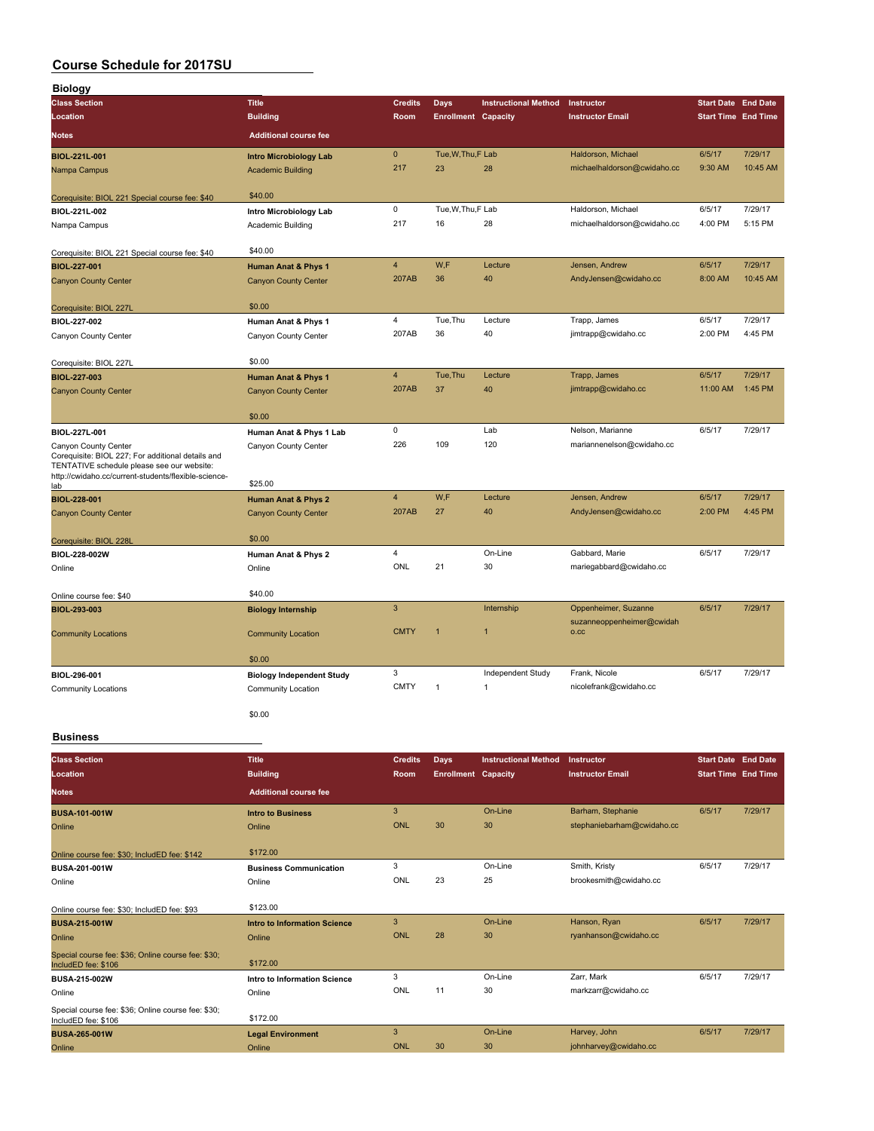| <b>Biology</b>                                                                                                                                                                  |                                  |                         |                            |                             |                                                   |                            |          |
|---------------------------------------------------------------------------------------------------------------------------------------------------------------------------------|----------------------------------|-------------------------|----------------------------|-----------------------------|---------------------------------------------------|----------------------------|----------|
| <b>Class Section</b>                                                                                                                                                            | <b>Title</b>                     | <b>Credits</b>          | <b>Days</b>                | <b>Instructional Method</b> | Instructor                                        | <b>Start Date End Date</b> |          |
| Location                                                                                                                                                                        | <b>Building</b>                  | Room                    | <b>Enrollment Capacity</b> |                             | <b>Instructor Email</b>                           | <b>Start Time End Time</b> |          |
| <b>Notes</b>                                                                                                                                                                    | <b>Additional course fee</b>     |                         |                            |                             |                                                   |                            |          |
| BIOL-221L-001                                                                                                                                                                   | <b>Intro Microbiology Lab</b>    | $\mathbf 0$             | Tue, W, Thu, F Lab         |                             | Haldorson, Michael                                | 6/5/17                     | 7/29/17  |
| Nampa Campus                                                                                                                                                                    | <b>Academic Building</b>         | 217                     | 23                         | 28                          | michaelhaldorson@cwidaho.cc                       | 9:30 AM                    | 10:45 AM |
| Corequisite: BIOL 221 Special course fee: \$40                                                                                                                                  | \$40.00                          |                         |                            |                             |                                                   |                            |          |
| BIOL-221L-002                                                                                                                                                                   | Intro Microbiology Lab           | $\mathsf 0$             | Tue, W, Thu, F Lab         |                             | Haldorson, Michael                                | 6/5/17                     | 7/29/17  |
| Nampa Campus                                                                                                                                                                    | Academic Building                | 217                     | 16                         | 28                          | michaelhaldorson@cwidaho.cc                       | 4:00 PM                    | 5:15 PM  |
| Corequisite: BIOL 221 Special course fee: \$40                                                                                                                                  | \$40.00                          |                         |                            |                             |                                                   |                            |          |
| <b>BIOL-227-001</b>                                                                                                                                                             | <b>Human Anat &amp; Phys 1</b>   | $\overline{\mathbf{4}}$ | W,F                        | Lecture                     | Jensen, Andrew                                    | 6/5/17                     | 7/29/17  |
| <b>Canyon County Center</b>                                                                                                                                                     | <b>Canyon County Center</b>      | 207AB                   | 36                         | 40                          | AndyJensen@cwidaho.cc                             | 8:00 AM                    | 10:45 AM |
| Corequisite: BIOL 227L                                                                                                                                                          | \$0.00                           |                         |                            |                             |                                                   |                            |          |
| BIOL-227-002                                                                                                                                                                    | Human Anat & Phys 1              | 4                       | Tue, Thu                   | Lecture                     | Trapp, James                                      | 6/5/17                     | 7/29/17  |
| Canyon County Center                                                                                                                                                            | Canyon County Center             | 207AB                   | 36                         | 40                          | jimtrapp@cwidaho.cc                               | 2:00 PM                    | 4:45 PM  |
| Corequisite: BIOL 227L                                                                                                                                                          | \$0.00                           |                         |                            |                             |                                                   |                            |          |
| <b>BIOL-227-003</b>                                                                                                                                                             | <b>Human Anat &amp; Phys 1</b>   | $\overline{\mathbf{4}}$ | Tue, Thu                   | Lecture                     | Trapp, James                                      | 6/5/17                     | 7/29/17  |
| <b>Canyon County Center</b>                                                                                                                                                     | <b>Canyon County Center</b>      | 207AB                   | 37                         | 40                          | jimtrapp@cwidaho.cc                               | 11:00 AM                   | 1:45 PM  |
|                                                                                                                                                                                 | \$0.00                           |                         |                            |                             |                                                   |                            |          |
| BIOL-227L-001                                                                                                                                                                   | Human Anat & Phys 1 Lab          | 0                       |                            | Lab                         | Nelson, Marianne                                  | 6/5/17                     | 7/29/17  |
| Canyon County Center<br>Corequisite: BIOL 227; For additional details and<br>TENTATIVE schedule please see our website:<br>http://cwidaho.cc/current-students/flexible-science- | Canyon County Center             | 226                     | 109                        | 120                         | mariannenelson@cwidaho.cc                         |                            |          |
| lab                                                                                                                                                                             | \$25.00                          |                         |                            |                             |                                                   |                            |          |
| <b>BIOL-228-001</b>                                                                                                                                                             | Human Anat & Phys 2              | $\overline{4}$          | W,F                        | Lecture                     | Jensen, Andrew                                    | 6/5/17                     | 7/29/17  |
| <b>Canyon County Center</b>                                                                                                                                                     | <b>Canyon County Center</b>      | 207AB                   | 27                         | 40                          | AndyJensen@cwidaho.cc                             | 2:00 PM                    | 4:45 PM  |
| Corequisite: BIOL 228L                                                                                                                                                          | \$0.00                           |                         |                            |                             |                                                   |                            |          |
| BIOL-228-002W                                                                                                                                                                   | Human Anat & Phys 2              | 4                       |                            | On-Line                     | Gabbard, Marie                                    | 6/5/17                     | 7/29/17  |
| Online                                                                                                                                                                          | Online                           | ONL                     | 21                         | 30                          | mariegabbard@cwidaho.cc                           |                            |          |
| Online course fee: \$40                                                                                                                                                         | \$40.00                          |                         |                            |                             |                                                   |                            |          |
| BIOL-293-003                                                                                                                                                                    | <b>Biology Internship</b>        | 3                       |                            | Internship                  | Oppenheimer, Suzanne<br>suzanneoppenheimer@cwidah | 6/5/17                     | 7/29/17  |
| <b>Community Locations</b>                                                                                                                                                      | <b>Community Location</b>        | <b>CMTY</b>             | $\overline{1}$             | $\overline{1}$              | O.CC                                              |                            |          |
|                                                                                                                                                                                 | \$0.00                           |                         |                            |                             |                                                   |                            |          |
| BIOL-296-001                                                                                                                                                                    | <b>Biology Independent Study</b> | 3                       |                            | Independent Study           | Frank, Nicole                                     | 6/5/17                     | 7/29/17  |
| <b>Community Locations</b>                                                                                                                                                      | <b>Community Location</b>        | <b>CMTY</b>             | $\mathbf{1}$               | $\overline{1}$              | nicolefrank@cwidaho.cc                            |                            |          |
|                                                                                                                                                                                 | \$0.00                           |                         |                            |                             |                                                   |                            |          |

#### **Business**

| <b>Class Section</b><br>Location                                          | <b>Title</b><br><b>Building</b> | <b>Credits</b><br>Room | <b>Days</b><br><b>Enrollment Capacity</b> | <b>Instructional Method</b> | Instructor<br><b>Instructor Email</b> | <b>Start Date End Date</b><br><b>Start Time End Time</b> |         |
|---------------------------------------------------------------------------|---------------------------------|------------------------|-------------------------------------------|-----------------------------|---------------------------------------|----------------------------------------------------------|---------|
| <b>Notes</b>                                                              | <b>Additional course fee</b>    |                        |                                           |                             |                                       |                                                          |         |
| <b>BUSA-101-001W</b>                                                      | <b>Intro to Business</b>        | 3                      |                                           | On-Line                     | Barham, Stephanie                     | 6/5/17                                                   | 7/29/17 |
| Online                                                                    | Online                          | ONL                    | 30                                        | 30                          | stephaniebarham@cwidaho.cc            |                                                          |         |
| Online course fee: \$30; IncludED fee: \$142                              | \$172.00                        |                        |                                           |                             |                                       |                                                          |         |
| BUSA-201-001W                                                             | <b>Business Communication</b>   | 3                      |                                           | On-Line                     | Smith, Kristy                         | 6/5/17                                                   | 7/29/17 |
| Online                                                                    | Online                          | ONL                    | 23                                        | 25                          | brookesmith@cwidaho.cc                |                                                          |         |
| Online course fee: \$30: IncludED fee: \$93                               | \$123.00                        |                        |                                           |                             |                                       |                                                          |         |
| <b>BUSA-215-001W</b>                                                      | Intro to Information Science    | 3                      |                                           | On-Line                     | Hanson, Ryan                          | 6/5/17                                                   | 7/29/17 |
| Online                                                                    | Online                          | ONL                    | 28                                        | 30                          | ryanhanson@cwidaho.cc                 |                                                          |         |
| Special course fee: \$36; Online course fee: \$30;<br>IncludED fee: \$106 | \$172.00                        |                        |                                           |                             |                                       |                                                          |         |
| <b>BUSA-215-002W</b>                                                      | Intro to Information Science    | 3                      |                                           | On-Line                     | Zarr, Mark                            | 6/5/17                                                   | 7/29/17 |
| Online                                                                    | Online                          | ONL                    | 11                                        | 30                          | markzarr@cwidaho.cc                   |                                                          |         |
| Special course fee: \$36; Online course fee: \$30;<br>IncludED fee: \$106 | \$172.00                        |                        |                                           |                             |                                       |                                                          |         |
| <b>BUSA-265-001W</b>                                                      | <b>Legal Environment</b>        | 3                      |                                           | On-Line                     | Harvey, John                          | 6/5/17                                                   | 7/29/17 |
| Online                                                                    | Online                          | ONL                    | 30                                        | 30                          | johnharvey@cwidaho.cc                 |                                                          |         |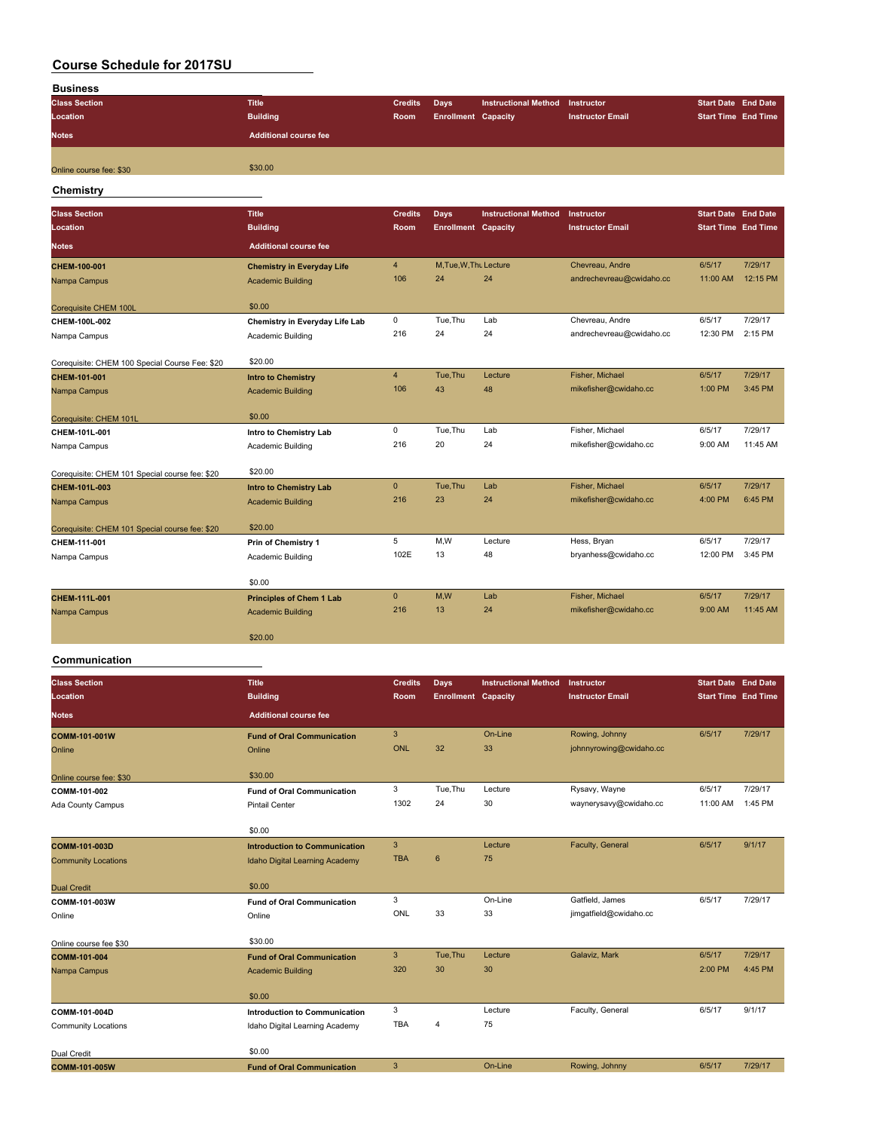| <b>Business</b>         |                              |                |                            |                                 |                         |                            |                            |
|-------------------------|------------------------------|----------------|----------------------------|---------------------------------|-------------------------|----------------------------|----------------------------|
| <b>Class Section</b>    | <b>Title</b>                 | <b>Credits</b> | Days                       | Instructional Method Instructor |                         | <b>Start Date End Date</b> |                            |
| Location                | <b>Building</b>              | Room           | <b>Enrollment Capacity</b> |                                 | <b>Instructor Email</b> |                            | <b>Start Time End Time</b> |
| <b>Notes</b>            | <b>Additional course fee</b> |                |                            |                                 |                         |                            |                            |
| Online course fee: \$30 | \$30.00                      |                |                            |                                 |                         |                            |                            |
| Chemistry               |                              |                |                            |                                 |                         |                            |                            |

| <b>Class Section</b>                           | <b>Title</b>                      | <b>Credits</b> | <b>Days</b>                | <b>Instructional Method</b> | Instructor               | <b>Start Date End Date</b> |          |
|------------------------------------------------|-----------------------------------|----------------|----------------------------|-----------------------------|--------------------------|----------------------------|----------|
| Location                                       | <b>Building</b>                   | Room           | <b>Enrollment Capacity</b> |                             | <b>Instructor Email</b>  | <b>Start Time</b> End Time |          |
| <b>Notes</b>                                   | <b>Additional course fee</b>      |                |                            |                             |                          |                            |          |
| CHEM-100-001                                   | <b>Chemistry in Everyday Life</b> | $\overline{4}$ | M, Tue, W, Thu Lecture     |                             | Chevreau, Andre          | 6/5/17                     | 7/29/17  |
| Nampa Campus                                   | <b>Academic Building</b>          | 106            | 24                         | 24                          | andrechevreau@cwidaho.cc | 11:00 AM                   | 12:15 PM |
| Corequisite CHEM 100L                          | \$0.00                            |                |                            |                             |                          |                            |          |
| CHEM-100L-002                                  | Chemistry in Everyday Life Lab    | 0              | Tue, Thu                   | Lab                         | Chevreau, Andre          | 6/5/17                     | 7/29/17  |
| Nampa Campus                                   | Academic Building                 | 216            | 24                         | 24                          | andrechevreau@cwidaho.cc | 12:30 PM                   | 2:15 PM  |
| Corequisite: CHEM 100 Special Course Fee: \$20 | \$20.00                           |                |                            |                             |                          |                            |          |
| CHEM-101-001                                   | <b>Intro to Chemistry</b>         | $\overline{4}$ | Tue.Thu                    | Lecture                     | Fisher, Michael          | 6/5/17                     | 7/29/17  |
| Nampa Campus                                   | <b>Academic Building</b>          | 106            | 43                         | 48                          | mikefisher@cwidaho.cc    | 1:00 PM                    | 3:45 PM  |
| Corequisite: CHEM 101L                         | \$0.00                            |                |                            |                             |                          |                            |          |
| CHEM-101L-001                                  | Intro to Chemistry Lab            | 0              | Tue, Thu                   | Lab                         | Fisher, Michael          | 6/5/17                     | 7/29/17  |
| Nampa Campus                                   | Academic Building                 | 216            | 20                         | 24                          | mikefisher@cwidaho.cc    | 9:00 AM                    | 11:45 AM |
| Corequisite: CHEM 101 Special course fee: \$20 | \$20.00                           |                |                            |                             |                          |                            |          |
| CHEM-101L-003                                  | <b>Intro to Chemistry Lab</b>     | $\mathbf{0}$   | Tue, Thu                   | Lab                         | Fisher, Michael          | 6/5/17                     | 7/29/17  |
| Nampa Campus                                   | <b>Academic Building</b>          | 216            | 23                         | 24                          | mikefisher@cwidaho.cc    | 4:00 PM                    | 6:45 PM  |
| Corequisite: CHEM 101 Special course fee: \$20 | \$20.00                           |                |                            |                             |                          |                            |          |
| CHEM-111-001                                   | Prin of Chemistry 1               | 5              | M,W                        | Lecture                     | Hess, Bryan              | 6/5/17                     | 7/29/17  |
| Nampa Campus                                   | Academic Building                 | 102E           | 13                         | 48                          | bryanhess@cwidaho.cc     | 12:00 PM                   | 3:45 PM  |
|                                                | \$0.00                            |                |                            |                             |                          |                            |          |
| CHEM-111L-001                                  | <b>Principles of Chem 1 Lab</b>   | $\mathbf{0}$   | M,W                        | Lab                         | Fisher, Michael          | 6/5/17                     | 7/29/17  |
| Nampa Campus                                   | <b>Academic Building</b>          | 216            | 13                         | 24                          | mikefisher@cwidaho.cc    | 9:00 AM                    | 11:45 AM |
|                                                | \$20.00                           |                |                            |                             |                          |                            |          |
|                                                |                                   |                |                            |                             |                          |                            |          |

### **Communication**

| <b>Class Section</b><br>Location | <b>Title</b><br><b>Building</b>       | <b>Credits</b><br>Room | <b>Days</b><br><b>Enrollment Capacity</b> | <b>Instructional Method</b> | Instructor<br><b>Instructor Email</b> | <b>Start Date End Date</b><br><b>Start Time End Time</b> |         |
|----------------------------------|---------------------------------------|------------------------|-------------------------------------------|-----------------------------|---------------------------------------|----------------------------------------------------------|---------|
| <b>Notes</b>                     | <b>Additional course fee</b>          |                        |                                           |                             |                                       |                                                          |         |
| COMM-101-001W                    | <b>Fund of Oral Communication</b>     | 3                      |                                           | On-Line                     | Rowing, Johnny                        | 6/5/17                                                   | 7/29/17 |
| Online                           | Online                                | <b>ONL</b>             | 32                                        | 33                          | johnnyrowing@cwidaho.cc               |                                                          |         |
| Online course fee: \$30          | \$30.00                               |                        |                                           |                             |                                       |                                                          |         |
| COMM-101-002                     | <b>Fund of Oral Communication</b>     | 3                      | Tue, Thu                                  | Lecture                     | Rysavy, Wayne                         | 6/5/17                                                   | 7/29/17 |
| Ada County Campus                | <b>Pintail Center</b>                 | 1302                   | 24                                        | 30                          | waynerysavy@cwidaho.cc                | 11:00 AM                                                 | 1:45 PM |
|                                  | \$0.00                                |                        |                                           |                             |                                       |                                                          |         |
| COMM-101-003D                    | <b>Introduction to Communication</b>  | $\mathbf{3}$           |                                           | Lecture                     | Faculty, General                      | 6/5/17                                                   | 9/1/17  |
| <b>Community Locations</b>       | <b>Idaho Digital Learning Academy</b> | <b>TBA</b>             | $6\phantom{1}$                            | 75                          |                                       |                                                          |         |
| <b>Dual Credit</b>               | \$0.00                                |                        |                                           |                             |                                       |                                                          |         |
| COMM-101-003W                    | <b>Fund of Oral Communication</b>     | 3                      |                                           | On-Line                     | Gatfield, James                       | 6/5/17                                                   | 7/29/17 |
| Online                           | Online                                | ONL                    | 33                                        | 33                          | jimgatfield@cwidaho.cc                |                                                          |         |
| Online course fee \$30           | \$30.00                               |                        |                                           |                             |                                       |                                                          |         |
| COMM-101-004                     | <b>Fund of Oral Communication</b>     | 3                      | Tue, Thu                                  | Lecture                     | Galaviz, Mark                         | 6/5/17                                                   | 7/29/17 |
| Nampa Campus                     | <b>Academic Building</b>              | 320                    | 30                                        | 30                          |                                       | 2:00 PM                                                  | 4:45 PM |
|                                  | \$0.00                                |                        |                                           |                             |                                       |                                                          |         |
| COMM-101-004D                    | <b>Introduction to Communication</b>  | 3                      |                                           | Lecture                     | Faculty, General                      | 6/5/17                                                   | 9/1/17  |
| <b>Community Locations</b>       | Idaho Digital Learning Academy        | <b>TBA</b>             | 4                                         | 75                          |                                       |                                                          |         |
| Dual Credit                      | \$0.00                                |                        |                                           |                             |                                       |                                                          |         |
| COMM-101-005W                    | <b>Fund of Oral Communication</b>     | $\mathbf{3}$           |                                           | On-Line                     | Rowing, Johnny                        | 6/5/17                                                   | 7/29/17 |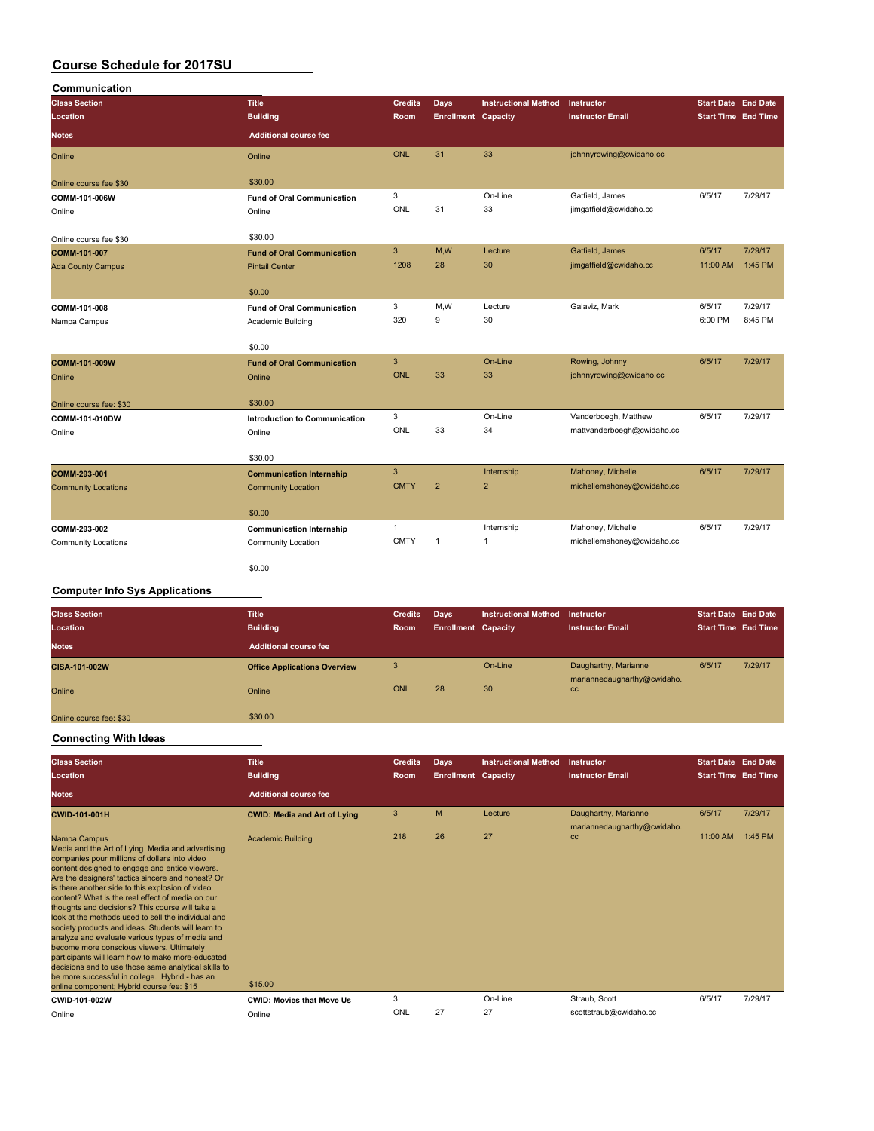| Communication              |                                      |                |                            |                             |                            |          |                            |
|----------------------------|--------------------------------------|----------------|----------------------------|-----------------------------|----------------------------|----------|----------------------------|
| <b>Class Section</b>       | <b>Title</b>                         | <b>Credits</b> | <b>Days</b>                | <b>Instructional Method</b> | Instructor                 |          | <b>Start Date End Date</b> |
| Location                   | <b>Building</b>                      | Room           | <b>Enrollment Capacity</b> |                             | <b>Instructor Email</b>    |          | <b>Start Time End Time</b> |
| <b>Notes</b>               | <b>Additional course fee</b>         |                |                            |                             |                            |          |                            |
| Online                     | Online                               | <b>ONL</b>     | 31                         | 33                          | johnnyrowing@cwidaho.cc    |          |                            |
| Online course fee \$30     | \$30.00                              |                |                            |                             |                            |          |                            |
| COMM-101-006W              | <b>Fund of Oral Communication</b>    | 3              |                            | On-Line                     | Gatfield, James            | 6/5/17   | 7/29/17                    |
| Online                     | Online                               | ONL            | 31                         | 33                          | jimgatfield@cwidaho.cc     |          |                            |
| Online course fee \$30     | \$30.00                              |                |                            |                             |                            |          |                            |
| COMM-101-007               | <b>Fund of Oral Communication</b>    | 3              | M,W                        | Lecture                     | Gatfield, James            | 6/5/17   | 7/29/17                    |
| <b>Ada County Campus</b>   | <b>Pintail Center</b>                | 1208           | 28                         | 30                          | jimgatfield@cwidaho.cc     | 11:00 AM | 1:45 PM                    |
|                            | \$0.00                               |                |                            |                             |                            |          |                            |
| COMM-101-008               | <b>Fund of Oral Communication</b>    | 3              | M,W                        | Lecture                     | Galaviz, Mark              | 6/5/17   | 7/29/17                    |
| Nampa Campus               | Academic Building                    | 320            | 9                          | 30                          |                            | 6:00 PM  | 8:45 PM                    |
|                            | \$0.00                               |                |                            |                             |                            |          |                            |
| COMM-101-009W              | <b>Fund of Oral Communication</b>    | $\mathbf{3}$   |                            | On-Line                     | Rowing, Johnny             | 6/5/17   | 7/29/17                    |
| Online                     | Online                               | <b>ONL</b>     | 33                         | 33                          | johnnyrowing@cwidaho.cc    |          |                            |
| Online course fee: \$30    | \$30.00                              |                |                            |                             |                            |          |                            |
| COMM-101-010DW             | <b>Introduction to Communication</b> | 3              |                            | On-Line                     | Vanderboegh, Matthew       | 6/5/17   | 7/29/17                    |
| Online                     | Online                               | ONL            | 33                         | 34                          | mattvanderboegh@cwidaho.cc |          |                            |
|                            | \$30.00                              |                |                            |                             |                            |          |                            |
| COMM-293-001               | <b>Communication Internship</b>      | $\mathbf{3}$   |                            | Internship                  | Mahoney, Michelle          | 6/5/17   | 7/29/17                    |
| <b>Community Locations</b> | <b>Community Location</b>            | <b>CMTY</b>    | $\overline{2}$             | $\overline{2}$              | michellemahoney@cwidaho.cc |          |                            |
|                            | \$0.00                               |                |                            |                             |                            |          |                            |
| COMM-293-002               | <b>Communication Internship</b>      | $\mathbf{1}$   |                            | Internship                  | Mahoney, Michelle          | 6/5/17   | 7/29/17                    |
| <b>Community Locations</b> | Community Location                   | <b>CMTY</b>    | $\mathbf{1}$               | $\mathbf{1}$                | michellemahoney@cwidaho.cc |          |                            |
|                            | \$0.00                               |                |                            |                             |                            |          |                            |

### **Computer Info Sys Applications**

| <b>Class Section</b>    | <b>Title</b>                        | <b>Credits</b> | Days                       | <b>Instructional Method</b> | Instructor                        | <b>Start Date End Date</b> |         |
|-------------------------|-------------------------------------|----------------|----------------------------|-----------------------------|-----------------------------------|----------------------------|---------|
| Location                | <b>Building</b>                     | Room           | <b>Enrollment Capacity</b> |                             | <b>Instructor Email</b>           | <b>Start Time End Time</b> |         |
| <b>Notes</b>            | <b>Additional course fee</b>        |                |                            |                             |                                   |                            |         |
| CISA-101-002W           | <b>Office Applications Overview</b> | 3              |                            | On-Line                     | Daugharthy, Marianne              | 6/5/17                     | 7/29/17 |
| Online                  | Online                              | ONL            | 28                         | 30                          | mariannedaugharthy@cwidaho.<br>cc |                            |         |
| Online course fee: \$30 | \$30.00                             |                |                            |                             |                                   |                            |         |

#### **Connecting With Ideas**

| <b>Class Section</b><br>Location                                                                                                                                                                                                                                                                                                                                                                                                                                                                                                                                                                                                                                                                                                                                                                             | <b>Title</b><br><b>Building</b>     | <b>Credits</b><br><b>Room</b> | Days<br><b>Enrollment Capacity</b> | <b>Instructional Method</b> | Instructor<br><b>Instructor Email</b>               | <b>Start Date End Date</b><br><b>Start Time End Time</b> |         |
|--------------------------------------------------------------------------------------------------------------------------------------------------------------------------------------------------------------------------------------------------------------------------------------------------------------------------------------------------------------------------------------------------------------------------------------------------------------------------------------------------------------------------------------------------------------------------------------------------------------------------------------------------------------------------------------------------------------------------------------------------------------------------------------------------------------|-------------------------------------|-------------------------------|------------------------------------|-----------------------------|-----------------------------------------------------|----------------------------------------------------------|---------|
| <b>Notes</b>                                                                                                                                                                                                                                                                                                                                                                                                                                                                                                                                                                                                                                                                                                                                                                                                 | <b>Additional course fee</b>        |                               |                                    |                             |                                                     |                                                          |         |
| <b>CWID-101-001H</b>                                                                                                                                                                                                                                                                                                                                                                                                                                                                                                                                                                                                                                                                                                                                                                                         | <b>CWID: Media and Art of Lying</b> | 3                             | M                                  | Lecture                     | Daugharthy, Marianne<br>mariannedaugharthy@cwidaho. | 6/5/17                                                   | 7/29/17 |
| Nampa Campus<br>Media and the Art of Lying Media and advertising<br>companies pour millions of dollars into video<br>content designed to engage and entice viewers.<br>Are the designers' tactics sincere and honest? Or<br>is there another side to this explosion of video<br>content? What is the real effect of media on our<br>thoughts and decisions? This course will take a<br>look at the methods used to sell the individual and<br>society products and ideas. Students will learn to<br>analyze and evaluate various types of media and<br>become more conscious viewers. Ultimately<br>participants will learn how to make more-educated<br>decisions and to use those same analytical skills to<br>be more successful in college. Hybrid - has an<br>online component; Hybrid course fee: \$15 | <b>Academic Building</b><br>\$15.00 | 218                           | 26                                 | 27                          | cc                                                  | 11:00 AM                                                 | 1:45 PM |
| CWID-101-002W                                                                                                                                                                                                                                                                                                                                                                                                                                                                                                                                                                                                                                                                                                                                                                                                | <b>CWID: Movies that Move Us</b>    | 3                             |                                    | On-Line                     | Straub, Scott                                       | 6/5/17                                                   | 7/29/17 |
| Online                                                                                                                                                                                                                                                                                                                                                                                                                                                                                                                                                                                                                                                                                                                                                                                                       | Online                              | ONL                           | 27                                 | 27                          | scottstraub@cwidaho.cc                              |                                                          |         |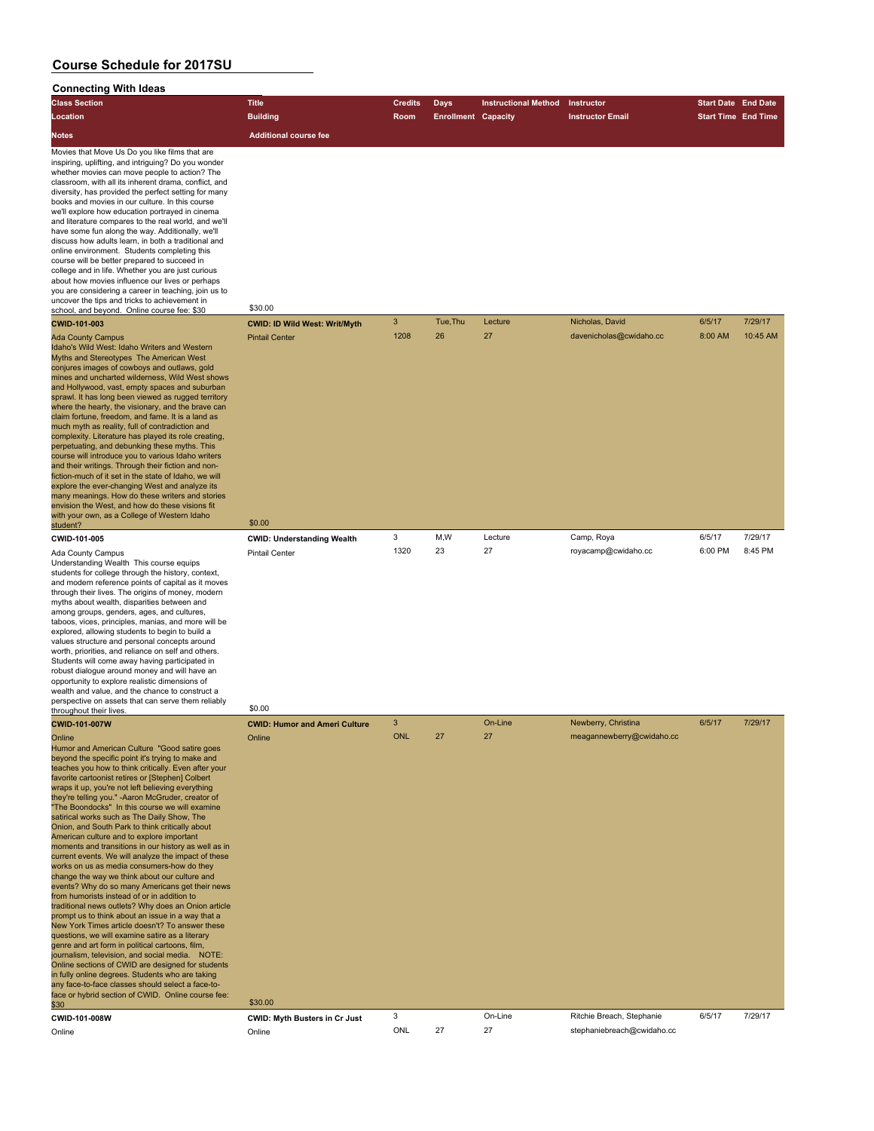### **Connecting With Ideas**

| Connecting with ideas                                                                                                                                                                                                                                                                                                                                                                                                                                                                                                                                                                                                                                                                                                                                                                                                                                                                                                                                                                                                                                                                                                                                                                                                                                                                                                                                                                                  |                                      |                |                            |                             |                            |                            |          |
|--------------------------------------------------------------------------------------------------------------------------------------------------------------------------------------------------------------------------------------------------------------------------------------------------------------------------------------------------------------------------------------------------------------------------------------------------------------------------------------------------------------------------------------------------------------------------------------------------------------------------------------------------------------------------------------------------------------------------------------------------------------------------------------------------------------------------------------------------------------------------------------------------------------------------------------------------------------------------------------------------------------------------------------------------------------------------------------------------------------------------------------------------------------------------------------------------------------------------------------------------------------------------------------------------------------------------------------------------------------------------------------------------------|--------------------------------------|----------------|----------------------------|-----------------------------|----------------------------|----------------------------|----------|
| <b>Class Section</b>                                                                                                                                                                                                                                                                                                                                                                                                                                                                                                                                                                                                                                                                                                                                                                                                                                                                                                                                                                                                                                                                                                                                                                                                                                                                                                                                                                                   | <b>Title</b>                         | <b>Credits</b> | <b>Days</b>                | <b>Instructional Method</b> | Instructor                 | <b>Start Date End Date</b> |          |
| Location                                                                                                                                                                                                                                                                                                                                                                                                                                                                                                                                                                                                                                                                                                                                                                                                                                                                                                                                                                                                                                                                                                                                                                                                                                                                                                                                                                                               | <b>Building</b>                      | Room           | <b>Enrollment Capacity</b> |                             | <b>Instructor Email</b>    | <b>Start Time End Time</b> |          |
| Notes                                                                                                                                                                                                                                                                                                                                                                                                                                                                                                                                                                                                                                                                                                                                                                                                                                                                                                                                                                                                                                                                                                                                                                                                                                                                                                                                                                                                  | <b>Additional course fee</b>         |                |                            |                             |                            |                            |          |
| Movies that Move Us Do you like films that are<br>inspiring, uplifting, and intriguing? Do you wonder<br>whether movies can move people to action? The<br>classroom, with all its inherent drama, conflict, and<br>diversity, has provided the perfect setting for many<br>books and movies in our culture. In this course<br>we'll explore how education portrayed in cinema<br>and literature compares to the real world, and we'll<br>have some fun along the way. Additionally, we'll<br>discuss how adults learn, in both a traditional and<br>online environment. Students completing this<br>course will be better prepared to succeed in<br>college and in life. Whether you are just curious<br>about how movies influence our lives or perhaps<br>you are considering a career in teaching, join us to<br>uncover the tips and tricks to achievement in<br>school, and beyond. Online course fee: \$30                                                                                                                                                                                                                                                                                                                                                                                                                                                                                       | \$30.00                              |                |                            |                             |                            |                            |          |
| <b>CWID-101-003</b>                                                                                                                                                                                                                                                                                                                                                                                                                                                                                                                                                                                                                                                                                                                                                                                                                                                                                                                                                                                                                                                                                                                                                                                                                                                                                                                                                                                    | <b>CWID: ID Wild West: Writ/Myth</b> | $\mathbf{3}$   | Tue, Thu                   | Lecture                     | Nicholas, David            | 6/5/17                     | 7/29/17  |
| <b>Ada County Campus</b><br>Idaho's Wild West: Idaho Writers and Western<br>Myths and Stereotypes The American West<br>conjures images of cowboys and outlaws, gold<br>mines and uncharted wilderness, Wild West shows<br>and Hollywood, vast, empty spaces and suburban<br>sprawl. It has long been viewed as rugged territory<br>where the hearty, the visionary, and the brave can<br>claim fortune, freedom, and fame. It is a land as<br>much myth as reality, full of contradiction and<br>complexity. Literature has played its role creating,<br>perpetuating, and debunking these myths. This<br>course will introduce you to various Idaho writers<br>and their writings. Through their fiction and non-<br>fiction-much of it set in the state of Idaho, we will<br>explore the ever-changing West and analyze its<br>many meanings. How do these writers and stories<br>envision the West, and how do these visions fit                                                                                                                                                                                                                                                                                                                                                                                                                                                                    | <b>Pintail Center</b>                | 1208           | 26                         | 27                          | davenicholas@cwidaho.cc    | 8:00 AM                    | 10:45 AM |
| with your own, as a College of Western Idaho<br>student?                                                                                                                                                                                                                                                                                                                                                                                                                                                                                                                                                                                                                                                                                                                                                                                                                                                                                                                                                                                                                                                                                                                                                                                                                                                                                                                                               | \$0.00                               |                |                            |                             |                            |                            |          |
| CWID-101-005                                                                                                                                                                                                                                                                                                                                                                                                                                                                                                                                                                                                                                                                                                                                                                                                                                                                                                                                                                                                                                                                                                                                                                                                                                                                                                                                                                                           | <b>CWID: Understanding Wealth</b>    | 3              | M,W                        | Lecture                     | Camp, Roya                 | 6/5/17                     | 7/29/17  |
| <b>Ada County Campus</b><br>Understanding Wealth This course equips<br>students for college through the history, context,<br>and modern reference points of capital as it moves<br>through their lives. The origins of money, modern<br>myths about wealth, disparities between and<br>among groups, genders, ages, and cultures,<br>taboos, vices, principles, manias, and more will be<br>explored, allowing students to begin to build a<br>values structure and personal concepts around<br>worth, priorities, and reliance on self and others.<br>Students will come away having participated in<br>robust dialogue around money and will have an<br>opportunity to explore realistic dimensions of<br>wealth and value, and the chance to construct a<br>perspective on assets that can serve them reliably                                                                                                                                                                                                                                                                                                                                                                                                                                                                                                                                                                                      | <b>Pintail Center</b><br>\$0.00      | 1320           | 23                         | 27                          | royacamp@cwidaho.cc        | 6:00 PM                    | 8:45 PM  |
| throughout their lives.<br><b>CWID-101-007W</b>                                                                                                                                                                                                                                                                                                                                                                                                                                                                                                                                                                                                                                                                                                                                                                                                                                                                                                                                                                                                                                                                                                                                                                                                                                                                                                                                                        | <b>CWID: Humor and Ameri Culture</b> | $\mathbf{3}$   |                            | On-Line                     | Newberry, Christina        | 6/5/17                     | 7/29/17  |
| Online<br>Humor and American Culture "Good satire goes<br>beyond the specific point it's trying to make and<br>teaches you how to think critically. Even after your<br>favorite cartoonist retires or [Stephen] Colbert<br>wraps it up, you're not left believing everything<br>they're telling you." -Aaron McGruder, creator of<br>"The Boondocks" In this course we will examine<br>satirical works such as The Daily Show, The<br>Onion, and South Park to think critically about<br>American culture and to explore important<br>moments and transitions in our history as well as in<br>current events. We will analyze the impact of these<br>works on us as media consumers-how do they<br>change the way we think about our culture and<br>events? Why do so many Americans get their news<br>from humorists instead of or in addition to<br>traditional news outlets? Why does an Onion article<br>prompt us to think about an issue in a way that a<br>New York Times article doesn't? To answer these<br>questions, we will examine satire as a literary<br>genre and art form in political cartoons, film,<br>journalism, television, and social media. NOTE:<br>Online sections of CWID are designed for students<br>in fully online degrees. Students who are taking<br>any face-to-face classes should select a face-to-<br>face or hybrid section of CWID. Online course fee:<br>\$30 | Online<br>\$30.00                    | <b>ONL</b>     | 27                         | 27                          | meagannewberry@cwidaho.cc  |                            |          |
| CWID-101-008W                                                                                                                                                                                                                                                                                                                                                                                                                                                                                                                                                                                                                                                                                                                                                                                                                                                                                                                                                                                                                                                                                                                                                                                                                                                                                                                                                                                          | <b>CWID: Myth Busters in Cr Just</b> | 3              |                            | On-Line                     | Ritchie Breach, Stephanie  | 6/5/17                     | 7/29/17  |
| Online                                                                                                                                                                                                                                                                                                                                                                                                                                                                                                                                                                                                                                                                                                                                                                                                                                                                                                                                                                                                                                                                                                                                                                                                                                                                                                                                                                                                 | Online                               | ONL            | 27                         | 27                          | stephaniebreach@cwidaho.cc |                            |          |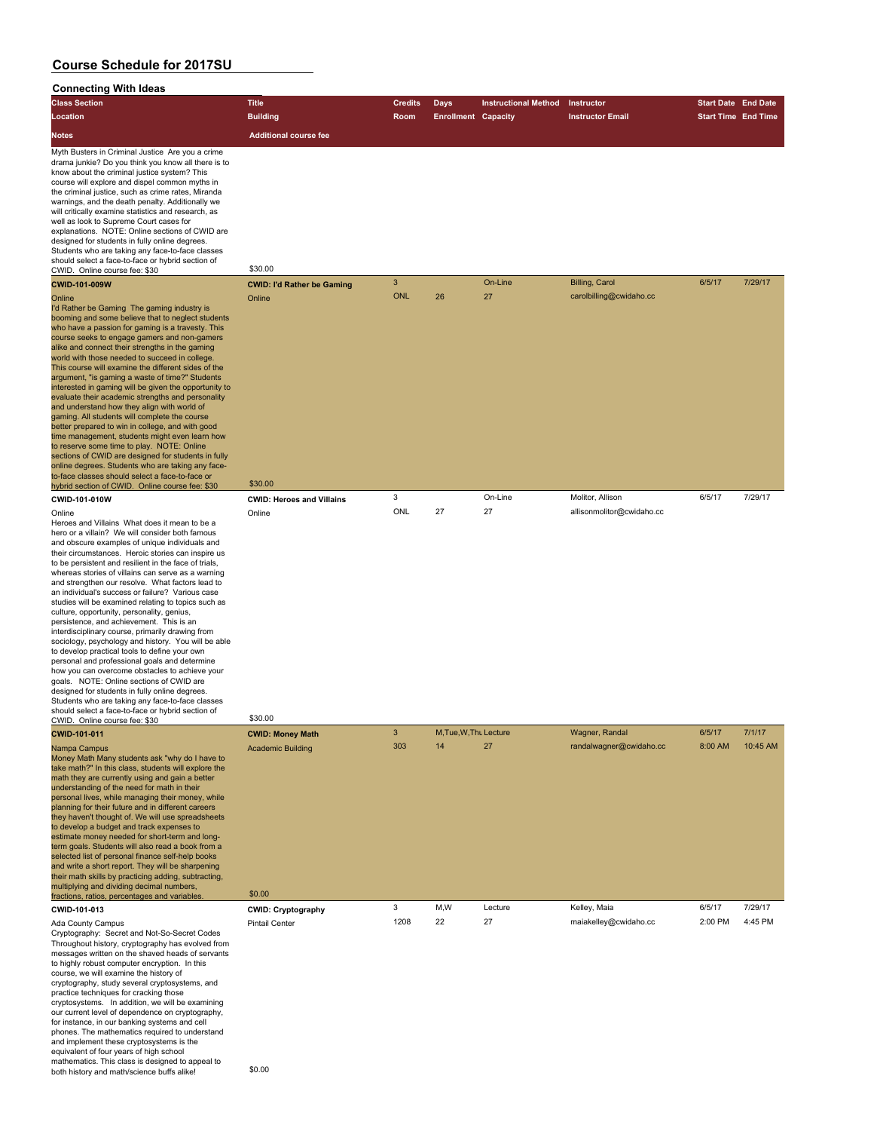### **Connecting With Ideas**

| <b>Class Section</b>                                                                                                                                                                                                                                                                                                                                                                                                                                                                                                                                                                                                                                                                                                                                                                                                                                                                                                                                                                                                                                             | <b>Title</b>                                                  | <b>Credits</b> | Days                         | <b>Instructional Method</b> | Instructor                                | <b>Start Date End Date</b> |                    |
|------------------------------------------------------------------------------------------------------------------------------------------------------------------------------------------------------------------------------------------------------------------------------------------------------------------------------------------------------------------------------------------------------------------------------------------------------------------------------------------------------------------------------------------------------------------------------------------------------------------------------------------------------------------------------------------------------------------------------------------------------------------------------------------------------------------------------------------------------------------------------------------------------------------------------------------------------------------------------------------------------------------------------------------------------------------|---------------------------------------------------------------|----------------|------------------------------|-----------------------------|-------------------------------------------|----------------------------|--------------------|
| Location                                                                                                                                                                                                                                                                                                                                                                                                                                                                                                                                                                                                                                                                                                                                                                                                                                                                                                                                                                                                                                                         | <b>Building</b>                                               | Room           | <b>Enrollment Capacity</b>   |                             | <b>Instructor Email</b>                   | <b>Start Time End Time</b> |                    |
|                                                                                                                                                                                                                                                                                                                                                                                                                                                                                                                                                                                                                                                                                                                                                                                                                                                                                                                                                                                                                                                                  |                                                               |                |                              |                             |                                           |                            |                    |
| Notes                                                                                                                                                                                                                                                                                                                                                                                                                                                                                                                                                                                                                                                                                                                                                                                                                                                                                                                                                                                                                                                            | <b>Additional course fee</b>                                  |                |                              |                             |                                           |                            |                    |
| Myth Busters in Criminal Justice Are you a crime<br>drama junkie? Do you think you know all there is to<br>know about the criminal justice system? This<br>course will explore and dispel common myths in<br>the criminal justice, such as crime rates, Miranda<br>warnings, and the death penalty. Additionally we<br>will critically examine statistics and research, as<br>well as look to Supreme Court cases for<br>explanations. NOTE: Online sections of CWID are<br>designed for students in fully online degrees.<br>Students who are taking any face-to-face classes<br>should select a face-to-face or hybrid section of<br>CWID. Online course fee: \$30<br>CWID-101-009W                                                                                                                                                                                                                                                                                                                                                                            | \$30.00<br><b>CWID: I'd Rather be Gaming</b>                  | $\mathbf{3}$   |                              | On-Line                     | Billing, Carol                            | 6/5/17                     | 7/29/17            |
| Online                                                                                                                                                                                                                                                                                                                                                                                                                                                                                                                                                                                                                                                                                                                                                                                                                                                                                                                                                                                                                                                           | Online                                                        | <b>ONL</b>     | 26                           | 27                          | carolbilling@cwidaho.cc                   |                            |                    |
| I'd Rather be Gaming The gaming industry is<br>booming and some believe that to neglect students<br>who have a passion for gaming is a travesty. This<br>course seeks to engage gamers and non-gamers<br>alike and connect their strengths in the gaming<br>world with those needed to succeed in college.<br>This course will examine the different sides of the<br>argument, "is gaming a waste of time?" Students<br>interested in gaming will be given the opportunity to<br>evaluate their academic strengths and personality<br>and understand how they align with world of<br>gaming. All students will complete the course<br>better prepared to win in college, and with good<br>time management, students might even learn how<br>to reserve some time to play. NOTE: Online<br>sections of CWID are designed for students in fully<br>online degrees. Students who are taking any face-<br>to-face classes should select a face-to-face or<br>hybrid section of CWID. Online course fee: \$30                                                         | \$30.00                                                       |                |                              |                             |                                           |                            |                    |
| CWID-101-010W                                                                                                                                                                                                                                                                                                                                                                                                                                                                                                                                                                                                                                                                                                                                                                                                                                                                                                                                                                                                                                                    | <b>CWID: Heroes and Villains</b>                              | 3              |                              | On-Line                     | Molitor, Allison                          | 6/5/17                     | 7/29/17            |
| Online<br>Heroes and Villains What does it mean to be a<br>hero or a villain? We will consider both famous<br>and obscure examples of unique individuals and<br>their circumstances. Heroic stories can inspire us<br>to be persistent and resilient in the face of trials,<br>whereas stories of villains can serve as a warning<br>and strengthen our resolve. What factors lead to<br>an individual's success or failure? Various case<br>studies will be examined relating to topics such as<br>culture, opportunity, personality, genius,<br>persistence, and achievement. This is an<br>interdisciplinary course, primarily drawing from<br>sociology, psychology and history. You will be able<br>to develop practical tools to define your own<br>personal and professional goals and determine<br>how you can overcome obstacles to achieve your<br>goals. NOTE: Online sections of CWID are<br>designed for students in fully online degrees.<br>Students who are taking any face-to-face classes<br>should select a face-to-face or hybrid section of | Online                                                        | ONL            | 27                           | 27                          | allisonmolitor@cwidaho.cc                 |                            |                    |
| CWID. Online course fee: \$30                                                                                                                                                                                                                                                                                                                                                                                                                                                                                                                                                                                                                                                                                                                                                                                                                                                                                                                                                                                                                                    | \$30.00                                                       |                |                              |                             |                                           |                            |                    |
| CWID-101-011<br>Nampa Campus<br>Money Math Many students ask "why do I have to<br>take math?" In this class, students will explore the<br>math they are currently using and gain a better<br>understanding of the need for math in their<br>personal lives, while managing their money, while<br>planning for their future and in different careers<br>they haven't thought of. We will use spreadsheets<br>to develop a budget and track expenses to<br>estimate money needed for short-term and long-<br>term goals. Students will also read a book from a<br>selected list of personal finance self-help books<br>and write a short report. They will be sharpening<br>their math skills by practicing adding, subtracting,<br>multiplying and dividing decimal numbers,                                                                                                                                                                                                                                                                                      | <b>CWID: Money Math</b><br><b>Academic Building</b><br>\$0.00 | 3<br>303       | M, Tue, W, Thu Lecture<br>14 | 27                          | Wagner, Randal<br>randalwagner@cwidaho.cc | 6/5/17<br>8:00 AM          | 7/1/17<br>10:45 AM |
| fractions, ratios, percentages and variables.                                                                                                                                                                                                                                                                                                                                                                                                                                                                                                                                                                                                                                                                                                                                                                                                                                                                                                                                                                                                                    |                                                               | 3              | M,W                          | Lecture                     | Kelley, Maia                              | 6/5/17                     | 7/29/17            |
| CWID-101-013<br>Ada County Campus<br>Cryptography: Secret and Not-So-Secret Codes<br>Throughout history, cryptography has evolved from<br>messages written on the shaved heads of servants<br>to highly robust computer encryption. In this<br>course, we will examine the history of<br>cryptography, study several cryptosystems, and<br>practice techniques for cracking those<br>cryptosystems. In addition, we will be examining<br>our current level of dependence on cryptography,<br>for instance, in our banking systems and cell<br>phones. The mathematics required to understand<br>and implement these cryptosystems is the<br>equivalent of four years of high school<br>mathematics. This class is designed to appeal to<br>both history and math/science buffs alike!                                                                                                                                                                                                                                                                            | <b>CWID: Cryptography</b><br><b>Pintail Center</b><br>\$0.00  | 1208           | 22                           | 27                          | maiakelley@cwidaho.cc                     | 2:00 PM                    | 4:45 PM            |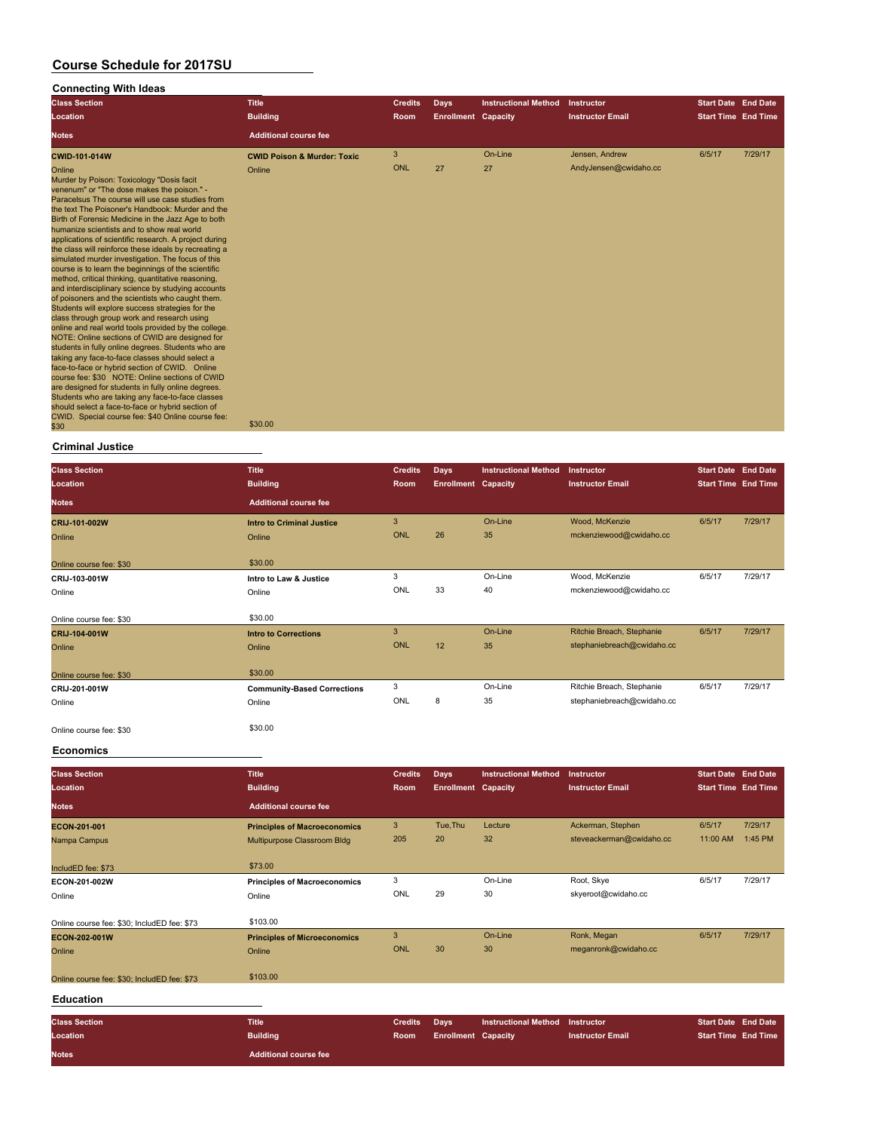### **Connecting With Ideas**

| <b>Class Section</b><br>Location                                                                                                                                                                                                                                                                                                                                                                                                                                                                                                                                                                                                                                                                                                                                                                                                                                                                                                                                                                                                                                                                                                                                                                                                                                                                                                                                  | <b>Title</b><br><b>Building</b>        | <b>Credits</b><br>Room | <b>Days</b><br><b>Enrollment Capacity</b> | <b>Instructional Method</b> | Instructor<br><b>Instructor Email</b> | <b>Start Date End Date</b><br><b>Start Time End Time</b> |         |
|-------------------------------------------------------------------------------------------------------------------------------------------------------------------------------------------------------------------------------------------------------------------------------------------------------------------------------------------------------------------------------------------------------------------------------------------------------------------------------------------------------------------------------------------------------------------------------------------------------------------------------------------------------------------------------------------------------------------------------------------------------------------------------------------------------------------------------------------------------------------------------------------------------------------------------------------------------------------------------------------------------------------------------------------------------------------------------------------------------------------------------------------------------------------------------------------------------------------------------------------------------------------------------------------------------------------------------------------------------------------|----------------------------------------|------------------------|-------------------------------------------|-----------------------------|---------------------------------------|----------------------------------------------------------|---------|
| <b>Notes</b>                                                                                                                                                                                                                                                                                                                                                                                                                                                                                                                                                                                                                                                                                                                                                                                                                                                                                                                                                                                                                                                                                                                                                                                                                                                                                                                                                      | <b>Additional course fee</b>           |                        |                                           |                             |                                       |                                                          |         |
| <b>CWID-101-014W</b>                                                                                                                                                                                                                                                                                                                                                                                                                                                                                                                                                                                                                                                                                                                                                                                                                                                                                                                                                                                                                                                                                                                                                                                                                                                                                                                                              | <b>CWID Poison &amp; Murder: Toxic</b> | 3                      |                                           | On-Line                     | Jensen, Andrew                        | 6/5/17                                                   | 7/29/17 |
| Online<br>Murder by Poison: Toxicology "Dosis facit<br>venenum" or "The dose makes the poison." -<br>Paracelsus The course will use case studies from<br>the text The Poisoner's Handbook: Murder and the<br>Birth of Forensic Medicine in the Jazz Age to both<br>humanize scientists and to show real world<br>applications of scientific research. A project during<br>the class will reinforce these ideals by recreating a<br>simulated murder investigation. The focus of this<br>course is to learn the beginnings of the scientific<br>method, critical thinking, quantitative reasoning,<br>and interdisciplinary science by studying accounts<br>of poisoners and the scientists who caught them.<br>Students will explore success strategies for the<br>class through group work and research using<br>online and real world tools provided by the college.<br>NOTE: Online sections of CWID are designed for<br>students in fully online degrees. Students who are<br>taking any face-to-face classes should select a<br>face-to-face or hybrid section of CWID. Online<br>course fee: \$30 NOTE: Online sections of CWID<br>are designed for students in fully online degrees.<br>Students who are taking any face-to-face classes<br>should select a face-to-face or hybrid section of<br>CWID. Special course fee: \$40 Online course fee:<br>\$30 | Online<br>\$30.00                      | ONL                    | 27                                        | 27                          | AndyJensen@cwidaho.cc                 |                                                          |         |

### **Criminal Justice**

| <b>Class Section</b><br>Location | <b>Title</b><br><b>Building</b>    | <b>Credits</b><br>Room | <b>Days</b><br><b>Enrollment Capacity</b> | <b>Instructional Method</b> | Instructor<br><b>Instructor Email</b> | <b>Start Date End Date</b><br><b>Start Time End Time</b> |         |
|----------------------------------|------------------------------------|------------------------|-------------------------------------------|-----------------------------|---------------------------------------|----------------------------------------------------------|---------|
| <b>Notes</b>                     | <b>Additional course fee</b>       |                        |                                           |                             |                                       |                                                          |         |
| CRIJ-101-002W                    | <b>Intro to Criminal Justice</b>   | 3                      |                                           | On-Line                     | Wood, McKenzie                        | 6/5/17                                                   | 7/29/17 |
| Online                           | Online                             | <b>ONL</b>             | 26                                        | 35                          | mckenziewood@cwidaho.cc               |                                                          |         |
| Online course fee: \$30          | \$30.00                            |                        |                                           |                             |                                       |                                                          |         |
| CRIJ-103-001W                    | Intro to Law & Justice             | 3                      |                                           | On-Line                     | Wood, McKenzie                        | 6/5/17                                                   | 7/29/17 |
| Online                           | Online                             | ONL                    | 33                                        | 40                          | mckenziewood@cwidaho.cc               |                                                          |         |
| Online course fee: \$30          | \$30.00                            |                        |                                           |                             |                                       |                                                          |         |
| CRIJ-104-001W                    | <b>Intro to Corrections</b>        | 3                      |                                           | On-Line                     | Ritchie Breach, Stephanie             | 6/5/17                                                   | 7/29/17 |
| Online                           | Online                             | <b>ONL</b>             | 12                                        | 35                          | stephaniebreach@cwidaho.cc            |                                                          |         |
| Online course fee: \$30          | \$30.00                            |                        |                                           |                             |                                       |                                                          |         |
| CRIJ-201-001W                    | <b>Community-Based Corrections</b> | 3                      |                                           | On-Line                     | Ritchie Breach, Stephanie             | 6/5/17                                                   | 7/29/17 |
| Online                           | Online                             | ONL                    | 8                                         | 35                          | stephaniebreach@cwidaho.cc            |                                                          |         |
| Online course fee: \$30          | \$30.00                            |                        |                                           |                             |                                       |                                                          |         |

#### **Economics**

| <b>Class Section</b><br>Location            | <b>Title</b><br><b>Building</b>     | <b>Credits</b><br>Room | Days<br><b>Enrollment Capacity</b> | <b>Instructional Method</b> | Instructor<br><b>Instructor Email</b> | <b>Start Date End Date</b><br><b>Start Time End Time</b> |         |
|---------------------------------------------|-------------------------------------|------------------------|------------------------------------|-----------------------------|---------------------------------------|----------------------------------------------------------|---------|
| <b>Notes</b>                                | <b>Additional course fee</b>        |                        |                                    |                             |                                       |                                                          |         |
| ECON-201-001                                | <b>Principles of Macroeconomics</b> | 3                      | Tue, Thu                           | Lecture                     | Ackerman, Stephen                     | 6/5/17                                                   | 7/29/17 |
| Nampa Campus                                | Multipurpose Classroom Bldg         | 205                    | 20                                 | 32                          | steveackerman@cwidaho.cc              | 11:00 AM                                                 | 1:45 PM |
| IncludED fee: \$73                          | \$73.00                             |                        |                                    |                             |                                       |                                                          |         |
| ECON-201-002W                               | <b>Principles of Macroeconomics</b> | 3                      |                                    | On-Line                     | Root, Skye                            | 6/5/17                                                   | 7/29/17 |
| Online                                      | Online                              | ONL                    | 29                                 | 30                          | skyeroot@cwidaho.cc                   |                                                          |         |
| Online course fee: \$30: IncludED fee: \$73 | \$103.00                            |                        |                                    |                             |                                       |                                                          |         |
| ECON-202-001W                               | <b>Principles of Microeconomics</b> | $\mathbf{3}$           |                                    | On-Line                     | Ronk, Megan                           | 6/5/17                                                   | 7/29/17 |
| Online                                      | Online                              | ONL                    | 30                                 | 30                          | meganronk@cwidaho.cc                  |                                                          |         |
| Online course fee: \$30; IncludED fee: \$73 | \$103.00                            |                        |                                    |                             |                                       |                                                          |         |
| <b>Education</b>                            |                                     |                        |                                    |                             |                                       |                                                          |         |
| <b>Class Section</b>                        | <b>Title</b>                        | <b>Credits</b>         | <b>Days</b>                        | <b>Instructional Method</b> | Instructor                            | <b>Start Date End Date</b>                               |         |
| Location                                    | <b>Building</b>                     | <b>Room</b>            | <b>Enrollment Capacity</b>         |                             | <b>Instructor Email</b>               | <b>Start Time End Time</b>                               |         |
| <b>Notes</b>                                | <b>Additional course fee</b>        |                        |                                    |                             |                                       |                                                          |         |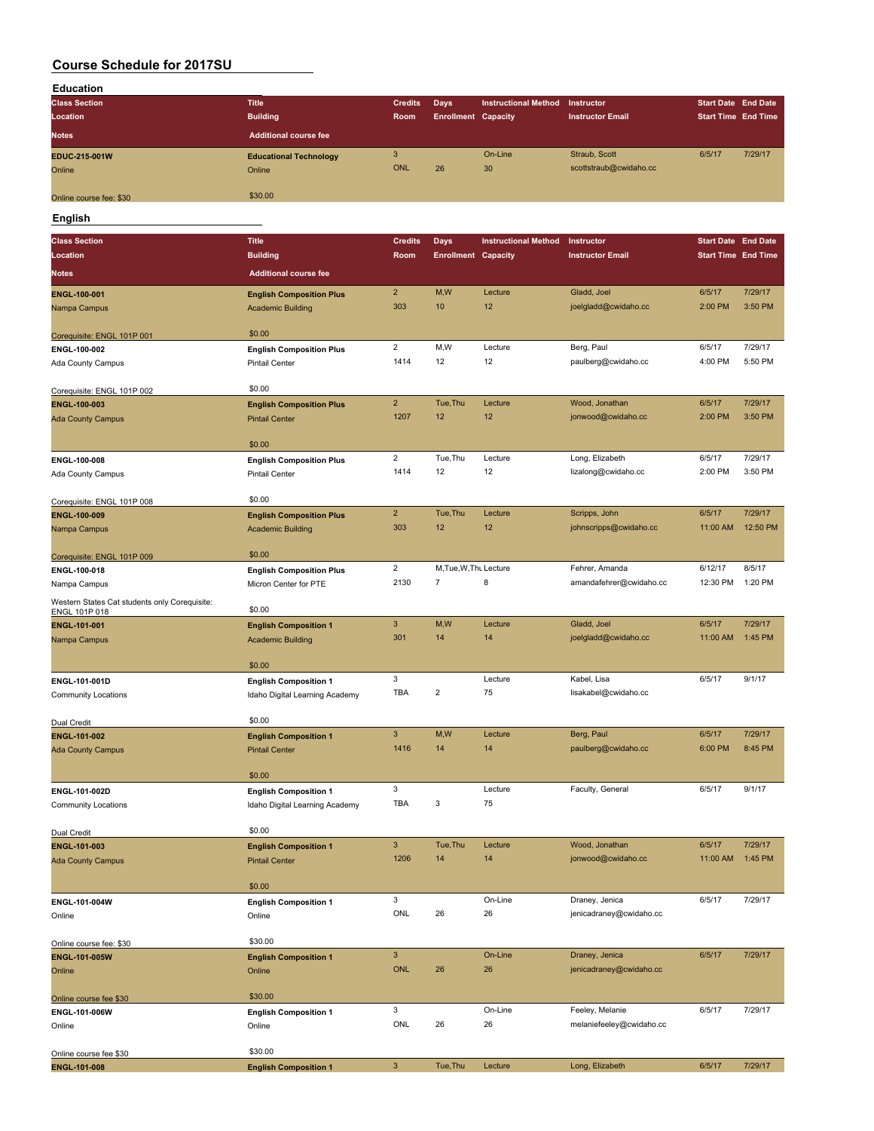| Education               |                               |                |                            |                             |                         |                            |         |
|-------------------------|-------------------------------|----------------|----------------------------|-----------------------------|-------------------------|----------------------------|---------|
| <b>Class Section</b>    | <b>Title</b>                  | <b>Credits</b> | Days                       | <b>Instructional Method</b> | Instructor              | <b>Start Date End Date</b> |         |
| Location                | <b>Building</b>               | Room           | <b>Enrollment Capacity</b> |                             | <b>Instructor Email</b> | <b>Start Time End Time</b> |         |
| <b>Notes</b>            | <b>Additional course fee</b>  |                |                            |                             |                         |                            |         |
| EDUC-215-001W           | <b>Educational Technology</b> |                |                            | On-Line                     | Straub, Scott           | 6/5/17                     | 7/29/17 |
| Online                  | Online                        | ONL            | 26                         | 30                          | scottstraub@cwidaho.cc  |                            |         |
|                         |                               |                |                            |                             |                         |                            |         |
|                         |                               |                |                            |                             |                         |                            |         |
| Online course fee: \$30 | \$30.00                       |                |                            |                             |                         |                            |         |

**English**

| <b>Class Section</b>                                           | <b>Title</b>                    | <b>Credits</b> | <b>Days</b>                | <b>Instructional Method</b> | Instructor               | <b>Start Date End Date</b> |          |
|----------------------------------------------------------------|---------------------------------|----------------|----------------------------|-----------------------------|--------------------------|----------------------------|----------|
| Location                                                       | <b>Building</b>                 | Room           | <b>Enrollment Capacity</b> |                             | <b>Instructor Email</b>  | <b>Start Time End Time</b> |          |
| <b>Notes</b>                                                   | <b>Additional course fee</b>    |                |                            |                             |                          |                            |          |
| ENGL-100-001                                                   | <b>English Composition Plus</b> | $\overline{2}$ | M,W                        | Lecture                     | Gladd, Joel              | 6/5/17                     | 7/29/17  |
| Nampa Campus                                                   | <b>Academic Building</b>        | 303            | 10                         | 12                          | joelgladd@cwidaho.cc     | 2:00 PM                    | 3:50 PM  |
|                                                                |                                 |                |                            |                             |                          |                            |          |
| Corequisite: ENGL 101P 001                                     | \$0.00                          |                |                            |                             |                          |                            |          |
| ENGL-100-002                                                   | <b>English Composition Plus</b> | $\overline{2}$ | M, W                       | Lecture                     | Berg, Paul               | 6/5/17                     | 7/29/17  |
| Ada County Campus                                              | <b>Pintail Center</b>           | 1414           | 12                         | 12                          | paulberg@cwidaho.cc      | 4:00 PM                    | 5:50 PM  |
|                                                                | \$0.00                          |                |                            |                             |                          |                            |          |
| Corequisite: ENGL 101P 002<br><b>ENGL-100-003</b>              | <b>English Composition Plus</b> | $\overline{2}$ | Tue, Thu                   | Lecture                     | Wood, Jonathan           | 6/5/17                     | 7/29/17  |
| <b>Ada County Campus</b>                                       | <b>Pintail Center</b>           | 1207           | 12                         | 12                          | jonwood@cwidaho.cc       | 2:00 PM                    | 3:50 PM  |
|                                                                |                                 |                |                            |                             |                          |                            |          |
|                                                                | \$0.00                          |                |                            |                             |                          |                            |          |
| ENGL-100-008                                                   | <b>English Composition Plus</b> | $\overline{2}$ | Tue, Thu                   | Lecture                     | Long, Elizabeth          | 6/5/17                     | 7/29/17  |
| Ada County Campus                                              | <b>Pintail Center</b>           | 1414           | 12                         | 12                          | lizalong@cwidaho.cc      | 2:00 PM                    | 3:50 PM  |
|                                                                | \$0.00                          |                |                            |                             |                          |                            |          |
| Corequisite: ENGL 101P 008<br>ENGL-100-009                     | <b>English Composition Plus</b> | $\overline{2}$ | Tue, Thu                   | Lecture                     | Scripps, John            | 6/5/17                     | 7/29/17  |
| Nampa Campus                                                   | <b>Academic Building</b>        | 303            | 12                         | 12                          | johnscripps@cwidaho.cc   | 11:00 AM                   | 12:50 PM |
|                                                                |                                 |                |                            |                             |                          |                            |          |
| Corequisite: ENGL 101P 009                                     | \$0.00                          |                |                            |                             |                          |                            |          |
| ENGL-100-018                                                   | <b>English Composition Plus</b> | $\overline{2}$ | M, Tue, W, Thu Lecture     |                             | Fehrer, Amanda           | 6/12/17                    | 8/5/17   |
| Nampa Campus                                                   | Micron Center for PTE           | 2130           | $\overline{7}$             | 8                           | amandafehrer@cwidaho.cc  | 12:30 PM                   | 1:20 PM  |
| Western States Cat students only Corequisite:<br>ENGL 101P 018 | \$0.00                          |                |                            |                             |                          |                            |          |
| ENGL-101-001                                                   | <b>English Composition 1</b>    | $\mathbf{3}$   | M,W                        | Lecture                     | Gladd, Joel              | 6/5/17                     | 7/29/17  |
| Nampa Campus                                                   | <b>Academic Building</b>        | 301            | 14                         | 14                          | joelgladd@cwidaho.cc     | 11:00 AM                   | 1:45 PM  |
|                                                                | \$0.00                          |                |                            |                             |                          |                            |          |
| ENGL-101-001D                                                  | <b>English Composition 1</b>    | 3              |                            | Lecture                     | Kabel, Lisa              | 6/5/17                     | 9/1/17   |
| Community Locations                                            | Idaho Digital Learning Academy  | TBA            | $\overline{2}$             | 75                          | lisakabel@cwidaho.cc     |                            |          |
|                                                                |                                 |                |                            |                             |                          |                            |          |
| Dual Credit                                                    | \$0.00                          |                |                            |                             |                          |                            |          |
| ENGL-101-002                                                   | <b>English Composition 1</b>    | $\mathbf{3}$   | M,W                        | Lecture                     | Berg, Paul               | 6/5/17                     | 7/29/17  |
| <b>Ada County Campus</b>                                       | <b>Pintail Center</b>           | 1416           | 14                         | 14                          | paulberg@cwidaho.cc      | 6:00 PM                    | 8:45 PM  |
|                                                                | \$0.00                          |                |                            |                             |                          |                            |          |
| ENGL-101-002D                                                  | <b>English Composition 1</b>    | 3              |                            | Lecture                     | Faculty, General         | 6/5/17                     | 9/1/17   |
| <b>Community Locations</b>                                     | Idaho Digital Learning Academy  | <b>TBA</b>     | 3                          | 75                          |                          |                            |          |
|                                                                |                                 |                |                            |                             |                          |                            |          |
| Dual Credit                                                    | \$0.00                          |                |                            |                             |                          |                            |          |
| ENGL-101-003                                                   | <b>English Composition 1</b>    | $\mathbf{3}$   | Tue, Thu                   | Lecture                     | Wood, Jonathan           | 6/5/17                     | 7/29/17  |
| <b>Ada County Campus</b>                                       | <b>Pintail Center</b>           | 1206           | 14                         | 14                          | jonwood@cwidaho.cc       | 11:00 AM                   | 1:45 PM  |
|                                                                | \$0.00                          |                |                            |                             |                          |                            |          |
| ENGL-101-004W                                                  | <b>English Composition 1</b>    | 3              |                            | On-Line                     | Draney, Jenica           | 6/5/17                     | 7/29/17  |
| Online                                                         | Online                          | ONL            | 26                         | 26                          | jenicadraney@cwidaho.cc  |                            |          |
|                                                                |                                 |                |                            |                             |                          |                            |          |
| Online course fee: \$30                                        | \$30.00                         |                |                            |                             |                          |                            |          |
| ENGL-101-005W                                                  | <b>English Composition 1</b>    | $\mathbf{3}$   |                            | On-Line                     | Draney, Jenica           | 6/5/17                     | 7/29/17  |
| Online                                                         | Online                          | <b>ONL</b>     | 26                         | 26                          | jenicadraney@cwidaho.cc  |                            |          |
| Online course fee \$30                                         | \$30.00                         |                |                            |                             |                          |                            |          |
| ENGL-101-006W                                                  | <b>English Composition 1</b>    | 3              |                            | On-Line                     | Feeley, Melanie          | 6/5/17                     | 7/29/17  |
| Online                                                         | Online                          | ONL            | 26                         | 26                          | melaniefeeley@cwidaho.cc |                            |          |
|                                                                |                                 |                |                            |                             |                          |                            |          |
| Online course fee \$30                                         | \$30.00                         |                |                            |                             |                          |                            |          |
| ENGL-101-008                                                   | <b>English Composition 1</b>    | $\mathbf{3}$   | Tue, Thu                   | Lecture                     | Long, Elizabeth          | 6/5/17                     | 7/29/17  |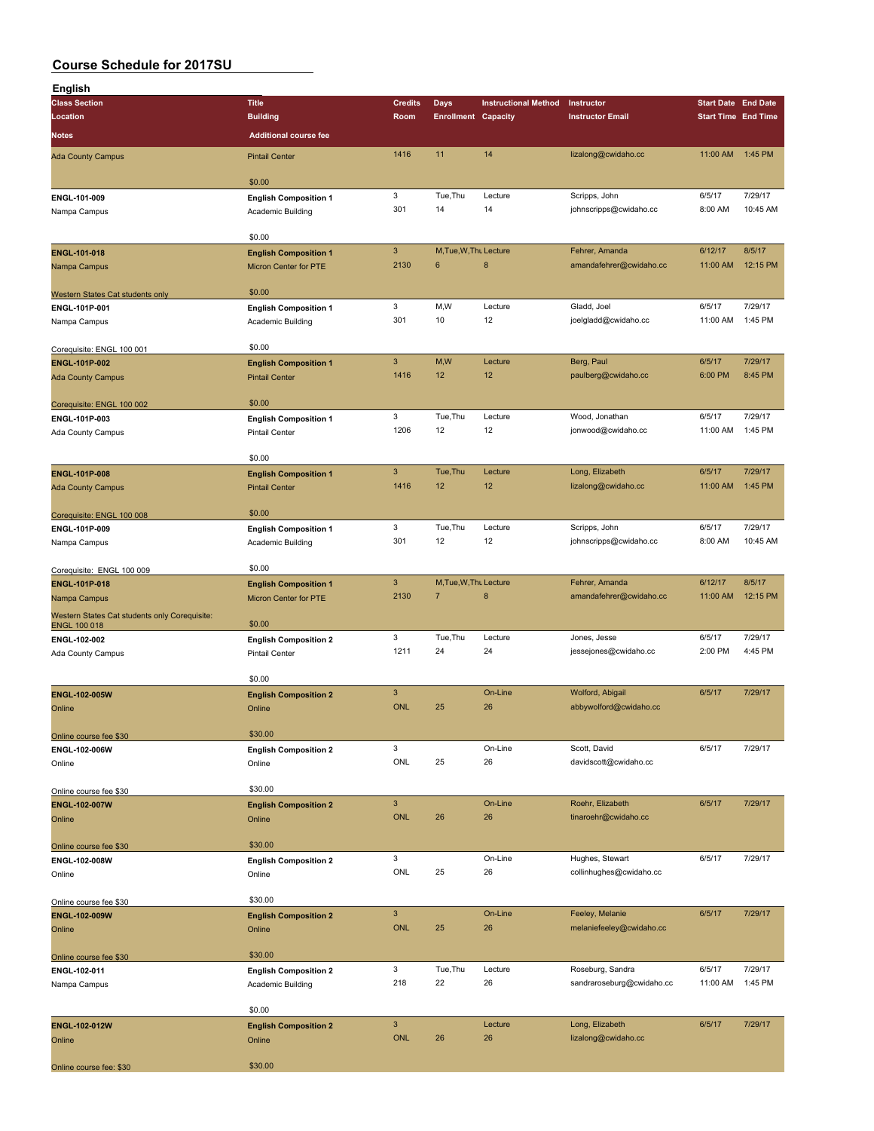| English                                       |                                                       |                 |                            |                             |                                          |                            |                     |
|-----------------------------------------------|-------------------------------------------------------|-----------------|----------------------------|-----------------------------|------------------------------------------|----------------------------|---------------------|
| <b>Class Section</b>                          | <b>Title</b>                                          | <b>Credits</b>  | Days                       | <b>Instructional Method</b> | Instructor                               | <b>Start Date End Date</b> |                     |
| Location                                      | <b>Building</b>                                       | Room            | <b>Enrollment Capacity</b> |                             | <b>Instructor Email</b>                  | <b>Start Time End Time</b> |                     |
| Notes                                         | <b>Additional course fee</b>                          |                 |                            |                             |                                          |                            |                     |
| <b>Ada County Campus</b>                      | <b>Pintail Center</b>                                 | 1416            | 11                         | 14                          | lizalong@cwidaho.cc                      | 11:00 AM                   | 1:45 PM             |
|                                               |                                                       |                 |                            |                             |                                          |                            |                     |
|                                               | \$0.00                                                |                 |                            |                             |                                          |                            |                     |
| ENGL-101-009                                  | <b>English Composition 1</b>                          | 3<br>301        | Tue, Thu<br>14             | Lecture<br>14               | Scripps, John<br>johnscripps@cwidaho.cc  | 6/5/17<br>8:00 AM          | 7/29/17<br>10:45 AM |
| Nampa Campus                                  | Academic Building                                     |                 |                            |                             |                                          |                            |                     |
|                                               | \$0.00                                                |                 |                            |                             |                                          |                            |                     |
| ENGL-101-018                                  | <b>English Composition 1</b>                          | 3               | M, Tue, W, Thu Lecture     |                             | Fehrer, Amanda                           | 6/12/17                    | 8/5/17              |
| Nampa Campus                                  | <b>Micron Center for PTE</b>                          | 2130            | 6                          | $\bf8$                      | amandafehrer@cwidaho.cc                  | 11:00 AM                   | 12:15 PM            |
|                                               |                                                       |                 |                            |                             |                                          |                            |                     |
| Western States Cat students only              | \$0.00                                                | 3               | M,W                        | Lecture                     | Gladd, Joel                              | 6/5/17                     | 7/29/17             |
| ENGL-101P-001<br>Nampa Campus                 | <b>English Composition 1</b><br>Academic Building     | 301             | 10                         | 12                          | joelgladd@cwidaho.cc                     | 11:00 AM                   | 1:45 PM             |
|                                               |                                                       |                 |                            |                             |                                          |                            |                     |
| Corequisite: ENGL 100 001                     | \$0.00                                                |                 |                            |                             |                                          |                            |                     |
| <b>ENGL-101P-002</b>                          | <b>English Composition 1</b>                          | $\mathbf{3}$    | M,W                        | Lecture                     | Berg, Paul                               | 6/5/17                     | 7/29/17             |
| <b>Ada County Campus</b>                      | <b>Pintail Center</b>                                 | 1416            | 12                         | 12                          | paulberg@cwidaho.cc                      | 6:00 PM                    | 8:45 PM             |
|                                               |                                                       |                 |                            |                             |                                          |                            |                     |
| Corequisite: ENGL 100 002<br>ENGL-101P-003    | \$0.00                                                | 3               | Tue, Thu                   | Lecture                     | Wood, Jonathan                           | 6/5/17                     | 7/29/17             |
| Ada County Campus                             | <b>English Composition 1</b><br><b>Pintail Center</b> | 1206            | 12                         | 12                          | jonwood@cwidaho.cc                       | 11:00 AM                   | 1:45 PM             |
|                                               |                                                       |                 |                            |                             |                                          |                            |                     |
|                                               | \$0.00                                                |                 |                            |                             |                                          |                            |                     |
| <b>ENGL-101P-008</b>                          | <b>English Composition 1</b>                          | $\mathbf{3}$    | Tue, Thu                   | Lecture                     | Long, Elizabeth                          | 6/5/17                     | 7/29/17             |
| <b>Ada County Campus</b>                      | <b>Pintail Center</b>                                 | 1416            | 12                         | 12                          | lizalong@cwidaho.cc                      | 11:00 AM                   | 1:45 PM             |
|                                               | \$0.00                                                |                 |                            |                             |                                          |                            |                     |
| Corequisite: ENGL 100 008<br>ENGL-101P-009    | <b>English Composition 1</b>                          | 3               | Tue, Thu                   | Lecture                     | Scripps, John                            | 6/5/17                     | 7/29/17             |
| Nampa Campus                                  | Academic Building                                     | 301             | 12                         | 12                          | johnscripps@cwidaho.cc                   | 8:00 AM                    | 10:45 AM            |
|                                               |                                                       |                 |                            |                             |                                          |                            |                     |
| Corequisite: ENGL 100 009                     | \$0.00                                                |                 |                            |                             |                                          |                            |                     |
| ENGL-101P-018                                 | <b>English Composition 1</b>                          | 3               | M, Tue, W, Thu Lecture     |                             | Fehrer, Amanda                           | 6/12/17                    | 8/5/17              |
| Nampa Campus                                  | Micron Center for PTE                                 | 2130            | $\overline{7}$             | 8                           | amandafehrer@cwidaho.cc                  | 11:00 AM                   | 12:15 PM            |
| Western States Cat students only Corequisite: | \$0.00                                                |                 |                            |                             |                                          |                            |                     |
| <b>ENGL 100 018</b><br>ENGL-102-002           | <b>English Composition 2</b>                          | 3               | Tue, Thu                   | Lecture                     | Jones, Jesse                             | 6/5/17                     | 7/29/17             |
| Ada County Campus                             | <b>Pintail Center</b>                                 | 1211            | 24                         | 24                          | jessejones@cwidaho.cc                    | 2:00 PM                    | 4:45 PM             |
|                                               |                                                       |                 |                            |                             |                                          |                            |                     |
|                                               | \$0.00                                                |                 |                            |                             |                                          |                            |                     |
| <b>ENGL-102-005W</b>                          | <b>English Composition 2</b>                          | 3               |                            | On-Line                     | Wolford, Abigail                         | 6/5/17                     | 7/29/17             |
| Online                                        | Online                                                | <b>ONL</b>      | 25                         | 26                          | abbywolford@cwidaho.cc                   |                            |                     |
| Online course fee \$30                        | \$30.00                                               |                 |                            |                             |                                          |                            |                     |
| ENGL-102-006W                                 | <b>English Composition 2</b>                          | 3               |                            | On-Line                     | Scott, David                             | 6/5/17                     | 7/29/17             |
| Online                                        | Online                                                | ONL             | 25                         | 26                          | davidscott@cwidaho.cc                    |                            |                     |
|                                               |                                                       |                 |                            |                             |                                          |                            |                     |
| Online course fee \$30                        | \$30.00                                               |                 |                            |                             |                                          |                            |                     |
| <b>ENGL-102-007W</b>                          | <b>English Composition 2</b>                          | 3<br><b>ONL</b> | 26                         | On-Line<br>26               | Roehr, Elizabeth<br>tinaroehr@cwidaho.cc | 6/5/17                     | 7/29/17             |
| Online                                        | Online                                                |                 |                            |                             |                                          |                            |                     |
| Online course fee \$30                        | \$30.00                                               |                 |                            |                             |                                          |                            |                     |
| ENGL-102-008W                                 | <b>English Composition 2</b>                          | 3               |                            | On-Line                     | Hughes, Stewart                          | 6/5/17                     | 7/29/17             |
| Online                                        | Online                                                | ONL             | 25                         | 26                          | collinhughes@cwidaho.cc                  |                            |                     |
|                                               |                                                       |                 |                            |                             |                                          |                            |                     |
| Online course fee \$30                        | \$30.00                                               | $\overline{3}$  |                            | On-Line                     | Feeley, Melanie                          | 6/5/17                     | 7/29/17             |
| ENGL-102-009W<br>Online                       | <b>English Composition 2</b><br>Online                | <b>ONL</b>      | 25                         | 26                          | melaniefeeley@cwidaho.cc                 |                            |                     |
|                                               |                                                       |                 |                            |                             |                                          |                            |                     |
| Online course fee \$30                        | \$30.00                                               |                 |                            |                             |                                          |                            |                     |
| ENGL-102-011                                  | <b>English Composition 2</b>                          | 3               | Tue, Thu                   | Lecture                     | Roseburg, Sandra                         | 6/5/17                     | 7/29/17             |
| Nampa Campus                                  | Academic Building                                     | 218             | 22                         | 26                          | sandraroseburg@cwidaho.cc                | 11:00 AM                   | 1:45 PM             |
|                                               |                                                       |                 |                            |                             |                                          |                            |                     |
|                                               | \$0.00                                                | 3               |                            | Lecture                     | Long, Elizabeth                          | 6/5/17                     | 7/29/17             |
| ENGL-102-012W<br>Online                       | <b>English Composition 2</b>                          | <b>ONL</b>      | 26                         | 26                          | lizalong@cwidaho.cc                      |                            |                     |
|                                               | Online                                                |                 |                            |                             |                                          |                            |                     |
| Online course fee: \$30                       | \$30.00                                               |                 |                            |                             |                                          |                            |                     |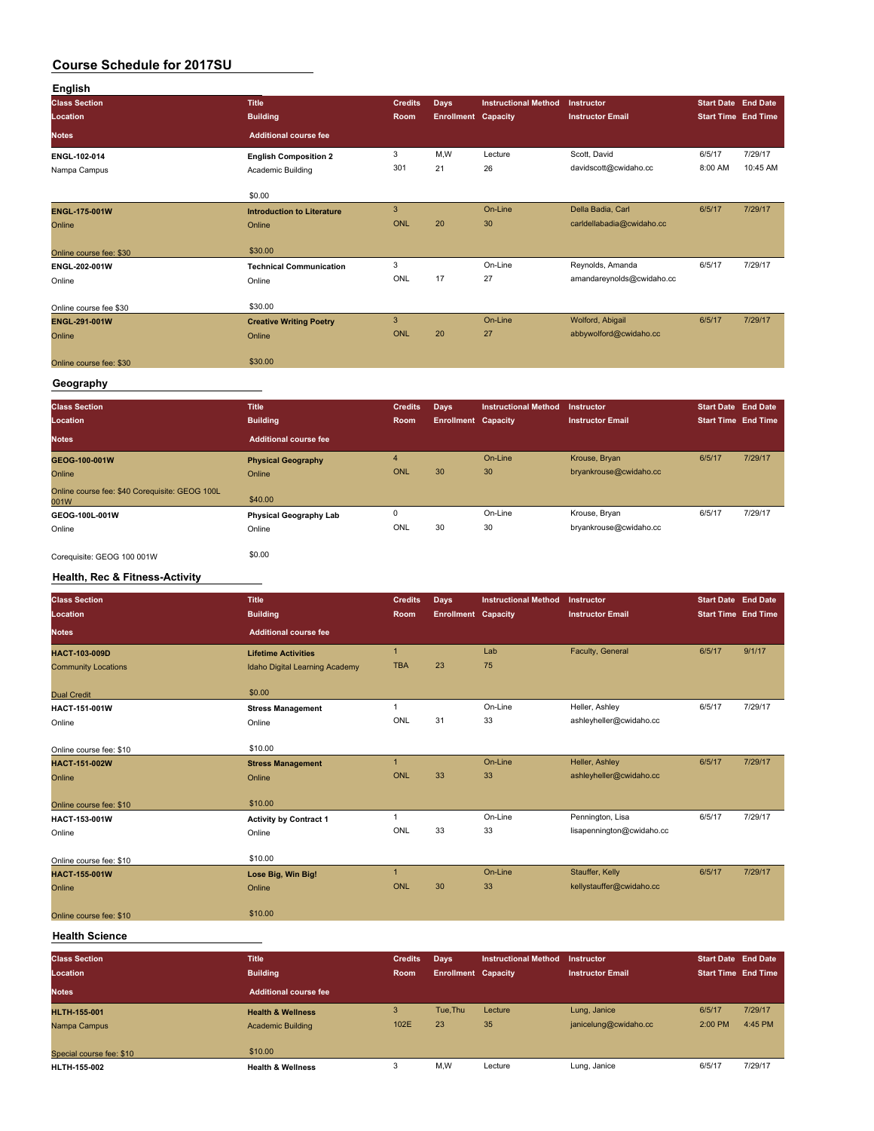| English                 |                                   |                |                            |                             |                           |                            |          |
|-------------------------|-----------------------------------|----------------|----------------------------|-----------------------------|---------------------------|----------------------------|----------|
| <b>Class Section</b>    | <b>Title</b>                      | <b>Credits</b> | <b>Days</b>                | <b>Instructional Method</b> | Instructor                | <b>Start Date</b> End Date |          |
| Location                | <b>Building</b>                   | Room           | <b>Enrollment Capacity</b> |                             | <b>Instructor Email</b>   | <b>Start Time End Time</b> |          |
| <b>Notes</b>            | <b>Additional course fee</b>      |                |                            |                             |                           |                            |          |
| ENGL-102-014            | <b>English Composition 2</b>      | 3              | M,W                        | Lecture                     | Scott, David              | 6/5/17                     | 7/29/17  |
| Nampa Campus            | Academic Building                 | 301            | 21                         | 26                          | davidscott@cwidaho.cc     | 8:00 AM                    | 10:45 AM |
|                         | \$0.00                            |                |                            |                             |                           |                            |          |
| <b>ENGL-175-001W</b>    | <b>Introduction to Literature</b> | 3              |                            | On-Line                     | Della Badia, Carl         | 6/5/17                     | 7/29/17  |
| Online                  | Online                            | <b>ONL</b>     | 20                         | 30                          | carldellabadia@cwidaho.cc |                            |          |
| Online course fee: \$30 | \$30.00                           |                |                            |                             |                           |                            |          |
| ENGL-202-001W           | <b>Technical Communication</b>    | 3              |                            | On-Line                     | Reynolds, Amanda          | 6/5/17                     | 7/29/17  |
| Online                  | Online                            | ONL            | 17                         | 27                          | amandareynolds@cwidaho.cc |                            |          |
| Online course fee \$30  | \$30.00                           |                |                            |                             |                           |                            |          |
| ENGL-291-001W           | <b>Creative Writing Poetry</b>    | 3              |                            | On-Line                     | Wolford, Abigail          | 6/5/17                     | 7/29/17  |
| Online                  | Online                            | ONL            | 20                         | 27                          | abbywolford@cwidaho.cc    |                            |          |
| Online course fee: \$30 | \$30.00                           |                |                            |                             |                           |                            |          |

### **Geography**

| <b>Class Section</b><br>Location                       | <b>Title</b><br><b>Building</b> | <b>Credits</b><br><b>Room</b> | Days<br><b>Enrollment Capacity</b> | <b>Instructional Method</b> | <b>Instructor</b><br><b>Instructor Email</b> | <b>Start Date End Date</b><br><b>Start Time End Time</b> |         |
|--------------------------------------------------------|---------------------------------|-------------------------------|------------------------------------|-----------------------------|----------------------------------------------|----------------------------------------------------------|---------|
| <b>Notes</b>                                           | Additional course fee           |                               |                                    |                             |                                              |                                                          |         |
| GEOG-100-001W                                          | <b>Physical Geography</b>       | 4                             |                                    | On-Line                     | Krouse, Bryan                                | 6/5/17                                                   | 7/29/17 |
| Online                                                 | Online                          | ONL                           | 30                                 | 30                          | bryankrouse@cwidaho.cc                       |                                                          |         |
| Online course fee: \$40 Corequisite: GEOG 100L<br>001W | \$40.00                         |                               |                                    |                             |                                              |                                                          |         |
| GEOG-100L-001W                                         | <b>Physical Geography Lab</b>   | $\Omega$                      |                                    | On-Line                     | Krouse, Bryan                                | 6/5/17                                                   | 7/29/17 |
| Online                                                 | Online                          | ONL                           | 30                                 | 30                          | bryankrouse@cwidaho.cc                       |                                                          |         |
|                                                        |                                 |                               |                                    |                             |                                              |                                                          |         |

Corequisite: GEOG 100 001W \$0.00

### **Health, Rec & Fitness-Activity**

| <b>Class Section</b><br>Location | Title<br><b>Building</b>       | <b>Credits</b><br>Room | Days<br><b>Enrollment Capacity</b> | <b>Instructional Method</b> | <b>Instructor</b><br><b>Instructor Email</b> | <b>Start Date End Date</b><br><b>Start Time End Time</b> |         |
|----------------------------------|--------------------------------|------------------------|------------------------------------|-----------------------------|----------------------------------------------|----------------------------------------------------------|---------|
| <b>Notes</b>                     | <b>Additional course fee</b>   |                        |                                    |                             |                                              |                                                          |         |
| <b>HACT-103-009D</b>             | <b>Lifetime Activities</b>     | $\mathbf{1}$           |                                    | Lab                         | Faculty, General                             | 6/5/17                                                   | 9/1/17  |
| <b>Community Locations</b>       | Idaho Digital Learning Academy | <b>TBA</b>             | 23                                 | 75                          |                                              |                                                          |         |
| <b>Dual Credit</b>               | \$0.00                         |                        |                                    |                             |                                              |                                                          |         |
| HACT-151-001W                    | <b>Stress Management</b>       |                        |                                    | On-Line                     | Heller, Ashley                               | 6/5/17                                                   | 7/29/17 |
| Online                           | Online                         | <b>ONL</b>             | 31                                 | 33                          | ashleyheller@cwidaho.cc                      |                                                          |         |
| Online course fee: \$10          | \$10.00                        |                        |                                    |                             |                                              |                                                          |         |
| HACT-151-002W                    | <b>Stress Management</b>       | $\blacktriangleleft$   |                                    | On-Line                     | Heller, Ashley                               | 6/5/17                                                   | 7/29/17 |
| Online                           | Online                         | <b>ONL</b>             | 33                                 | 33                          | ashleyheller@cwidaho.cc                      |                                                          |         |
| Online course fee: \$10          | \$10.00                        |                        |                                    |                             |                                              |                                                          |         |
| HACT-153-001W                    | <b>Activity by Contract 1</b>  |                        |                                    | On-Line                     | Pennington, Lisa                             | 6/5/17                                                   | 7/29/17 |
| Online                           | Online                         | ONL                    | 33                                 | 33                          | lisapennington@cwidaho.cc                    |                                                          |         |
| Online course fee: \$10          | \$10.00                        |                        |                                    |                             |                                              |                                                          |         |
| HACT-155-001W                    | Lose Big, Win Big!             | $\overline{1}$         |                                    | On-Line                     | Stauffer, Kelly                              | 6/5/17                                                   | 7/29/17 |
| Online                           | Online                         | <b>ONL</b>             | 30                                 | 33                          | kellystauffer@cwidaho.cc                     |                                                          |         |
| Online course fee: \$10          | \$10.00                        |                        |                                    |                             |                                              |                                                          |         |

#### **Health Science**

| <b>Class Section</b><br>Location | <b>Title</b><br><b>Building</b> | <b>Credits</b><br><b>Room</b> | Days<br><b>Enrollment Capacity</b> | <b>Instructional Method</b> | Instructor<br><b>Instructor Email</b> | <b>Start Date End Date</b><br><b>Start Time End Time</b> |                    |
|----------------------------------|---------------------------------|-------------------------------|------------------------------------|-----------------------------|---------------------------------------|----------------------------------------------------------|--------------------|
| <b>Notes</b>                     | Additional course fee           |                               |                                    |                             |                                       |                                                          |                    |
| <b>HLTH-155-001</b>              | <b>Health &amp; Wellness</b>    | 3<br>102E                     | Tue.Thu<br>23                      | Lecture<br>35               | Lung, Janice<br>janicelung@cwidaho.cc | 6/5/17<br>2:00 PM                                        | 7/29/17<br>4:45 PM |
| Nampa Campus                     | <b>Academic Building</b>        |                               |                                    |                             |                                       |                                                          |                    |
| Special course fee: \$10         | \$10.00                         |                               |                                    |                             |                                       |                                                          |                    |
| <b>HLTH-155-002</b>              | <b>Health &amp; Wellness</b>    |                               | M,W                                | Lecture                     | Lung, Janice                          | 6/5/17                                                   | 7/29/17            |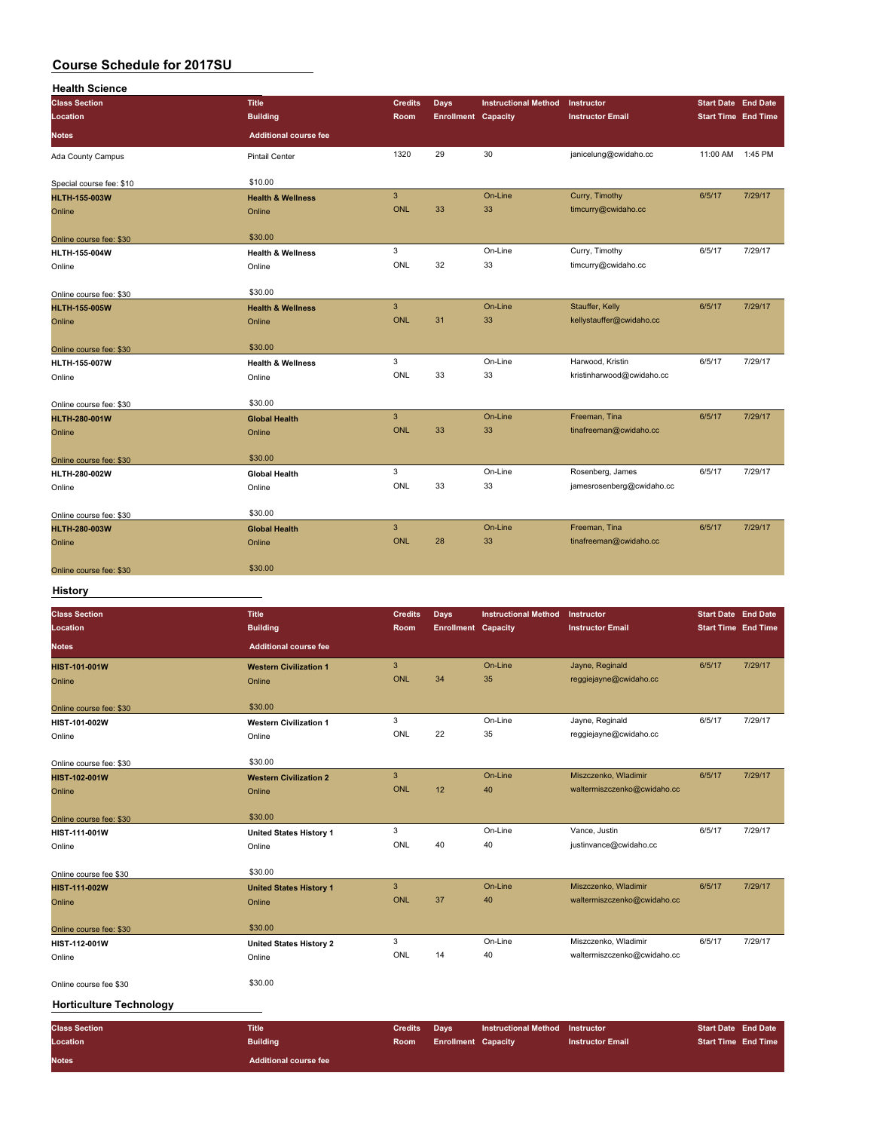| <b>Health Science</b>    |                              |                |                            |                             |                           |                            |         |
|--------------------------|------------------------------|----------------|----------------------------|-----------------------------|---------------------------|----------------------------|---------|
| <b>Class Section</b>     | <b>Title</b>                 | <b>Credits</b> | Days                       | <b>Instructional Method</b> | Instructor                | <b>Start Date End Date</b> |         |
| Location                 | <b>Building</b>              | Room           | <b>Enrollment Capacity</b> |                             | <b>Instructor Email</b>   | <b>Start Time End Time</b> |         |
| <b>Notes</b>             | <b>Additional course fee</b> |                |                            |                             |                           |                            |         |
| Ada County Campus        | Pintail Center               | 1320           | 29                         | 30                          | janicelung@cwidaho.cc     | 11:00 AM 1:45 PM           |         |
| Special course fee: \$10 | \$10.00                      |                |                            |                             |                           |                            |         |
| <b>HLTH-155-003W</b>     | <b>Health &amp; Wellness</b> | $\overline{3}$ |                            | On-Line                     | Curry, Timothy            | 6/5/17                     | 7/29/17 |
| Online                   | Online                       | <b>ONL</b>     | 33                         | 33                          | timcurry@cwidaho.cc       |                            |         |
| Online course fee: \$30  | \$30.00                      |                |                            |                             |                           |                            |         |
| HLTH-155-004W            | <b>Health &amp; Wellness</b> | 3              |                            | On-Line                     | Curry, Timothy            | 6/5/17                     | 7/29/17 |
| Online                   | Online                       | ONL            | 32                         | 33                          | timcurry@cwidaho.cc       |                            |         |
| Online course fee: \$30  | \$30.00                      |                |                            |                             |                           |                            |         |
| <b>HLTH-155-005W</b>     | <b>Health &amp; Wellness</b> | $\mathbf{3}$   |                            | On-Line                     | Stauffer, Kelly           | 6/5/17                     | 7/29/17 |
| Online                   | Online                       | <b>ONL</b>     | 31                         | 33                          | kellystauffer@cwidaho.cc  |                            |         |
| Online course fee: \$30  | \$30.00                      |                |                            |                             |                           |                            |         |
| <b>HLTH-155-007W</b>     | <b>Health &amp; Wellness</b> | 3              |                            | On-Line                     | Harwood, Kristin          | 6/5/17                     | 7/29/17 |
| Online                   | Online                       | ONL            | 33                         | 33                          | kristinharwood@cwidaho.cc |                            |         |
| Online course fee: \$30  | \$30.00                      |                |                            |                             |                           |                            |         |
| <b>HLTH-280-001W</b>     | <b>Global Health</b>         | $\mathbf{3}$   |                            | On-Line                     | Freeman, Tina             | 6/5/17                     | 7/29/17 |
| Online                   | Online                       | <b>ONL</b>     | 33                         | 33                          | tinafreeman@cwidaho.cc    |                            |         |
| Online course fee: \$30  | \$30.00                      |                |                            |                             |                           |                            |         |
| HLTH-280-002W            | <b>Global Health</b>         | 3              |                            | On-Line                     | Rosenberg, James          | 6/5/17                     | 7/29/17 |
| Online                   | Online                       | ONL            | 33                         | 33                          | jamesrosenberg@cwidaho.cc |                            |         |
| Online course fee: \$30  | \$30.00                      |                |                            |                             |                           |                            |         |
| <b>HLTH-280-003W</b>     | <b>Global Health</b>         | $\mathbf{3}$   |                            | On-Line                     | Freeman, Tina             | 6/5/17                     | 7/29/17 |
| Online                   | Online                       | <b>ONL</b>     | 28                         | 33                          | tinafreeman@cwidaho.cc    |                            |         |
| Online course fee: \$30  | \$30.00                      |                |                            |                             |                           |                            |         |

#### **History**

| <b>Class Section</b>           | <b>Title</b>                   | <b>Credits</b> | Days                       | <b>Instructional Method</b> | Instructor                  | <b>Start Date End Date</b> |         |
|--------------------------------|--------------------------------|----------------|----------------------------|-----------------------------|-----------------------------|----------------------------|---------|
| Location                       | <b>Building</b>                | Room           | <b>Enrollment Capacity</b> |                             | <b>Instructor Email</b>     | <b>Start Time End Time</b> |         |
| <b>Notes</b>                   | <b>Additional course fee</b>   |                |                            |                             |                             |                            |         |
| <b>HIST-101-001W</b>           | <b>Western Civilization 1</b>  | $\mathbf{3}$   |                            | On-Line                     | Jayne, Reginald             | 6/5/17                     | 7/29/17 |
| Online                         | Online                         | <b>ONL</b>     | 34                         | 35                          | reggiejayne@cwidaho.cc      |                            |         |
| Online course fee: \$30        | \$30.00                        |                |                            |                             |                             |                            |         |
| HIST-101-002W                  | <b>Western Civilization 1</b>  | 3              |                            | On-Line                     | Jayne, Reginald             | 6/5/17                     | 7/29/17 |
| Online                         | Online                         | ONL            | 22                         | 35                          | reggiejayne@cwidaho.cc      |                            |         |
| Online course fee: \$30        | \$30.00                        |                |                            |                             |                             |                            |         |
| HIST-102-001W                  | <b>Western Civilization 2</b>  | $\mathbf{3}$   |                            | On-Line                     | Miszczenko, Wladimir        | 6/5/17                     | 7/29/17 |
| Online                         | Online                         | <b>ONL</b>     | 12                         | 40                          | waltermiszczenko@cwidaho.cc |                            |         |
| Online course fee: \$30        | \$30.00                        |                |                            |                             |                             |                            |         |
| HIST-111-001W                  | <b>United States History 1</b> | 3              |                            | On-Line                     | Vance, Justin               | 6/5/17                     | 7/29/17 |
| Online                         | Online                         | ONL            | 40                         | 40                          | justinvance@cwidaho.cc      |                            |         |
| Online course fee \$30         | \$30.00                        |                |                            |                             |                             |                            |         |
| HIST-111-002W                  | <b>United States History 1</b> | $\mathbf{3}$   |                            | On-Line                     | Miszczenko, Wladimir        | 6/5/17                     | 7/29/17 |
| Online                         | Online                         | <b>ONL</b>     | 37                         | 40                          | waltermiszczenko@cwidaho.cc |                            |         |
| Online course fee: \$30        | \$30.00                        |                |                            |                             |                             |                            |         |
| HIST-112-001W                  | <b>United States History 2</b> | 3              |                            | On-Line                     | Miszczenko, Wladimir        | 6/5/17                     | 7/29/17 |
| Online                         | Online                         | ONL            | 14                         | 40                          | waltermiszczenko@cwidaho.cc |                            |         |
| Online course fee \$30         | \$30.00                        |                |                            |                             |                             |                            |         |
| <b>Horticulture Technology</b> |                                |                |                            |                             |                             |                            |         |
| <b>Class Section</b>           | <b>Title</b>                   | <b>Credits</b> | Days                       | <b>Instructional Method</b> | Instructor                  | <b>Start Date End Date</b> |         |

**Location Building Room Enrollment Capacity Instructor Email Start Time** End Time **Notes Additional course fee**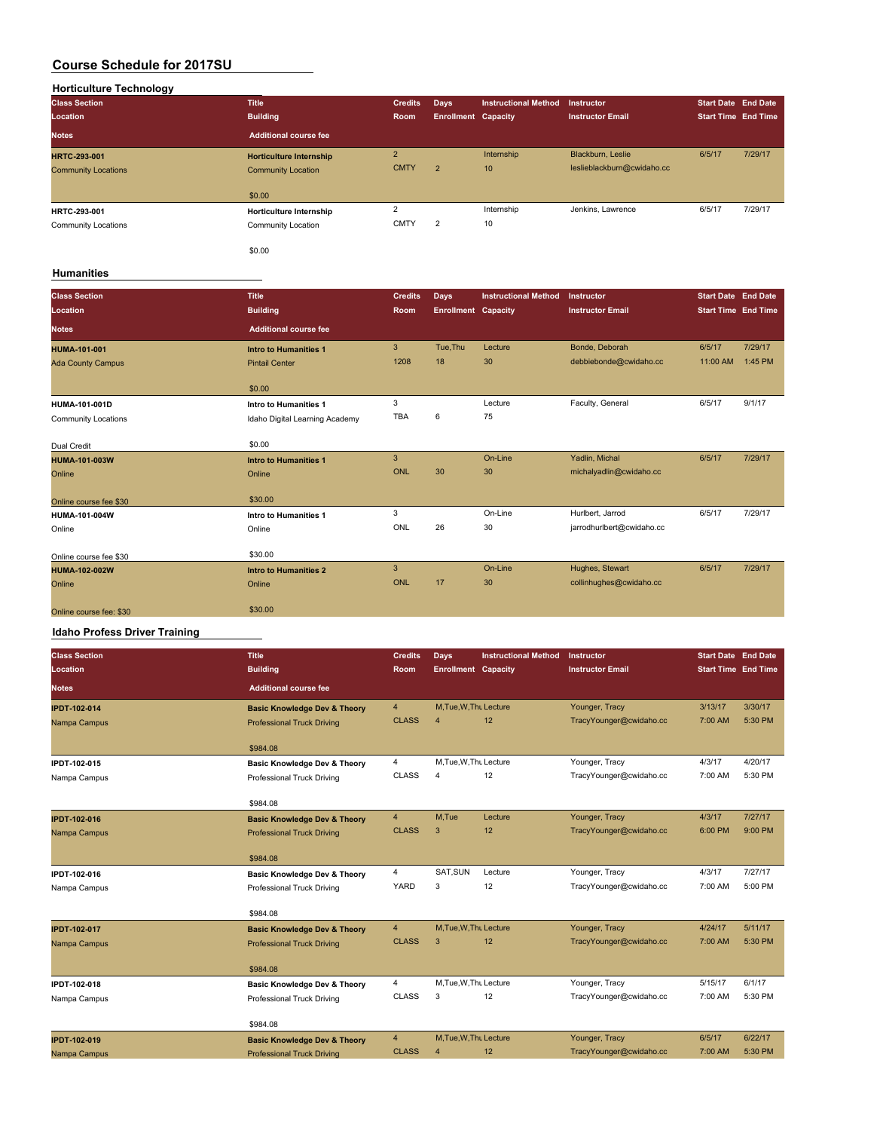| <b>Horticulture Technology</b> |                                |                |                            |                             |                            |                            |         |
|--------------------------------|--------------------------------|----------------|----------------------------|-----------------------------|----------------------------|----------------------------|---------|
| <b>Class Section</b>           | <b>Title</b>                   | <b>Credits</b> | Days                       | <b>Instructional Method</b> | <b>Instructor</b>          | <b>Start Date End Date</b> |         |
| Location                       | <b>Building</b>                | Room           | <b>Enrollment Capacity</b> |                             | <b>Instructor Email</b>    | <b>Start Time End Time</b> |         |
| <b>Notes</b>                   | <b>Additional course fee</b>   |                |                            |                             |                            |                            |         |
| <b>HRTC-293-001</b>            | <b>Horticulture Internship</b> | $\overline{2}$ |                            | Internship                  | Blackburn, Leslie          | 6/5/17                     | 7/29/17 |
| <b>Community Locations</b>     | <b>Community Location</b>      | <b>CMTY</b>    | $\overline{2}$             | 10                          | leslieblackburn@cwidaho.cc |                            |         |
|                                | \$0.00                         |                |                            |                             |                            |                            |         |
| HRTC-293-001                   | Horticulture Internship        | $\sim$         |                            | Internship                  | Jenkins, Lawrence          | 6/5/17                     | 7/29/17 |
| <b>Community Locations</b>     | Community Location             | <b>CMTY</b>    | $\overline{2}$             | 10                          |                            |                            |         |
|                                | \$0.00                         |                |                            |                             |                            |                            |         |

#### **Humanities**

| <b>Class Section</b><br>Location | <b>Title</b><br><b>Building</b> | <b>Credits</b><br><b>Room</b> | <b>Days</b><br><b>Enrollment Capacity</b> | <b>Instructional Method</b> | Instructor<br><b>Instructor Email</b> | <b>Start Date End Date</b><br><b>Start Time End Time</b> |         |
|----------------------------------|---------------------------------|-------------------------------|-------------------------------------------|-----------------------------|---------------------------------------|----------------------------------------------------------|---------|
| <b>Notes</b>                     | <b>Additional course fee</b>    |                               |                                           |                             |                                       |                                                          |         |
| <b>HUMA-101-001</b>              | <b>Intro to Humanities 1</b>    | 3                             | Tue, Thu                                  | Lecture                     | Bonde, Deborah                        | 6/5/17                                                   | 7/29/17 |
| <b>Ada County Campus</b>         | <b>Pintail Center</b>           | 1208                          | 18                                        | 30                          | debbiebonde@cwidaho.cc                | 11:00 AM                                                 | 1:45 PM |
|                                  | \$0.00                          |                               |                                           |                             |                                       |                                                          |         |
| HUMA-101-001D                    | Intro to Humanities 1           | 3                             |                                           | Lecture                     | Faculty, General                      | 6/5/17                                                   | 9/1/17  |
| <b>Community Locations</b>       | Idaho Digital Learning Academy  | <b>TBA</b>                    | 6                                         | 75                          |                                       |                                                          |         |
| Dual Credit                      | \$0.00                          |                               |                                           |                             |                                       |                                                          |         |
| <b>HUMA-101-003W</b>             | <b>Intro to Humanities 1</b>    | 3                             |                                           | On-Line                     | Yadlin, Michal                        | 6/5/17                                                   | 7/29/17 |
| Online                           | Online                          | <b>ONL</b>                    | 30                                        | 30                          | michalyadlin@cwidaho.cc               |                                                          |         |
| Online course fee \$30           | \$30.00                         |                               |                                           |                             |                                       |                                                          |         |
| HUMA-101-004W                    | Intro to Humanities 1           | 3                             |                                           | On-Line                     | Hurlbert, Jarrod                      | 6/5/17                                                   | 7/29/17 |
| Online                           | Online                          | ONL                           | 26                                        | 30                          | jarrodhurlbert@cwidaho.cc             |                                                          |         |
| Online course fee \$30           | \$30.00                         |                               |                                           |                             |                                       |                                                          |         |
| <b>HUMA-102-002W</b>             | <b>Intro to Humanities 2</b>    | $\overline{3}$                |                                           | On-Line                     | Hughes, Stewart                       | 6/5/17                                                   | 7/29/17 |
| Online                           | Online                          | ONL                           | 17                                        | 30                          | collinhughes@cwidaho.cc               |                                                          |         |
| Online course fee: \$30          | \$30.00                         |                               |                                           |                             |                                       |                                                          |         |

#### **Idaho Profess Driver Training**

| <b>Class Section</b><br>Location | <b>Title</b><br><b>Building</b>         | <b>Credits</b><br><b>Room</b> | <b>Days</b><br><b>Enrollment Capacity</b> | <b>Instructional Method</b> | Instructor<br><b>Instructor Email</b> | <b>Start Date</b> End Date<br><b>Start Time End Time</b> |         |
|----------------------------------|-----------------------------------------|-------------------------------|-------------------------------------------|-----------------------------|---------------------------------------|----------------------------------------------------------|---------|
| <b>Notes</b>                     | <b>Additional course fee</b>            |                               |                                           |                             |                                       |                                                          |         |
| <b>IPDT-102-014</b>              | <b>Basic Knowledge Dev &amp; Theory</b> | $\overline{4}$                | M, Tue, W, Thu Lecture                    |                             | Younger, Tracy                        | 3/13/17                                                  | 3/30/17 |
| Nampa Campus                     | <b>Professional Truck Driving</b>       | <b>CLASS</b>                  | $\overline{4}$                            | 12                          | TracyYounger@cwidaho.cc               | 7:00 AM                                                  | 5:30 PM |
|                                  | \$984.08                                |                               |                                           |                             |                                       |                                                          |         |
| IPDT-102-015                     | <b>Basic Knowledge Dev &amp; Theory</b> | 4                             | M.Tue, W.Thu Lecture                      |                             | Younger, Tracy                        | 4/3/17                                                   | 4/20/17 |
| Nampa Campus                     | Professional Truck Driving              | <b>CLASS</b>                  | $\overline{4}$                            | 12                          | TracyYounger@cwidaho.cc               | 7:00 AM                                                  | 5:30 PM |
|                                  | \$984.08                                |                               |                                           |                             |                                       |                                                          |         |
| <b>IPDT-102-016</b>              | <b>Basic Knowledge Dev &amp; Theory</b> | $\overline{4}$                | M,Tue                                     | Lecture                     | Younger, Tracy                        | 4/3/17                                                   | 7/27/17 |
| Nampa Campus                     | <b>Professional Truck Driving</b>       | <b>CLASS</b>                  | 3                                         | 12                          | TracyYounger@cwidaho.cc               | 6:00 PM                                                  | 9:00 PM |
|                                  | \$984.08                                |                               |                                           |                             |                                       |                                                          |         |
| IPDT-102-016                     | <b>Basic Knowledge Dev &amp; Theory</b> | 4                             | SAT, SUN                                  | Lecture                     | Younger, Tracy                        | 4/3/17                                                   | 7/27/17 |
| Nampa Campus                     | Professional Truck Driving              | YARD                          | 3                                         | 12                          | TracyYounger@cwidaho.cc               | 7:00 AM                                                  | 5:00 PM |
|                                  | \$984.08                                |                               |                                           |                             |                                       |                                                          |         |
| <b>IPDT-102-017</b>              | <b>Basic Knowledge Dev &amp; Theory</b> | $\overline{4}$                | M, Tue, W, Thu Lecture                    |                             | Younger, Tracy                        | 4/24/17                                                  | 5/11/17 |
| Nampa Campus                     | <b>Professional Truck Driving</b>       | <b>CLASS</b>                  | 3                                         | 12                          | TracyYounger@cwidaho.cc               | 7:00 AM                                                  | 5:30 PM |
|                                  | \$984.08                                |                               |                                           |                             |                                       |                                                          |         |
| IPDT-102-018                     | <b>Basic Knowledge Dev &amp; Theory</b> | 4                             | M, Tue, W, Thu Lecture                    |                             | Younger, Tracy                        | 5/15/17                                                  | 6/1/17  |
| Nampa Campus                     | Professional Truck Driving              | <b>CLASS</b>                  | 3                                         | 12                          | TracyYounger@cwidaho.cc               | 7:00 AM                                                  | 5:30 PM |
|                                  | \$984.08                                |                               |                                           |                             |                                       |                                                          |         |
| <b>IPDT-102-019</b>              | <b>Basic Knowledge Dev &amp; Theory</b> | $\overline{4}$                | M, Tue, W, Thu Lecture                    |                             | Younger, Tracy                        | 6/5/17                                                   | 6/22/17 |
| Nampa Campus                     | <b>Professional Truck Driving</b>       | <b>CLASS</b>                  | $\overline{4}$                            | 12                          | TracyYounger@cwidaho.cc               | 7:00 AM                                                  | 5:30 PM |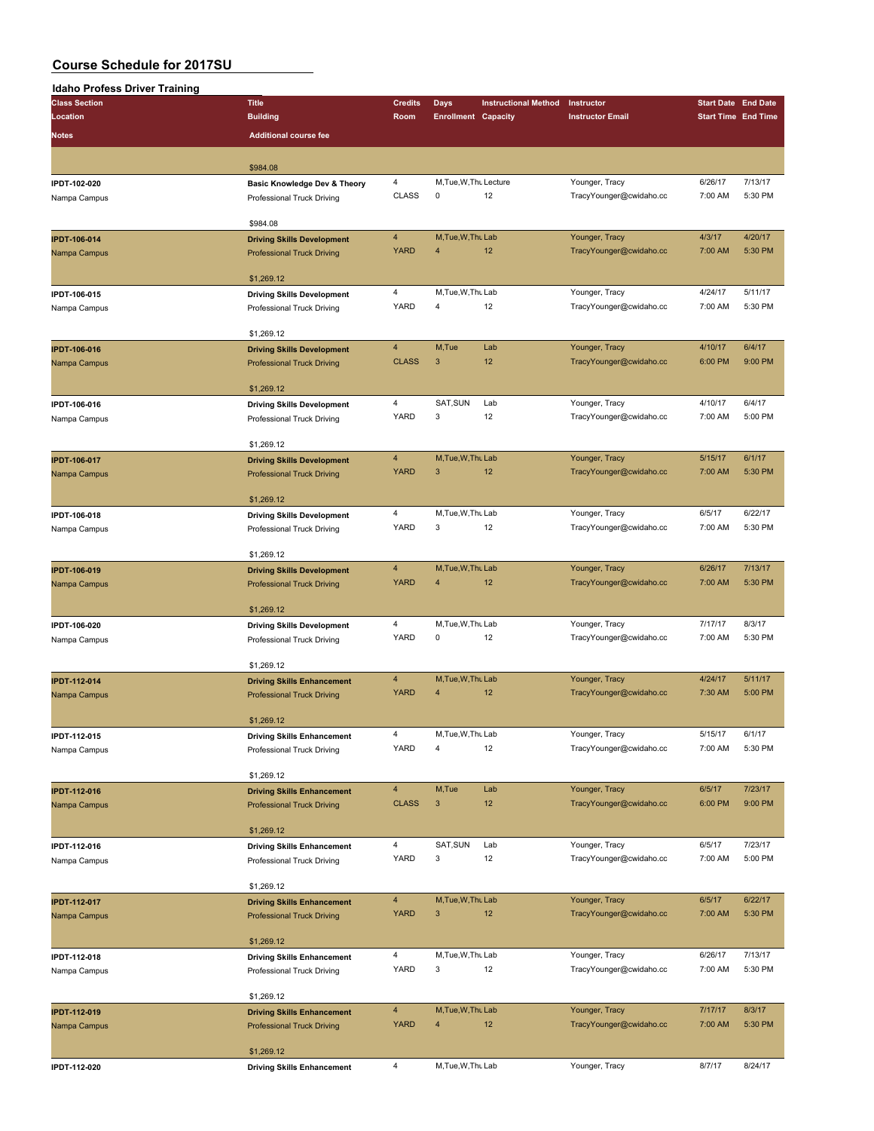# **Idaho Profess Driver Training**

| <b>Class Section</b>                | <b>Title</b>                                                           | <b>Credits</b>                | <b>Days</b>                          | <b>Instructional Method</b> | Instructor                                | <b>Start Date End Date</b> |                            |
|-------------------------------------|------------------------------------------------------------------------|-------------------------------|--------------------------------------|-----------------------------|-------------------------------------------|----------------------------|----------------------------|
| Location                            | <b>Building</b>                                                        | Room                          | <b>Enrollment Capacity</b>           |                             | <b>Instructor Email</b>                   |                            | <b>Start Time End Time</b> |
| <b>Notes</b>                        | <b>Additional course fee</b>                                           |                               |                                      |                             |                                           |                            |                            |
|                                     |                                                                        |                               |                                      |                             |                                           |                            |                            |
|                                     | \$984.08                                                               |                               |                                      |                             |                                           |                            |                            |
| IPDT-102-020                        | <b>Basic Knowledge Dev &amp; Theory</b>                                | $\overline{4}$                | M, Tue, W, Thu Lecture               |                             | Younger, Tracy                            | 6/26/17                    | 7/13/17                    |
| Nampa Campus                        | Professional Truck Driving                                             | <b>CLASS</b>                  | 0                                    | 12                          | TracyYounger@cwidaho.cc                   | 7:00 AM                    | 5:30 PM                    |
|                                     |                                                                        |                               |                                      |                             |                                           |                            |                            |
|                                     | \$984.08                                                               | $\overline{4}$                | M, Tue, W, Thu Lab                   |                             | Younger, Tracy                            | 4/3/17                     | 4/20/17                    |
| <b>IPDT-106-014</b><br>Nampa Campus | <b>Driving Skills Development</b><br><b>Professional Truck Driving</b> | <b>YARD</b>                   | $\overline{4}$                       | 12                          | TracyYounger@cwidaho.cc                   | 7:00 AM                    | 5:30 PM                    |
|                                     |                                                                        |                               |                                      |                             |                                           |                            |                            |
|                                     | \$1,269.12                                                             |                               |                                      |                             |                                           |                            |                            |
| IPDT-106-015                        | <b>Driving Skills Development</b>                                      | 4                             | M, Tue, W, Thu Lab                   |                             | Younger, Tracy                            | 4/24/17                    | 5/11/17                    |
| Nampa Campus                        | Professional Truck Driving                                             | YARD                          | $\overline{4}$                       | 12                          | TracyYounger@cwidaho.cc                   | 7:00 AM                    | 5:30 PM                    |
|                                     | \$1,269.12                                                             |                               |                                      |                             |                                           |                            |                            |
| <b>IPDT-106-016</b>                 | <b>Driving Skills Development</b>                                      | $\overline{4}$                | M, Tue                               | Lab                         | Younger, Tracy                            | 4/10/17                    | 6/4/17                     |
| Nampa Campus                        | <b>Professional Truck Driving</b>                                      | <b>CLASS</b>                  | $\mathbf{3}$                         | 12                          | TracyYounger@cwidaho.cc                   | 6:00 PM                    | 9:00 PM                    |
|                                     |                                                                        |                               |                                      |                             |                                           |                            |                            |
|                                     | \$1,269.12                                                             |                               |                                      |                             |                                           |                            |                            |
| IPDT-106-016                        | <b>Driving Skills Development</b>                                      | $\overline{4}$<br>YARD        | SAT, SUN<br>3                        | Lab<br>12                   | Younger, Tracy                            | 4/10/17<br>7:00 AM         | 6/4/17<br>5:00 PM          |
| Nampa Campus                        | Professional Truck Driving                                             |                               |                                      |                             | TracyYounger@cwidaho.cc                   |                            |                            |
|                                     | \$1,269.12                                                             |                               |                                      |                             |                                           |                            |                            |
| <b>IPDT-106-017</b>                 | <b>Driving Skills Development</b>                                      | $\overline{4}$                | M, Tue, W, Thu Lab                   |                             | Younger, Tracy                            | 5/15/17                    | 6/1/17                     |
| Nampa Campus                        | <b>Professional Truck Driving</b>                                      | <b>YARD</b>                   | $\mathbf{3}$                         | 12                          | TracyYounger@cwidaho.cc                   | 7:00 AM                    | 5:30 PM                    |
|                                     |                                                                        |                               |                                      |                             |                                           |                            |                            |
| IPDT-106-018                        | \$1,269.12                                                             | $\overline{4}$                | M, Tue, W, Thu Lab                   |                             | Younger, Tracy                            | 6/5/17                     | 6/22/17                    |
| Nampa Campus                        | <b>Driving Skills Development</b><br>Professional Truck Driving        | YARD                          | 3                                    | 12                          | TracyYounger@cwidaho.cc                   | 7:00 AM                    | 5:30 PM                    |
|                                     |                                                                        |                               |                                      |                             |                                           |                            |                            |
|                                     | \$1,269.12                                                             |                               |                                      |                             |                                           |                            |                            |
| IPDT-106-019                        | <b>Driving Skills Development</b>                                      | $\overline{4}$                | M.Tue.W.Thu Lab                      |                             | Younger, Tracy                            | 6/26/17                    | 7/13/17                    |
| Nampa Campus                        | <b>Professional Truck Driving</b>                                      | <b>YARD</b>                   | 4                                    | 12                          | TracyYounger@cwidaho.cc                   | 7:00 AM                    | 5:30 PM                    |
|                                     | \$1,269.12                                                             |                               |                                      |                             |                                           |                            |                            |
| IPDT-106-020                        | <b>Driving Skills Development</b>                                      | $\overline{4}$                | M, Tue, W, Thu Lab                   |                             | Younger, Tracy                            | 7/17/17                    | 8/3/17                     |
| Nampa Campus                        | Professional Truck Driving                                             | YARD                          | 0                                    | 12                          | TracyYounger@cwidaho.cc                   | 7:00 AM                    | 5:30 PM                    |
|                                     |                                                                        |                               |                                      |                             |                                           |                            |                            |
|                                     | \$1,269.12                                                             |                               |                                      |                             |                                           |                            |                            |
| IPDT-112-014                        | <b>Driving Skills Enhancement</b><br><b>Professional Truck Driving</b> | $\overline{4}$<br><b>YARD</b> | M, Tue, W, Thu Lab<br>$\overline{4}$ | 12                          | Younger, Tracy<br>TracyYounger@cwidaho.cc | 4/24/17<br>7:30 AM         | 5/11/17<br>5:00 PM         |
| Nampa Campus                        |                                                                        |                               |                                      |                             |                                           |                            |                            |
|                                     | \$1,269.12                                                             |                               |                                      |                             |                                           |                            |                            |
| IPDT-112-015                        | <b>Driving Skills Enhancement</b>                                      |                               | M, Tue, W, Thu Lab                   |                             | Younger, Tracy                            | 5/15/17                    | 6/1/17                     |
| Nampa Campus                        | Professional Truck Driving                                             | <b>YARD</b>                   | $\overline{\mathbf{4}}$              | 12                          | TracyYounger@cwidaho.cc                   | 7:00 AM                    | 5:30 PM                    |
|                                     | \$1,269.12                                                             |                               |                                      |                             |                                           |                            |                            |
| IPDT-112-016                        | <b>Driving Skills Enhancement</b>                                      | $\overline{4}$                | M,Tue                                | Lab                         | Younger, Tracy                            | 6/5/17                     | 7/23/17                    |
| Nampa Campus                        | <b>Professional Truck Driving</b>                                      | <b>CLASS</b>                  | $\ensuremath{\mathsf{3}}$            | 12                          | TracyYounger@cwidaho.cc                   | 6:00 PM                    | 9:00 PM                    |
|                                     |                                                                        |                               |                                      |                             |                                           |                            |                            |
|                                     | \$1,269.12                                                             |                               |                                      |                             |                                           |                            |                            |
| IPDT-112-016                        | <b>Driving Skills Enhancement</b>                                      | $\overline{4}$<br>YARD        | SAT, SUN<br>3                        | Lab<br>12                   | Younger, Tracy<br>TracyYounger@cwidaho.cc | 6/5/17<br>7:00 AM          | 7/23/17<br>5:00 PM         |
| Nampa Campus                        | Professional Truck Driving                                             |                               |                                      |                             |                                           |                            |                            |
|                                     | \$1,269.12                                                             |                               |                                      |                             |                                           |                            |                            |
| IPDT-112-017                        | <b>Driving Skills Enhancement</b>                                      | $\overline{4}$                | M, Tue, W, Thu Lab                   |                             | Younger, Tracy                            | 6/5/17                     | 6/22/17                    |
| Nampa Campus                        | <b>Professional Truck Driving</b>                                      | <b>YARD</b>                   | $\mathbf{3}$                         | 12                          | TracyYounger@cwidaho.cc                   | 7:00 AM                    | 5:30 PM                    |
|                                     |                                                                        |                               |                                      |                             |                                           |                            |                            |
| IPDT-112-018                        | \$1,269.12<br><b>Driving Skills Enhancement</b>                        | $\overline{4}$                | M, Tue, W, Thu Lab                   |                             | Younger, Tracy                            | 6/26/17                    | 7/13/17                    |
| Nampa Campus                        | Professional Truck Driving                                             | <b>YARD</b>                   | 3                                    | 12                          | TracyYounger@cwidaho.cc                   | 7:00 AM                    | 5:30 PM                    |
|                                     |                                                                        |                               |                                      |                             |                                           |                            |                            |
|                                     | \$1,269.12                                                             |                               |                                      |                             |                                           |                            |                            |
| IPDT-112-019                        | <b>Driving Skills Enhancement</b>                                      | $\overline{4}$                | M, Tue, W, Thu Lab                   |                             | Younger, Tracy                            | 7/17/17                    | 8/3/17                     |
| Nampa Campus                        | <b>Professional Truck Driving</b>                                      | <b>YARD</b>                   | $\overline{4}$                       | 12                          | TracyYounger@cwidaho.cc                   | 7:00 AM                    | 5:30 PM                    |
|                                     | \$1,269.12                                                             |                               |                                      |                             |                                           |                            |                            |
| IPDT-112-020                        | <b>Driving Skills Enhancement</b>                                      | $\overline{4}$                | M, Tue, W, Thu Lab                   |                             | Younger, Tracy                            | 8/7/17                     | 8/24/17                    |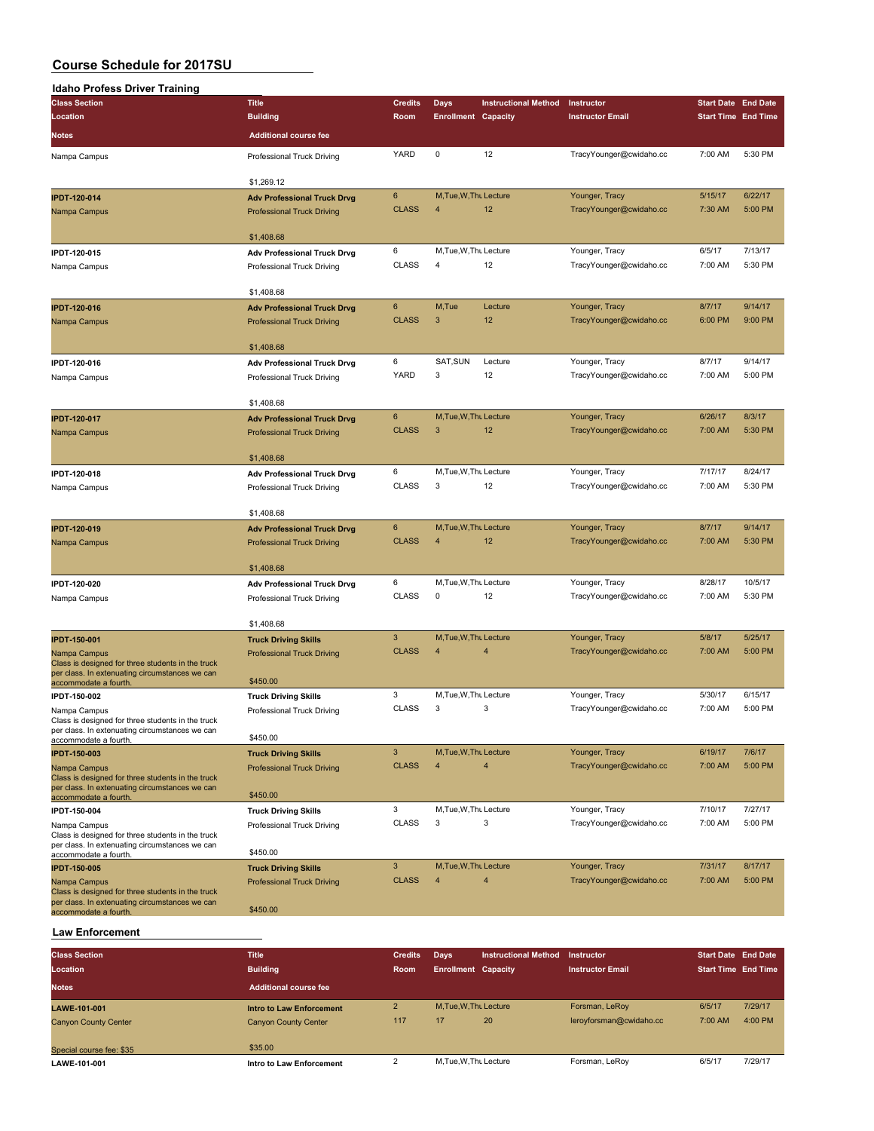| <b>Idaho Profess Driver Training</b>                                                                                                         |                                               |                |                            |                             |                         |                                                                                                                                                                                                                                                                                       |         |
|----------------------------------------------------------------------------------------------------------------------------------------------|-----------------------------------------------|----------------|----------------------------|-----------------------------|-------------------------|---------------------------------------------------------------------------------------------------------------------------------------------------------------------------------------------------------------------------------------------------------------------------------------|---------|
| <b>Class Section</b>                                                                                                                         | <b>Title</b>                                  | <b>Credits</b> | Days                       | <b>Instructional Method</b> | Instructor              |                                                                                                                                                                                                                                                                                       |         |
| Location                                                                                                                                     | <b>Building</b>                               | Room           | <b>Enrollment Capacity</b> |                             | <b>Instructor Email</b> |                                                                                                                                                                                                                                                                                       |         |
| <b>Notes</b>                                                                                                                                 | <b>Additional course fee</b>                  |                |                            |                             |                         |                                                                                                                                                                                                                                                                                       |         |
| Nampa Campus                                                                                                                                 | Professional Truck Driving                    | YARD           | 0                          | 12                          | TracyYounger@cwidaho.cc | 7:00 AM                                                                                                                                                                                                                                                                               | 5:30 PM |
|                                                                                                                                              | \$1,269.12                                    |                |                            |                             |                         | 5/15/17<br>7:30 AM<br>6/5/17<br>7:00 AM<br>8/7/17<br>6:00 PM<br>8/7/17<br>7:00 AM<br>6/26/17<br>7:00 AM<br>7/17/17<br>7:00 AM<br>8/7/17<br>7:00 AM<br>8/28/17<br>7:00 AM<br>5/8/17<br>7:00 AM<br>5/30/17<br>7:00 AM<br>6/19/17<br>7:00 AM<br>7/10/17<br>7:00 AM<br>7/31/17<br>7:00 AM |         |
| <b>IPDT-120-014</b>                                                                                                                          | <b>Adv Professional Truck Drvg</b>            | 6              | M, Tue, W, Thu Lecture     |                             | Younger, Tracy          |                                                                                                                                                                                                                                                                                       | 6/22/17 |
| Nampa Campus                                                                                                                                 | <b>Professional Truck Driving</b>             | <b>CLASS</b>   | $\overline{4}$             | 12                          | TracyYounger@cwidaho.cc |                                                                                                                                                                                                                                                                                       | 5:00 PM |
|                                                                                                                                              | \$1,408.68                                    |                |                            |                             |                         |                                                                                                                                                                                                                                                                                       |         |
| IPDT-120-015                                                                                                                                 | <b>Adv Professional Truck Drvg</b>            | 6              | M, Tue, W, Thu Lecture     |                             | Younger, Tracy          |                                                                                                                                                                                                                                                                                       | 7/13/17 |
| Nampa Campus                                                                                                                                 | Professional Truck Driving                    | <b>CLASS</b>   | 4                          | 12                          | TracyYounger@cwidaho.cc |                                                                                                                                                                                                                                                                                       | 5:30 PM |
|                                                                                                                                              | \$1,408.68                                    |                |                            |                             |                         |                                                                                                                                                                                                                                                                                       |         |
| <b>IPDT-120-016</b>                                                                                                                          | <b>Adv Professional Truck Drvg</b>            | 6              | M,Tue                      | Lecture                     | Younger, Tracy          |                                                                                                                                                                                                                                                                                       | 9/14/17 |
| Nampa Campus                                                                                                                                 | <b>Professional Truck Driving</b>             | <b>CLASS</b>   | $\mathbf{3}$               | 12                          | TracyYounger@cwidaho.cc | <b>Start Date End Date</b><br><b>Start Time End Time</b>                                                                                                                                                                                                                              | 9:00 PM |
|                                                                                                                                              | \$1,408.68                                    |                |                            |                             |                         |                                                                                                                                                                                                                                                                                       |         |
| IPDT-120-016                                                                                                                                 | <b>Adv Professional Truck Drvg</b>            | 6              | SAT, SUN                   | Lecture                     | Younger, Tracy          |                                                                                                                                                                                                                                                                                       | 9/14/17 |
| Nampa Campus                                                                                                                                 | Professional Truck Driving                    | YARD           | 3                          | 12                          | TracyYounger@cwidaho.cc |                                                                                                                                                                                                                                                                                       | 5:00 PM |
|                                                                                                                                              | \$1,408.68                                    |                |                            |                             |                         |                                                                                                                                                                                                                                                                                       |         |
| <b>IPDT-120-017</b>                                                                                                                          | <b>Adv Professional Truck Drvg</b>            | $\bf 6$        | M, Tue, W, Thu Lecture     |                             | Younger, Tracy          |                                                                                                                                                                                                                                                                                       | 8/3/17  |
| Nampa Campus                                                                                                                                 | <b>Professional Truck Driving</b>             | <b>CLASS</b>   | $\mathbf{3}$               | 12                          | TracyYounger@cwidaho.cc |                                                                                                                                                                                                                                                                                       | 5:30 PM |
|                                                                                                                                              | \$1,408.68                                    |                |                            |                             |                         |                                                                                                                                                                                                                                                                                       |         |
| IPDT-120-018                                                                                                                                 | <b>Adv Professional Truck Drvg</b>            | 6              | M, Tue, W, Thu Lecture     |                             | Younger, Tracy          |                                                                                                                                                                                                                                                                                       | 8/24/17 |
| Nampa Campus                                                                                                                                 | Professional Truck Driving                    | <b>CLASS</b>   | 3                          | 12                          | TracyYounger@cwidaho.cc |                                                                                                                                                                                                                                                                                       | 5:30 PM |
|                                                                                                                                              | \$1,408.68                                    |                |                            |                             |                         |                                                                                                                                                                                                                                                                                       |         |
| <b>IPDT-120-019</b>                                                                                                                          | <b>Adv Professional Truck Drvg</b>            | 6              | M, Tue, W, Thu Lecture     |                             | Younger, Tracy          |                                                                                                                                                                                                                                                                                       | 9/14/17 |
| Nampa Campus                                                                                                                                 | <b>Professional Truck Driving</b>             | <b>CLASS</b>   | 4                          | 12                          | TracyYounger@cwidaho.cc |                                                                                                                                                                                                                                                                                       | 5:30 PM |
|                                                                                                                                              | \$1,408.68                                    |                |                            |                             |                         |                                                                                                                                                                                                                                                                                       |         |
| IPDT-120-020                                                                                                                                 | <b>Adv Professional Truck Drvg</b>            | 6              | M, Tue, W, Thu Lecture     |                             | Younger, Tracy          |                                                                                                                                                                                                                                                                                       | 10/5/17 |
| Nampa Campus                                                                                                                                 | Professional Truck Driving                    | <b>CLASS</b>   | 0                          | 12                          | TracyYounger@cwidaho.cc |                                                                                                                                                                                                                                                                                       | 5:30 PM |
|                                                                                                                                              | \$1,408.68                                    |                |                            |                             |                         |                                                                                                                                                                                                                                                                                       |         |
| <b>IPDT-150-001</b>                                                                                                                          | <b>Truck Driving Skills</b>                   | 3              | M, Tue, W, Thu Lecture     |                             | Younger, Tracy          |                                                                                                                                                                                                                                                                                       | 5/25/17 |
| Nampa Campus<br>Class is designed for three students in the truck<br>per class. In extenuating circumstances we can<br>accommodate a fourth. | <b>Professional Truck Driving</b><br>\$450.00 | <b>CLASS</b>   | 4                          | $\overline{4}$              | TracyYounger@cwidaho.cc |                                                                                                                                                                                                                                                                                       | 5:00 PM |
| IPDT-150-002                                                                                                                                 | <b>Truck Driving Skills</b>                   | 3              | M, Tue, W, Thu Lecture     |                             | Younger, Tracy          |                                                                                                                                                                                                                                                                                       | 6/15/17 |
| Nampa Campus<br>Class is designed for three students in the truck                                                                            | Professional Truck Driving                    | <b>CLASS</b>   | 3                          | 3                           | TracyYounger@cwidaho.cc |                                                                                                                                                                                                                                                                                       | 5:00 PM |
| per class. In extenuating circumstances we can<br>accommodate a fourth.                                                                      | \$450.00                                      |                |                            |                             |                         |                                                                                                                                                                                                                                                                                       |         |
| <b>IPDT-150-003</b>                                                                                                                          | <b>Truck Driving Skills</b>                   | $\mathbf{3}$   | M, Tue, W, Thu Lecture     |                             | Younger, Tracy          |                                                                                                                                                                                                                                                                                       | 7/6/17  |
| Nampa Campus                                                                                                                                 | <b>Professional Truck Driving</b>             | <b>CLASS</b>   | $\overline{4}$             | $\overline{4}$              | TracyYounger@cwidaho.cc |                                                                                                                                                                                                                                                                                       | 5:00 PM |
| Class is designed for three students in the truck<br>per class. In extenuating circumstances we can                                          | \$450.00                                      |                |                            |                             |                         |                                                                                                                                                                                                                                                                                       |         |
| accommodate a fourth.<br>IPDT-150-004                                                                                                        | <b>Truck Driving Skills</b>                   | 3              | M, Tue, W, Thu Lecture     |                             | Younger, Tracy          |                                                                                                                                                                                                                                                                                       | 7/27/17 |
| Nampa Campus                                                                                                                                 | Professional Truck Driving                    | <b>CLASS</b>   | 3                          | 3                           | TracyYounger@cwidaho.cc |                                                                                                                                                                                                                                                                                       | 5:00 PM |
| Class is designed for three students in the truck<br>per class. In extenuating circumstances we can                                          | \$450.00                                      |                |                            |                             |                         |                                                                                                                                                                                                                                                                                       |         |
| accommodate a fourth.                                                                                                                        |                                               | $\mathbf{3}$   | M, Tue, W, Thu Lecture     |                             | Younger, Tracy          |                                                                                                                                                                                                                                                                                       | 8/17/17 |
| <b>IPDT-150-005</b>                                                                                                                          | <b>Truck Driving Skills</b>                   | <b>CLASS</b>   | $\overline{4}$             | $\overline{4}$              | TracyYounger@cwidaho.cc |                                                                                                                                                                                                                                                                                       | 5:00 PM |
| Nampa Campus<br>Class is designed for three students in the truck<br>per class. In extenuating circumstances we can                          | <b>Professional Truck Driving</b>             |                |                            |                             |                         |                                                                                                                                                                                                                                                                                       |         |
| accommodate a fourth.                                                                                                                        | \$450.00                                      |                |                            |                             |                         |                                                                                                                                                                                                                                                                                       |         |

### **Law Enforcement**

| <b>Class Section</b>        | <b>Title</b>                 | <b>Credits</b> | <b>Davs</b>                | <b>Instructional Method</b> | Instructor              | <b>Start Date End Date</b> |         |
|-----------------------------|------------------------------|----------------|----------------------------|-----------------------------|-------------------------|----------------------------|---------|
| Location                    | <b>Building</b>              | <b>Room</b>    | <b>Enrollment Capacity</b> |                             | <b>Instructor Email</b> | <b>Start Time End Time</b> |         |
| <b>Notes</b>                | <b>Additional course fee</b> |                |                            |                             |                         |                            |         |
| <b>LAWE-101-001</b>         | Intro to Law Enforcement     |                | M.Tue.W.Thu Lecture        |                             | Forsman, LeRoy          | 6/5/17                     | 7/29/17 |
| <b>Canyon County Center</b> | <b>Canyon County Center</b>  | 117            | 17                         | 20                          | leroyforsman@cwidaho.cc | 7:00 AM                    | 4:00 PM |
| Special course fee: \$35    | \$35.00                      |                |                            |                             |                         |                            |         |
| LAWE-101-001                | Intro to Law Enforcement     |                | M.Tue.W.Thu Lecture        |                             | Forsman, LeRoy          | 6/5/17                     | 7/29/17 |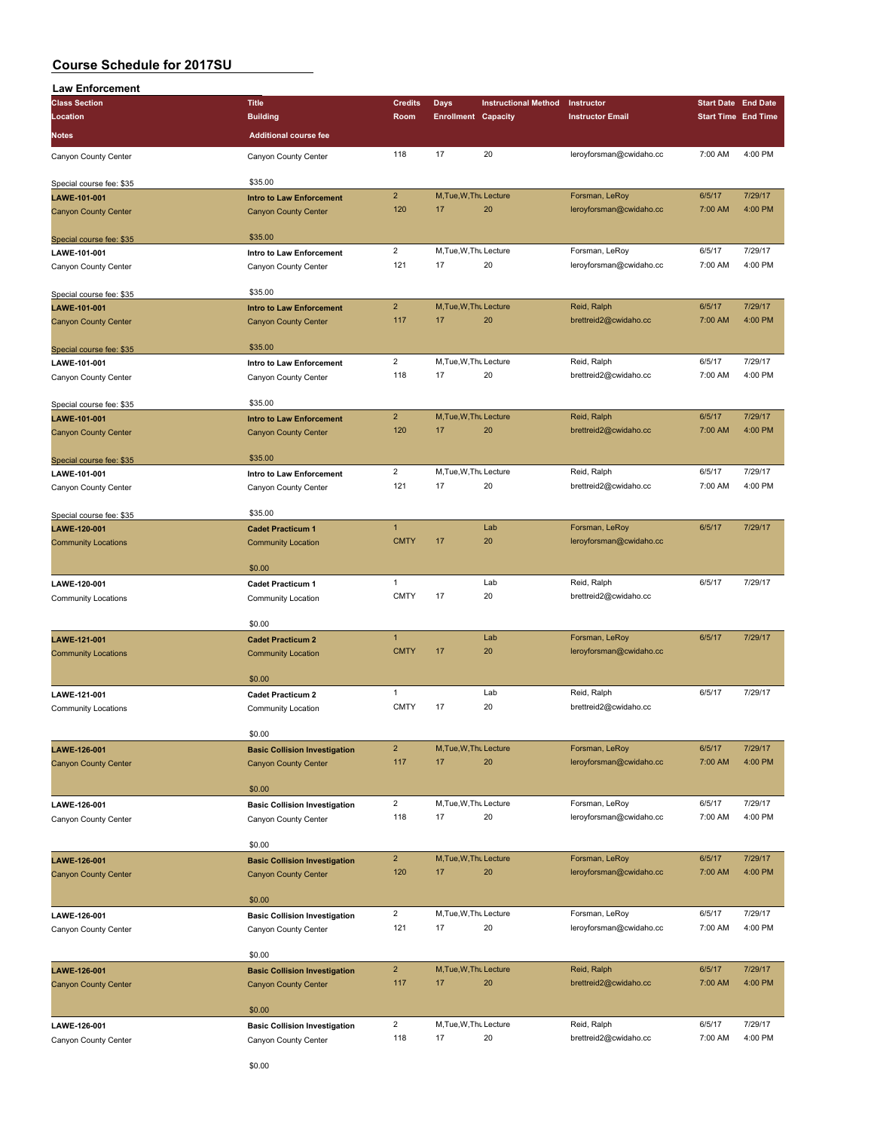| <b>Law Enforcement</b>      |                                      |                |                            |                             |                         |                            |         |
|-----------------------------|--------------------------------------|----------------|----------------------------|-----------------------------|-------------------------|----------------------------|---------|
| <b>Class Section</b>        | <b>Title</b>                         | <b>Credits</b> | <b>Days</b>                | <b>Instructional Method</b> | Instructor              | <b>Start Date End Date</b> |         |
| Location                    | <b>Building</b>                      | Room           | <b>Enrollment Capacity</b> |                             | <b>Instructor Email</b> | <b>Start Time End Time</b> |         |
| <b>Notes</b>                | <b>Additional course fee</b>         |                |                            |                             |                         |                            |         |
|                             |                                      |                |                            |                             |                         |                            |         |
| Canyon County Center        | Canyon County Center                 | 118            | 17                         | 20                          | leroyforsman@cwidaho.cc | 7:00 AM                    | 4:00 PM |
| Special course fee: \$35    | \$35.00                              |                |                            |                             |                         |                            |         |
| LAWE-101-001                | <b>Intro to Law Enforcement</b>      | $\overline{2}$ | M, Tue, W, Thu Lecture     |                             | Forsman, LeRoy          | 6/5/17                     | 7/29/17 |
| <b>Canyon County Center</b> | <b>Canyon County Center</b>          | 120            | 17                         | 20                          | leroyforsman@cwidaho.cc | 7:00 AM                    | 4:00 PM |
| Special course fee: \$35    | \$35.00                              |                |                            |                             |                         |                            |         |
| LAWE-101-001                | Intro to Law Enforcement             | $\overline{2}$ | M, Tue, W, Thu Lecture     |                             | Forsman, LeRoy          | 6/5/17                     | 7/29/17 |
| Canyon County Center        | Canyon County Center                 | 121            | 17                         | 20                          | leroyforsman@cwidaho.cc | 7:00 AM                    | 4:00 PM |
|                             |                                      |                |                            |                             |                         |                            |         |
| Special course fee: \$35    | \$35.00                              |                |                            |                             |                         |                            |         |
| LAWE-101-001                | <b>Intro to Law Enforcement</b>      | $\overline{2}$ | M, Tue, W, Thu Lecture     |                             | Reid, Ralph             | 6/5/17                     | 7/29/17 |
| <b>Canyon County Center</b> | <b>Canyon County Center</b>          | 117            | 17                         | 20                          | brettreid2@cwidaho.cc   | 7:00 AM                    | 4:00 PM |
| Special course fee: \$35    | \$35.00                              |                |                            |                             |                         |                            |         |
| LAWE-101-001                | Intro to Law Enforcement             | $\overline{2}$ | M, Tue, W, Thu Lecture     |                             | Reid, Ralph             | 6/5/17                     | 7/29/17 |
| Canyon County Center        | Canyon County Center                 | 118            | 17                         | 20                          | brettreid2@cwidaho.cc   | 7:00 AM                    | 4:00 PM |
|                             |                                      |                |                            |                             |                         |                            |         |
| Special course fee: \$35    | \$35.00                              |                |                            |                             |                         |                            |         |
| LAWE-101-001                | <b>Intro to Law Enforcement</b>      | $\overline{2}$ | M.Tue.W.Thu Lecture        |                             | Reid, Ralph             | 6/5/17                     | 7/29/17 |
| <b>Canyon County Center</b> | <b>Canyon County Center</b>          | 120            | 17                         | 20                          | brettreid2@cwidaho.cc   | 7:00 AM                    | 4:00 PM |
|                             |                                      |                |                            |                             |                         |                            |         |
| Special course fee: \$35    | \$35.00                              |                |                            |                             |                         |                            |         |
| LAWE-101-001                | Intro to Law Enforcement             | $\overline{2}$ | M, Tue, W, Thu Lecture     |                             | Reid, Ralph             | 6/5/17                     | 7/29/17 |
| Canyon County Center        | Canyon County Center                 | 121            | 17                         | 20                          | brettreid2@cwidaho.cc   | 7:00 AM                    | 4:00 PM |
| Special course fee: \$35    | \$35.00                              |                |                            |                             |                         |                            |         |
| LAWE-120-001                | <b>Cadet Practicum 1</b>             | $\overline{1}$ |                            | Lab                         | Forsman, LeRoy          | 6/5/17                     | 7/29/17 |
| <b>Community Locations</b>  | <b>Community Location</b>            | <b>CMTY</b>    | 17                         | 20                          | leroyforsman@cwidaho.cc |                            |         |
|                             |                                      |                |                            |                             |                         |                            |         |
|                             | \$0.00                               |                |                            |                             |                         |                            |         |
| LAWE-120-001                | <b>Cadet Practicum 1</b>             | $\mathbf{1}$   |                            | Lab                         | Reid, Ralph             | 6/5/17                     | 7/29/17 |
| <b>Community Locations</b>  | Community Location                   | <b>CMTY</b>    | 17                         | 20                          | brettreid2@cwidaho.cc   |                            |         |
|                             | \$0.00                               |                |                            |                             |                         |                            |         |
| LAWE-121-001                | <b>Cadet Practicum 2</b>             | $\mathbf{1}$   |                            | Lab                         | Forsman, LeRoy          | 6/5/17                     | 7/29/17 |
| <b>Community Locations</b>  | <b>Community Location</b>            | <b>CMTY</b>    | 17                         | 20                          | leroyforsman@cwidaho.cc |                            |         |
|                             |                                      |                |                            |                             |                         |                            |         |
|                             | \$0.00                               |                |                            |                             |                         |                            |         |
| LAWE-121-001                | <b>Cadet Practicum 2</b>             | $\mathbf{1}$   |                            | Lab                         | Reid, Ralph             | 6/5/17                     | 7/29/17 |
| Community Locations         | Community Location                   | <b>CMTY</b>    | 17                         | 20                          | brettreid2@cwidaho.cc   |                            |         |
|                             |                                      |                |                            |                             |                         |                            |         |
|                             | \$0.00                               |                |                            |                             |                         |                            |         |
| LAWE-126-001                | <b>Basic Collision Investigation</b> | $\overline{2}$ | M, Tue, W, Thu Lecture     |                             | Forsman, LeRoy          | 6/5/17                     | 7/29/17 |
| <b>Canyon County Center</b> | <b>Canyon County Center</b>          | 117            | 17                         | 20                          | leroyforsman@cwidaho.cc | 7:00 AM                    | 4:00 PM |
|                             | \$0.00                               |                |                            |                             |                         |                            |         |
| LAWE-126-001                | <b>Basic Collision Investigation</b> | $\overline{2}$ | M, Tue, W, Thu Lecture     |                             | Forsman, LeRoy          | 6/5/17                     | 7/29/17 |
| Canyon County Center        | Canyon County Center                 | 118            | 17                         | 20                          | leroyforsman@cwidaho.cc | 7:00 AM                    | 4:00 PM |
|                             |                                      |                |                            |                             |                         |                            |         |
|                             | \$0.00                               |                |                            |                             |                         |                            |         |
| LAWE-126-001                | <b>Basic Collision Investigation</b> | $\overline{2}$ | M, Tue, W, Thu Lecture     |                             | Forsman, LeRoy          | 6/5/17                     | 7/29/17 |
| <b>Canyon County Center</b> | <b>Canyon County Center</b>          | 120            | 17                         | 20                          | leroyforsman@cwidaho.cc | 7:00 AM                    | 4:00 PM |
|                             |                                      |                |                            |                             |                         |                            |         |
|                             | \$0.00                               |                |                            |                             |                         |                            |         |
| LAWE-126-001                | <b>Basic Collision Investigation</b> | $\overline{2}$ | M, Tue, W, Thu Lecture     |                             | Forsman, LeRoy          | 6/5/17                     | 7/29/17 |
| Canyon County Center        | Canyon County Center                 | 121            | 17                         | 20                          | leroyforsman@cwidaho.cc | 7:00 AM                    | 4:00 PM |
|                             |                                      |                |                            |                             |                         |                            |         |
|                             | \$0.00                               | $\overline{2}$ |                            |                             |                         |                            |         |
| LAWE-126-001                | <b>Basic Collision Investigation</b> |                | M, Tue, W, Thu Lecture     |                             | Reid, Ralph             | 6/5/17                     | 7/29/17 |
| <b>Canyon County Center</b> | <b>Canyon County Center</b>          | 117            | 17                         | 20                          | brettreid2@cwidaho.cc   | 7:00 AM                    | 4:00 PM |
|                             | \$0.00                               |                |                            |                             |                         |                            |         |
| LAWE-126-001                | <b>Basic Collision Investigation</b> | $\overline{2}$ | M, Tue, W, Thu Lecture     |                             | Reid, Ralph             | 6/5/17                     | 7/29/17 |
| Canyon County Center        | Canyon County Center                 | 118            | 17                         | 20                          | brettreid2@cwidaho.cc   | 7:00 AM                    | 4:00 PM |
|                             |                                      |                |                            |                             |                         |                            |         |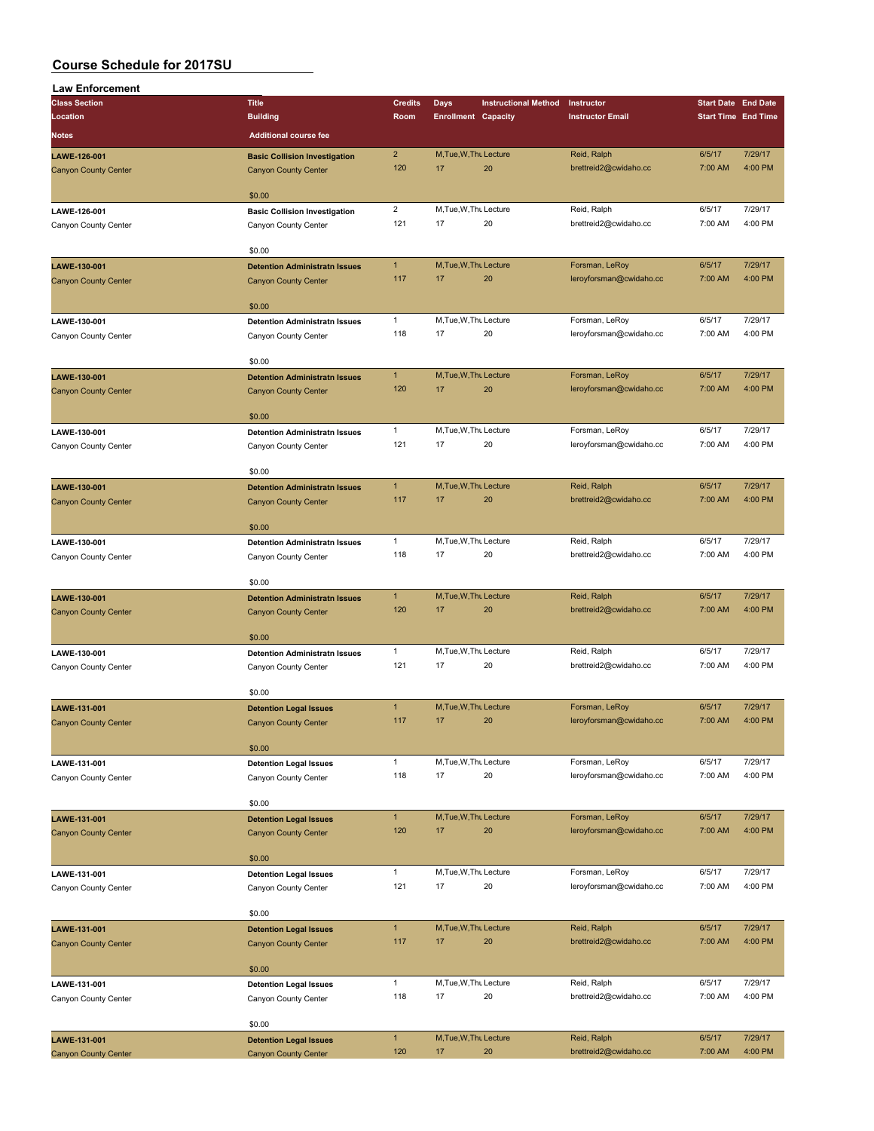| <b>Law Enforcement</b>      |                                                                     |                     |                              |                             |                         |                            |                            |
|-----------------------------|---------------------------------------------------------------------|---------------------|------------------------------|-----------------------------|-------------------------|----------------------------|----------------------------|
| <b>Class Section</b>        | <b>Title</b>                                                        | <b>Credits</b>      | <b>Days</b>                  | <b>Instructional Method</b> | Instructor              | <b>Start Date End Date</b> |                            |
| Location                    | <b>Building</b>                                                     | Room                | <b>Enrollment Capacity</b>   |                             | <b>Instructor Email</b> |                            | <b>Start Time End Time</b> |
| Notes                       | <b>Additional course fee</b>                                        |                     |                              |                             |                         |                            |                            |
| LAWE-126-001                |                                                                     | $\overline{2}$      | M, Tue, W, Thu Lecture       |                             | Reid, Ralph             | 6/5/17                     | 7/29/17                    |
| <b>Canyon County Center</b> | <b>Basic Collision Investigation</b><br><b>Canyon County Center</b> | 120                 | 17                           | 20                          | brettreid2@cwidaho.cc   | 7:00 AM                    | 4:00 PM                    |
|                             |                                                                     |                     |                              |                             |                         |                            |                            |
|                             | \$0.00                                                              |                     |                              |                             |                         |                            |                            |
| LAWE-126-001                | <b>Basic Collision Investigation</b>                                | $\overline{2}$      | M, Tue, W, Thu Lecture       |                             | Reid, Ralph             | 6/5/17                     | 7/29/17                    |
| Canyon County Center        | Canyon County Center                                                | 121                 | 17                           | 20                          | brettreid2@cwidaho.cc   | 7:00 AM                    | 4:00 PM                    |
|                             |                                                                     |                     |                              |                             |                         |                            |                            |
|                             | \$0.00                                                              |                     |                              |                             |                         |                            |                            |
| LAWE-130-001                | <b>Detention Administratn Issues</b>                                | $\mathbf{1}$        | M, Tue, W, Thu Lecture       |                             | Forsman, LeRoy          | 6/5/17                     | 7/29/17                    |
| <b>Canyon County Center</b> | <b>Canyon County Center</b>                                         | 117                 | 17                           | 20                          | leroyforsman@cwidaho.cc | 7:00 AM                    | 4:00 PM                    |
|                             |                                                                     |                     |                              |                             |                         |                            |                            |
|                             | \$0.00                                                              |                     |                              |                             |                         |                            |                            |
| LAWE-130-001                | <b>Detention Administratn Issues</b>                                | $\mathbf{1}$        | M, Tue, W, Thu Lecture       |                             | Forsman, LeRoy          | 6/5/17                     | 7/29/17                    |
| Canyon County Center        | Canyon County Center                                                | 118                 | 17                           | 20                          | leroyforsman@cwidaho.cc | 7:00 AM                    | 4:00 PM                    |
|                             |                                                                     |                     |                              |                             |                         |                            |                            |
|                             | \$0.00                                                              |                     |                              |                             |                         |                            |                            |
| LAWE-130-001                | <b>Detention Administratn Issues</b>                                | $\mathbf{1}$<br>120 | M, Tue, W, Thu Lecture       |                             | Forsman, LeRoy          | 6/5/17                     | 7/29/17                    |
| <b>Canyon County Center</b> | <b>Canyon County Center</b>                                         |                     | 17                           | 20                          | leroyforsman@cwidaho.cc | 7:00 AM                    | 4:00 PM                    |
|                             | \$0.00                                                              |                     |                              |                             |                         |                            |                            |
| LAWE-130-001                | <b>Detention Administratn Issues</b>                                | $\mathbf{1}$        | M, Tue, W, Thu Lecture       |                             | Forsman, LeRoy          | 6/5/17                     | 7/29/17                    |
| Canyon County Center        | Canyon County Center                                                | 121                 | 17                           | 20                          | leroyforsman@cwidaho.cc | 7:00 AM                    | 4:00 PM                    |
|                             |                                                                     |                     |                              |                             |                         |                            |                            |
|                             | \$0.00                                                              |                     |                              |                             |                         |                            |                            |
| LAWE-130-001                | <b>Detention Administratn Issues</b>                                | $\mathbf{1}$        | M, Tue, W, Thu Lecture       |                             | Reid, Ralph             | 6/5/17                     | 7/29/17                    |
| <b>Canyon County Center</b> | <b>Canyon County Center</b>                                         | 117                 | 17                           | 20                          | brettreid2@cwidaho.cc   | 7:00 AM                    | 4:00 PM                    |
|                             |                                                                     |                     |                              |                             |                         |                            |                            |
|                             | \$0.00                                                              |                     |                              |                             |                         |                            |                            |
| LAWE-130-001                | <b>Detention Administratn Issues</b>                                | $\mathbf{1}$        | M, Tue, W, Thu Lecture       |                             | Reid, Ralph             | 6/5/17                     | 7/29/17                    |
| Canyon County Center        | Canyon County Center                                                | 118                 | 17                           | 20                          | brettreid2@cwidaho.cc   | 7:00 AM                    | 4:00 PM                    |
|                             |                                                                     |                     |                              |                             |                         |                            |                            |
|                             | \$0.00                                                              |                     |                              |                             |                         |                            |                            |
| LAWE-130-001                | <b>Detention Administratn Issues</b>                                | $\mathbf{1}$        | M, Tue, W, Thu Lecture       |                             | Reid, Ralph             | 6/5/17                     | 7/29/17                    |
| <b>Canyon County Center</b> | <b>Canyon County Center</b>                                         | 120                 | 17                           | 20                          | brettreid2@cwidaho.cc   | 7:00 AM                    | 4:00 PM                    |
|                             |                                                                     |                     |                              |                             |                         |                            |                            |
|                             | \$0.00                                                              |                     |                              |                             | Reid, Ralph             |                            | 7/29/17                    |
| LAWE-130-001                | <b>Detention Administratn Issues</b>                                | $\mathbf{1}$<br>121 | M, Tue, W, Thu Lecture<br>17 | 20                          |                         | 6/5/17<br>7:00 AM          | 4:00 PM                    |
| Canyon County Center        | Canyon County Center                                                |                     |                              |                             | brettreid2@cwidaho.cc   |                            |                            |
|                             | \$0.00                                                              |                     |                              |                             |                         |                            |                            |
| LAWE-131-001                | <b>Detention Legal Issues</b>                                       | $\mathbf{1}$        | M, Tue, W, Thu Lecture       |                             | Forsman, LeRoy          | 6/5/17                     | 7/29/17                    |
| <b>Canyon County Center</b> | <b>Canyon County Center</b>                                         | 117                 | 17                           | 20                          | leroyforsman@cwidaho.cc | 7:00 AM                    | 4:00 PM                    |
|                             |                                                                     |                     |                              |                             |                         |                            |                            |
|                             | \$0.00                                                              |                     |                              |                             |                         |                            |                            |
| LAWE-131-001                | <b>Detention Legal Issues</b>                                       | $\mathbf{1}$        | M, Tue, W, Thu Lecture       |                             | Forsman, LeRoy          | 6/5/17                     | 7/29/17                    |
| Canyon County Center        | Canyon County Center                                                | 118                 | 17                           | 20                          | leroyforsman@cwidaho.cc | 7:00 AM                    | 4:00 PM                    |
|                             |                                                                     |                     |                              |                             |                         |                            |                            |
|                             | \$0.00                                                              |                     |                              |                             |                         |                            |                            |
| LAWE-131-001                | <b>Detention Legal Issues</b>                                       | $\mathbf{1}$        | M, Tue, W, Thu Lecture       |                             | Forsman, LeRoy          | 6/5/17                     | 7/29/17                    |
| <b>Canyon County Center</b> | <b>Canyon County Center</b>                                         | 120                 | 17                           | 20                          | leroyforsman@cwidaho.cc | 7:00 AM                    | 4:00 PM                    |
|                             |                                                                     |                     |                              |                             |                         |                            |                            |
|                             | \$0.00                                                              |                     |                              |                             |                         |                            |                            |
| LAWE-131-001                | <b>Detention Legal Issues</b>                                       | $\mathbf{1}$        | M, Tue, W, Thu Lecture       |                             | Forsman, LeRoy          | 6/5/17                     | 7/29/17                    |
| Canyon County Center        | Canyon County Center                                                | 121                 | 17                           | 20                          | leroyforsman@cwidaho.cc | 7:00 AM                    | 4:00 PM                    |
|                             | \$0.00                                                              |                     |                              |                             |                         |                            |                            |
|                             |                                                                     | 1                   | M, Tue, W, Thu Lecture       |                             | Reid, Ralph             | 6/5/17                     | 7/29/17                    |
| LAWE-131-001                | <b>Detention Legal Issues</b>                                       | 117                 | 17                           | 20                          | brettreid2@cwidaho.cc   | 7:00 AM                    | 4:00 PM                    |
| <b>Canyon County Center</b> | <b>Canyon County Center</b>                                         |                     |                              |                             |                         |                            |                            |
|                             | \$0.00                                                              |                     |                              |                             |                         |                            |                            |
| LAWE-131-001                | <b>Detention Legal Issues</b>                                       | $\mathbf{1}$        | M.Tue, W.Thu Lecture         |                             | Reid, Ralph             | 6/5/17                     | 7/29/17                    |
| Canyon County Center        | Canyon County Center                                                | 118                 | 17                           | 20                          | brettreid2@cwidaho.cc   | 7:00 AM                    | 4:00 PM                    |
|                             |                                                                     |                     |                              |                             |                         |                            |                            |
|                             | \$0.00                                                              |                     |                              |                             |                         |                            |                            |
| LAWE-131-001                | <b>Detention Legal Issues</b>                                       | $\mathbf{1}$        | M, Tue, W, Thu Lecture       |                             | Reid, Ralph             | 6/5/17                     | 7/29/17                    |
| <b>Canyon County Center</b> | <b>Canyon County Center</b>                                         | 120                 | 17                           | 20                          | brettreid2@cwidaho.cc   | 7:00 AM                    | 4:00 PM                    |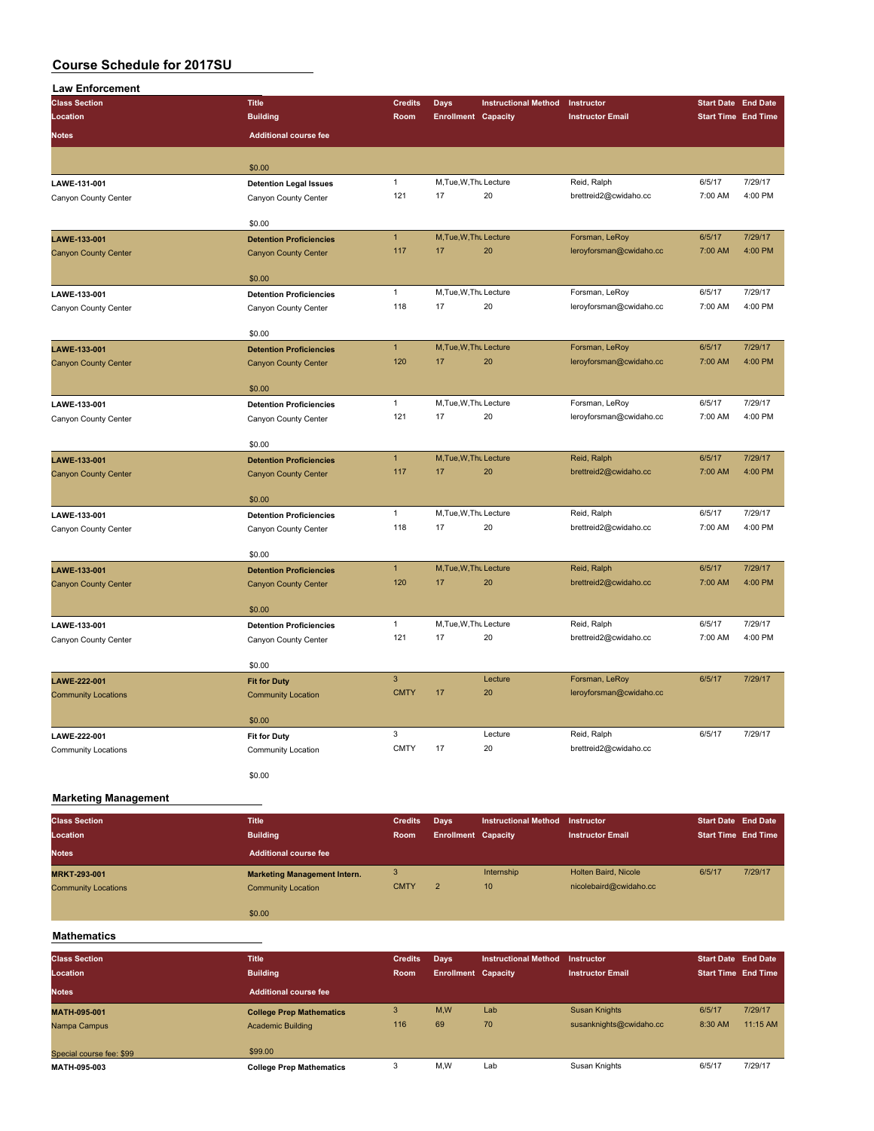| <b>Law Enforcement</b>      |                                |                |                            |                             |                         |                            |         |
|-----------------------------|--------------------------------|----------------|----------------------------|-----------------------------|-------------------------|----------------------------|---------|
| <b>Class Section</b>        | <b>Title</b>                   | <b>Credits</b> | <b>Days</b>                | <b>Instructional Method</b> | Instructor              | <b>Start Date End Date</b> |         |
| Location                    | <b>Building</b>                | Room           | <b>Enrollment Capacity</b> |                             | <b>Instructor Email</b> | <b>Start Time End Time</b> |         |
| <b>Notes</b>                | <b>Additional course fee</b>   |                |                            |                             |                         |                            |         |
|                             | \$0.00                         |                |                            |                             |                         |                            |         |
| LAWE-131-001                | <b>Detention Legal Issues</b>  | $\mathbf{1}$   | M, Tue, W, Thu Lecture     |                             | Reid, Ralph             | 6/5/17                     | 7/29/17 |
| Canyon County Center        | Canyon County Center           | 121            | 17                         | 20                          | brettreid2@cwidaho.cc   | 7:00 AM                    | 4:00 PM |
|                             | \$0.00                         |                |                            |                             |                         |                            |         |
| LAWE-133-001                | <b>Detention Proficiencies</b> | $\mathbf{1}$   | M, Tue, W, Thu Lecture     |                             | Forsman, LeRoy          | 6/5/17                     | 7/29/17 |
| <b>Canyon County Center</b> | <b>Canyon County Center</b>    | 117            | 17                         | 20                          | leroyforsman@cwidaho.cc | 7:00 AM                    | 4:00 PM |
|                             | \$0.00                         |                |                            |                             |                         |                            |         |
| LAWE-133-001                | <b>Detention Proficiencies</b> | $\mathbf{1}$   | M, Tue, W, Thu Lecture     |                             | Forsman, LeRoy          | 6/5/17                     | 7/29/17 |
| Canyon County Center        | Canyon County Center           | 118            | 17                         | 20                          | leroyforsman@cwidaho.cc | 7:00 AM                    | 4:00 PM |
|                             | \$0.00                         |                |                            |                             |                         |                            |         |
| LAWE-133-001                | <b>Detention Proficiencies</b> | $\mathbf{1}$   | M, Tue, W, Thu Lecture     |                             | Forsman, LeRoy          | 6/5/17                     | 7/29/17 |
| <b>Canyon County Center</b> | <b>Canyon County Center</b>    | 120            | 17                         | 20                          | leroyforsman@cwidaho.cc | 7:00 AM                    | 4:00 PM |
|                             | \$0.00                         |                |                            |                             |                         |                            |         |
| LAWE-133-001                | <b>Detention Proficiencies</b> | $\mathbf{1}$   | M, Tue, W, Thu Lecture     |                             | Forsman, LeRoy          | 6/5/17                     | 7/29/17 |
| Canyon County Center        | Canyon County Center           | 121            | 17                         | 20                          | leroyforsman@cwidaho.cc | 7:00 AM                    | 4:00 PM |
|                             | \$0.00                         |                |                            |                             |                         |                            |         |
| LAWE-133-001                | <b>Detention Proficiencies</b> | $\mathbf{1}$   | M, Tue, W, Thu Lecture     |                             | Reid, Ralph             | 6/5/17                     | 7/29/17 |
| <b>Canyon County Center</b> | <b>Canyon County Center</b>    | 117            | 17                         | 20                          | brettreid2@cwidaho.cc   | 7:00 AM                    | 4:00 PM |
|                             | \$0.00                         |                |                            |                             |                         |                            |         |
| LAWE-133-001                | <b>Detention Proficiencies</b> | $\mathbf{1}$   | M, Tue, W, Thu Lecture     |                             | Reid, Ralph             | 6/5/17                     | 7/29/17 |
| Canyon County Center        | Canyon County Center           | 118            | 17                         | 20                          | brettreid2@cwidaho.cc   | 7:00 AM                    | 4:00 PM |
|                             | \$0.00                         |                |                            |                             |                         |                            |         |
| LAWE-133-001                | <b>Detention Proficiencies</b> | $\mathbf{1}$   | M, Tue, W, Thu Lecture     |                             | Reid, Ralph             | 6/5/17                     | 7/29/17 |
| <b>Canyon County Center</b> | <b>Canyon County Center</b>    | 120            | 17                         | 20                          | brettreid2@cwidaho.cc   | 7:00 AM                    | 4:00 PM |
|                             | \$0.00                         |                |                            |                             |                         |                            |         |
| LAWE-133-001                | <b>Detention Proficiencies</b> | $\mathbf{1}$   | M, Tue, W, Thu Lecture     |                             | Reid, Ralph             | 6/5/17                     | 7/29/17 |
| Canyon County Center        | Canyon County Center           | 121            | 17                         | 20                          | brettreid2@cwidaho.cc   | 7:00 AM                    | 4:00 PM |
|                             | \$0.00                         |                |                            |                             |                         |                            |         |
| LAWE-222-001                | <b>Fit for Duty</b>            | $\mathsf 3$    |                            | Lecture                     | Forsman, LeRoy          | 6/5/17                     | 7/29/17 |
| <b>Community Locations</b>  | <b>Community Location</b>      | <b>CMTY</b>    | 17                         | 20                          | leroyforsman@cwidaho.cc |                            |         |
|                             | \$0.00                         |                |                            |                             |                         |                            |         |
| LAWE-222-001                | <b>Fit for Duty</b>            | 3              |                            | Lecture                     | Reid, Ralph             | 6/5/17                     | 7/29/17 |
| <b>Community Locations</b>  | Community Location             | <b>CMTY</b>    | 17                         | 20                          | brettreid2@cwidaho.cc   |                            |         |
|                             | \$0.00                         |                |                            |                             |                         |                            |         |
| <b>Marketing Management</b> |                                |                |                            |                             |                         |                            |         |

**Class Section Title Credits Days Instructional Method Instructor Start Date End Date**

| Location                   | <b>Building</b>                     | <b>Room</b> | <b>Enrollment Capacity</b> |            | <b>Instructor Email</b> | <b>Start Time End Time</b> |         |
|----------------------------|-------------------------------------|-------------|----------------------------|------------|-------------------------|----------------------------|---------|
| <b>Notes</b>               | <b>Additional course fee</b>        |             |                            |            |                         |                            |         |
| <b>MRKT-293-001</b>        | <b>Marketing Management Intern.</b> | 3           |                            | Internship | Holten Baird, Nicole    | 6/5/17                     | 7/29/17 |
| <b>Community Locations</b> | <b>Community Location</b>           | <b>CMTY</b> |                            | 10         | nicolebaird@cwidaho.cc  |                            |         |
|                            | \$0.00                              |             |                            |            |                         |                            |         |

### **Mathematics**

| <b>Class Section</b><br>Location | <b>Title</b><br><b>Building</b> | <b>Credits</b><br>Room | Days<br><b>Enrollment Capacity</b> | <b>Instructional Method</b> | Instructor<br><b>Instructor Email</b> | <b>Start Date End Date</b><br><b>Start Time End Time</b> |          |
|----------------------------------|---------------------------------|------------------------|------------------------------------|-----------------------------|---------------------------------------|----------------------------------------------------------|----------|
| <b>Notes</b>                     | <b>Additional course fee</b>    |                        |                                    |                             |                                       |                                                          |          |
| <b>MATH-095-001</b>              | <b>College Prep Mathematics</b> | 3                      | M.W                                | Lab                         | <b>Susan Knights</b>                  | 6/5/17                                                   | 7/29/17  |
| Nampa Campus                     | <b>Academic Building</b>        | 116                    | 69                                 | 70                          | susanknights@cwidaho.cc               | 8:30 AM                                                  | 11:15 AM |
| Special course fee: \$99         | \$99.00                         |                        |                                    |                             |                                       |                                                          |          |
| MATH-095-003                     | <b>College Prep Mathematics</b> | 3                      | M,W                                | Lab                         | Susan Knights                         | 6/5/17                                                   | 7/29/17  |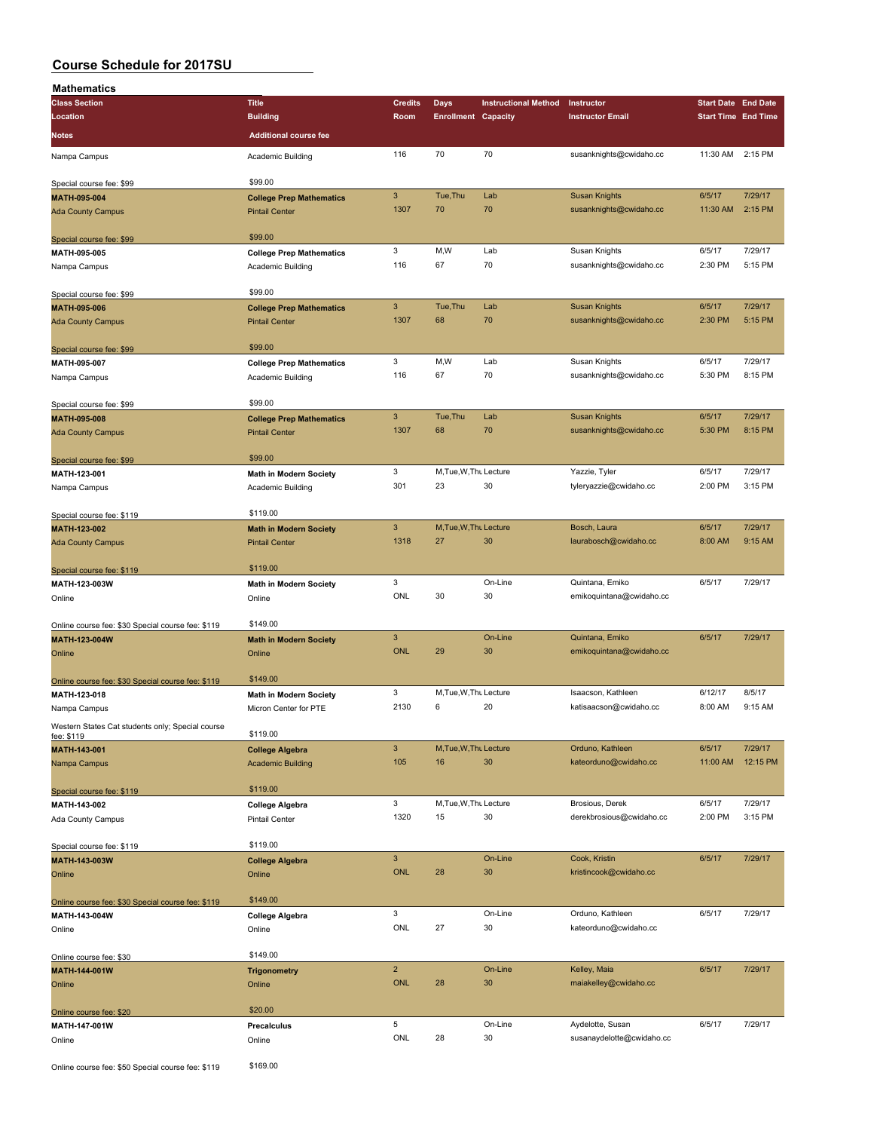| <b>Mathematics</b>                                |                                 |                |                            |                             |                           |                            |          |
|---------------------------------------------------|---------------------------------|----------------|----------------------------|-----------------------------|---------------------------|----------------------------|----------|
| <b>Class Section</b>                              | <b>Title</b>                    | <b>Credits</b> | <b>Days</b>                | <b>Instructional Method</b> | Instructor                | <b>Start Date End Date</b> |          |
| Location                                          | <b>Building</b>                 | Room           | <b>Enrollment Capacity</b> |                             | <b>Instructor Email</b>   | <b>Start Time End Time</b> |          |
|                                                   |                                 |                |                            |                             |                           |                            |          |
| <b>Notes</b>                                      | <b>Additional course fee</b>    |                |                            |                             |                           |                            |          |
| Nampa Campus                                      | Academic Building               | 116            | 70                         | 70                          | susanknights@cwidaho.cc   | 11:30 AM 2:15 PM           |          |
|                                                   |                                 |                |                            |                             |                           |                            |          |
| Special course fee: \$99                          | \$99.00                         |                |                            |                             |                           |                            |          |
|                                                   |                                 | $\mathbf{3}$   | Tue, Thu                   | Lab                         | <b>Susan Knights</b>      | 6/5/17                     | 7/29/17  |
| MATH-095-004                                      | <b>College Prep Mathematics</b> | 1307           | 70                         | 70                          | susanknights@cwidaho.cc   | 11:30 AM                   | 2:15 PM  |
| <b>Ada County Campus</b>                          | <b>Pintail Center</b>           |                |                            |                             |                           |                            |          |
|                                                   |                                 |                |                            |                             |                           |                            |          |
| Special course fee: \$99                          | \$99.00                         |                |                            |                             |                           |                            |          |
| MATH-095-005                                      | <b>College Prep Mathematics</b> | 3              | M,W                        | Lab                         | Susan Knights             | 6/5/17                     | 7/29/17  |
| Nampa Campus                                      | Academic Building               | 116            | 67                         | 70                          | susanknights@cwidaho.cc   | 2:30 PM                    | 5:15 PM  |
|                                                   |                                 |                |                            |                             |                           |                            |          |
| Special course fee: \$99                          | \$99.00                         |                |                            |                             |                           |                            |          |
| MATH-095-006                                      | <b>College Prep Mathematics</b> | $\mathbf{3}$   | Tue, Thu                   | Lab                         | <b>Susan Knights</b>      | 6/5/17                     | 7/29/17  |
|                                                   | <b>Pintail Center</b>           | 1307           | 68                         | 70                          | susanknights@cwidaho.cc   | 2:30 PM                    | 5:15 PM  |
| <b>Ada County Campus</b>                          |                                 |                |                            |                             |                           |                            |          |
|                                                   | \$99.00                         |                |                            |                             |                           |                            |          |
| Special course fee: \$99                          |                                 |                |                            |                             |                           |                            |          |
| MATH-095-007                                      | <b>College Prep Mathematics</b> | 3              | M,W                        | Lab                         | Susan Knights             | 6/5/17                     | 7/29/17  |
| Nampa Campus                                      | Academic Building               | 116            | 67                         | 70                          | susanknights@cwidaho.cc   | 5:30 PM                    | 8:15 PM  |
|                                                   |                                 |                |                            |                             |                           |                            |          |
| Special course fee: \$99                          | \$99.00                         |                |                            |                             |                           |                            |          |
| MATH-095-008                                      | <b>College Prep Mathematics</b> | $\mathsf 3$    | Tue, Thu                   | Lab                         | <b>Susan Knights</b>      | 6/5/17                     | 7/29/17  |
|                                                   | <b>Pintail Center</b>           | 1307           | 68                         | 70                          | susanknights@cwidaho.cc   | 5:30 PM                    | 8:15 PM  |
| <b>Ada County Campus</b>                          |                                 |                |                            |                             |                           |                            |          |
|                                                   |                                 |                |                            |                             |                           |                            |          |
| Special course fee: \$99                          | \$99.00                         |                |                            |                             |                           |                            |          |
| MATH-123-001                                      | <b>Math in Modern Society</b>   | 3              | M, Tue, W, Thu Lecture     |                             | Yazzie, Tyler             | 6/5/17                     | 7/29/17  |
| Nampa Campus                                      | Academic Building               | 301            | 23                         | 30                          | tyleryazzie@cwidaho.cc    | 2:00 PM                    | 3:15 PM  |
|                                                   |                                 |                |                            |                             |                           |                            |          |
| Special course fee: \$119                         | \$119.00                        |                |                            |                             |                           |                            |          |
| MATH-123-002                                      | <b>Math in Modern Society</b>   | $\mathbf{3}$   | M, Tue, W, Thu Lecture     |                             | Bosch, Laura              | 6/5/17                     | 7/29/17  |
| <b>Ada County Campus</b>                          | <b>Pintail Center</b>           | 1318           | 27                         | 30                          | laurabosch@cwidaho.cc     | 8:00 AM                    | 9:15 AM  |
|                                                   |                                 |                |                            |                             |                           |                            |          |
|                                                   | \$119.00                        |                |                            |                             |                           |                            |          |
| Special course fee: \$119                         |                                 | 3              |                            | On-Line                     | Quintana, Emiko           | 6/5/17                     | 7/29/17  |
| MATH-123-003W                                     | <b>Math in Modern Society</b>   |                |                            |                             |                           |                            |          |
| Online                                            | Online                          | ONL            | 30                         | 30                          | emikoquintana@cwidaho.cc  |                            |          |
|                                                   |                                 |                |                            |                             |                           |                            |          |
| Online course fee: \$30 Special course fee: \$119 | \$149.00                        |                |                            |                             |                           |                            |          |
| MATH-123-004W                                     | <b>Math in Modern Society</b>   | $\mathbf{3}$   |                            | On-Line                     | Quintana, Emiko           | 6/5/17                     | 7/29/17  |
| Online                                            | Online                          | <b>ONL</b>     | 29                         | 30                          | emikoquintana@cwidaho.cc  |                            |          |
|                                                   |                                 |                |                            |                             |                           |                            |          |
|                                                   | \$149.00                        |                |                            |                             |                           |                            |          |
| Online course fee: \$30 Special course fee: \$119 |                                 |                |                            |                             |                           |                            |          |
| MATH-123-018                                      | <b>Math in Modern Society</b>   | 3              | M, Tue, W, Thu Lecture     |                             | Isaacson, Kathleen        | 6/12/17                    | 8/5/17   |
| Nampa Campus                                      | Micron Center for PTE           | 2130           | 6                          | 20                          | katisaacson@cwidaho.cc    | 8:00 AM                    | 9:15 AM  |
| Western States Cat students only; Special course  |                                 |                |                            |                             |                           |                            |          |
| fee: \$119                                        | \$119.00                        |                |                            |                             |                           |                            |          |
| MATH-143-001                                      | <b>College Algebra</b>          | $\mathbf{3}$   | M, Tue, W, Thu Lecture     |                             | Orduno, Kathleen          | 6/5/17                     | 7/29/17  |
| Nampa Campus                                      | <b>Academic Building</b>        | 105            | 16                         | 30                          | kateorduno@cwidaho.cc     | 11:00 AM                   | 12:15 PM |
|                                                   |                                 |                |                            |                             |                           |                            |          |
|                                                   | \$119.00                        |                |                            |                             |                           |                            |          |
| Special course fee: \$119                         |                                 |                |                            |                             |                           |                            |          |
| MATH-143-002                                      | <b>College Algebra</b>          | 3              | M, Tue, W, Thu Lecture     |                             | Brosious, Derek           | 6/5/17                     | 7/29/17  |
| Ada County Campus                                 | Pintail Center                  | 1320           | 15                         | 30                          | derekbrosious@cwidaho.cc  | 2:00 PM                    | 3:15 PM  |
|                                                   |                                 |                |                            |                             |                           |                            |          |
| Special course fee: \$119                         | \$119.00                        |                |                            |                             |                           |                            |          |
| MATH-143-003W                                     | <b>College Algebra</b>          | $\mathbf{3}$   |                            | On-Line                     | Cook, Kristin             | 6/5/17                     | 7/29/17  |
| Online                                            | Online                          | ONL            | 28                         | 30                          | kristincook@cwidaho.cc    |                            |          |
|                                                   |                                 |                |                            |                             |                           |                            |          |
|                                                   | \$149.00                        |                |                            |                             |                           |                            |          |
| Online course fee: \$30 Special course fee: \$119 |                                 |                |                            |                             |                           |                            |          |
| MATH-143-004W                                     | <b>College Algebra</b>          | 3              |                            | On-Line                     | Orduno, Kathleen          | 6/5/17                     | 7/29/17  |
| Online                                            | Online                          | ONL            | 27                         | 30                          | kateorduno@cwidaho.cc     |                            |          |
|                                                   |                                 |                |                            |                             |                           |                            |          |
| Online course fee: \$30                           | \$149.00                        |                |                            |                             |                           |                            |          |
| MATH-144-001W                                     | <b>Trigonometry</b>             | $\overline{2}$ |                            | On-Line                     | Kelley, Maia              | 6/5/17                     | 7/29/17  |
| Online                                            | Online                          | ONL            | 28                         | 30                          | maiakelley@cwidaho.cc     |                            |          |
|                                                   |                                 |                |                            |                             |                           |                            |          |
|                                                   | \$20.00                         |                |                            |                             |                           |                            |          |
| Online course fee: \$20                           |                                 | 5              |                            | On-Line                     | Aydelotte, Susan          | 6/5/17                     | 7/29/17  |
| MATH-147-001W                                     | Precalculus                     |                |                            |                             |                           |                            |          |
| Online                                            | Online                          | ONL            | 28                         | 30                          | susanaydelotte@cwidaho.cc |                            |          |
|                                                   |                                 |                |                            |                             |                           |                            |          |

Online course fee: \$50 Special course fee: \$119 \$169.00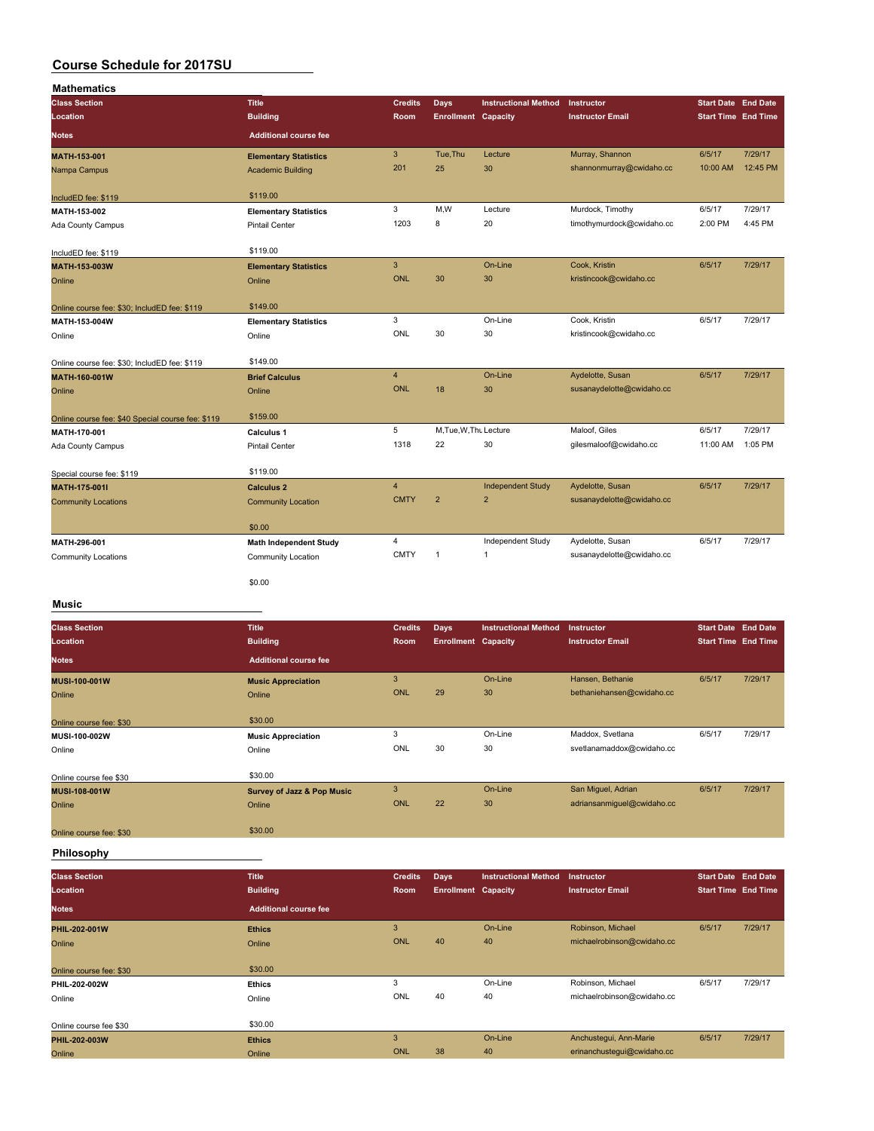| <b>Mathematics</b>                                |                               |                |                            |                             |                           |                            |          |
|---------------------------------------------------|-------------------------------|----------------|----------------------------|-----------------------------|---------------------------|----------------------------|----------|
| <b>Class Section</b>                              | <b>Title</b>                  | <b>Credits</b> | <b>Days</b>                | <b>Instructional Method</b> | Instructor                | <b>Start Date End Date</b> |          |
| Location                                          | <b>Building</b>               | Room           | <b>Enrollment Capacity</b> |                             | <b>Instructor Email</b>   | <b>Start Time</b> End Time |          |
| <b>Notes</b>                                      | <b>Additional course fee</b>  |                |                            |                             |                           |                            |          |
| MATH-153-001                                      | <b>Elementary Statistics</b>  | 3              | Tue.Thu                    | Lecture                     | Murray, Shannon           | 6/5/17                     | 7/29/17  |
| Nampa Campus                                      | <b>Academic Building</b>      | 201            | 25                         | 30                          | shannonmurray@cwidaho.cc  | 10:00 AM                   | 12:45 PM |
| IncludED fee: \$119                               | \$119.00                      |                |                            |                             |                           |                            |          |
| MATH-153-002                                      | <b>Elementary Statistics</b>  | 3              | M,W                        | Lecture                     | Murdock, Timothy          | 6/5/17                     | 7/29/17  |
| Ada County Campus                                 | Pintail Center                | 1203           | 8                          | 20                          | timothymurdock@cwidaho.cc | 2:00 PM                    | 4:45 PM  |
| IncludED fee: \$119                               | \$119.00                      |                |                            |                             |                           |                            |          |
| MATH-153-003W                                     | <b>Elementary Statistics</b>  | $\mathbf{3}$   |                            | On-Line                     | Cook, Kristin             | 6/5/17                     | 7/29/17  |
| Online                                            | Online                        | <b>ONL</b>     | 30                         | 30                          | kristincook@cwidaho.cc    |                            |          |
| Online course fee: \$30; IncludED fee: \$119      | \$149.00                      |                |                            |                             |                           |                            |          |
| MATH-153-004W                                     | <b>Elementary Statistics</b>  | 3              |                            | On-Line                     | Cook, Kristin             | 6/5/17                     | 7/29/17  |
| Online                                            | Online                        | ONL            | 30                         | 30                          | kristincook@cwidaho.cc    |                            |          |
| Online course fee: \$30; IncludED fee: \$119      | \$149.00                      |                |                            |                             |                           |                            |          |
| MATH-160-001W                                     | <b>Brief Calculus</b>         | $\overline{4}$ |                            | On-Line                     | Aydelotte, Susan          | 6/5/17                     | 7/29/17  |
| Online                                            | Online                        | <b>ONL</b>     | 18                         | 30                          | susanaydelotte@cwidaho.cc |                            |          |
| Online course fee: \$40 Special course fee: \$119 | \$159.00                      |                |                            |                             |                           |                            |          |
| MATH-170-001                                      | Calculus 1                    | 5              | M, Tue, W, Thu Lecture     |                             | Maloof, Giles             | 6/5/17                     | 7/29/17  |
| <b>Ada County Campus</b>                          | <b>Pintail Center</b>         | 1318           | 22                         | 30                          | gilesmaloof@cwidaho.cc    | 11:00 AM                   | 1:05 PM  |
| Special course fee: \$119                         | \$119.00                      |                |                            |                             |                           |                            |          |
| MATH-175-001I                                     | <b>Calculus 2</b>             | $\overline{4}$ |                            | <b>Independent Study</b>    | Aydelotte, Susan          | 6/5/17                     | 7/29/17  |
| <b>Community Locations</b>                        | <b>Community Location</b>     | <b>CMTY</b>    | $\overline{2}$             | $\overline{\mathbf{c}}$     | susanaydelotte@cwidaho.cc |                            |          |
|                                                   | \$0.00                        |                |                            |                             |                           |                            |          |
| MATH-296-001                                      | <b>Math Independent Study</b> | $\overline{4}$ |                            | Independent Study           | Aydelotte, Susan          | 6/5/17                     | 7/29/17  |
| <b>Community Locations</b>                        | <b>Community Location</b>     | <b>CMTY</b>    | $\mathbf{1}$               | $\mathbf{1}$                | susanaydelotte@cwidaho.cc |                            |          |
|                                                   | \$0.00                        |                |                            |                             |                           |                            |          |

### **Music**

| <b>Class Section</b>    | <b>Title</b>                          | <b>Credits</b> | <b>Days</b>                | <b>Instructional Method</b> | <b>Instructor</b>          | <b>Start Date End Date</b> |         |
|-------------------------|---------------------------------------|----------------|----------------------------|-----------------------------|----------------------------|----------------------------|---------|
| Location                | <b>Building</b>                       | Room           | <b>Enrollment Capacity</b> |                             | <b>Instructor Email</b>    | <b>Start Time End Time</b> |         |
| <b>Notes</b>            | <b>Additional course fee</b>          |                |                            |                             |                            |                            |         |
| <b>MUSI-100-001W</b>    | <b>Music Appreciation</b>             | 3              |                            | On-Line                     | Hansen, Bethanie           | 6/5/17                     | 7/29/17 |
| Online                  | Online                                | <b>ONL</b>     | 29                         | 30                          | bethaniehansen@cwidaho.cc  |                            |         |
|                         |                                       |                |                            |                             |                            |                            |         |
| Online course fee: \$30 | \$30.00                               |                |                            |                             |                            |                            |         |
| <b>MUSI-100-002W</b>    | <b>Music Appreciation</b>             | 3              |                            | On-Line                     | Maddox, Svetlana           | 6/5/17                     | 7/29/17 |
| Online                  | Online                                | ONL            | 30                         | 30                          | svetlanamaddox@cwidaho.cc  |                            |         |
|                         |                                       |                |                            |                             |                            |                            |         |
| Online course fee \$30  | \$30.00                               |                |                            |                             |                            |                            |         |
| <b>MUSI-108-001W</b>    | <b>Survey of Jazz &amp; Pop Music</b> | 3              |                            | On-Line                     | San Miguel, Adrian         | 6/5/17                     | 7/29/17 |
| Online                  | Online                                | ONL            | 22                         | 30                          | adriansanmiquel@cwidaho.cc |                            |         |
|                         |                                       |                |                            |                             |                            |                            |         |
| Online course fee: \$30 | \$30.00                               |                |                            |                             |                            |                            |         |
|                         |                                       |                |                            |                             |                            |                            |         |

### **Philosophy**

| <b>Class Section</b><br>Location | <b>Title</b><br><b>Building</b> | <b>Credits</b><br>Room | Days<br><b>Enrollment Capacity</b> | <b>Instructional Method</b> | Instructor<br><b>Instructor Email</b> | <b>Start Date End Date</b><br><b>Start Time End Time</b> |         |
|----------------------------------|---------------------------------|------------------------|------------------------------------|-----------------------------|---------------------------------------|----------------------------------------------------------|---------|
| <b>Notes</b>                     | <b>Additional course fee</b>    |                        |                                    |                             |                                       |                                                          |         |
| PHIL-202-001W                    | <b>Ethics</b>                   | 3                      |                                    | On-Line                     | Robinson, Michael                     | 6/5/17                                                   | 7/29/17 |
| Online                           | Online                          | ONL                    | 40                                 | 40                          | michaelrobinson@cwidaho.cc            |                                                          |         |
| Online course fee: \$30          | \$30.00                         |                        |                                    |                             |                                       |                                                          |         |
| PHIL-202-002W                    | <b>Ethics</b>                   | 3                      |                                    | On-Line                     | Robinson, Michael                     | 6/5/17                                                   | 7/29/17 |
| Online                           | Online                          | ONL                    | 40                                 | 40                          | michaelrobinson@cwidaho.cc            |                                                          |         |
| Online course fee \$30           | \$30.00                         |                        |                                    |                             |                                       |                                                          |         |
| PHIL-202-003W                    | <b>Ethics</b>                   | 3                      |                                    | On-Line                     | Anchustequi, Ann-Marie                | 6/5/17                                                   | 7/29/17 |
| Online                           | Online                          | ONL                    | 38                                 | 40                          | erinanchustegui@cwidaho.cc            |                                                          |         |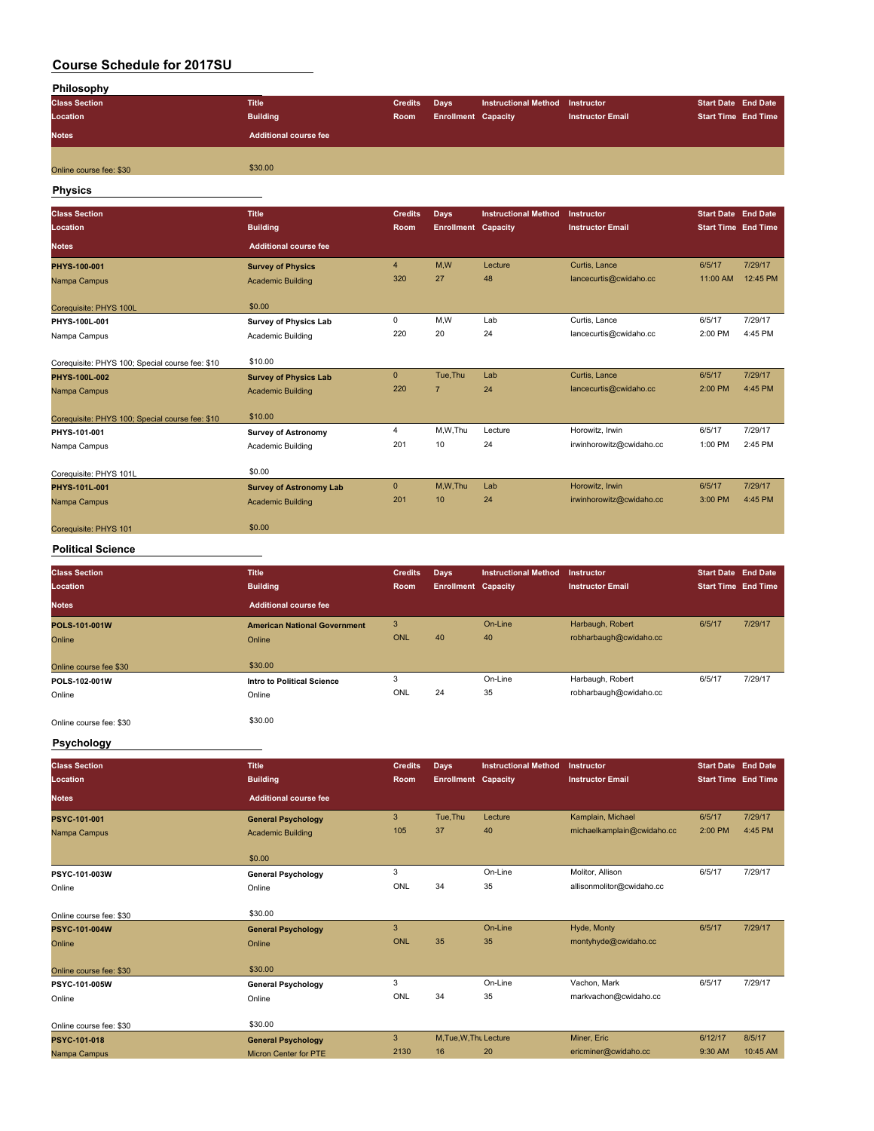| Philosophy              |                              |                |                            |                                 |                         |                            |  |
|-------------------------|------------------------------|----------------|----------------------------|---------------------------------|-------------------------|----------------------------|--|
| <b>Class Section</b>    | <b>Title</b>                 | <b>Credits</b> | Days                       | Instructional Method Instructor |                         | <b>Start Date End Date</b> |  |
| Location                | <b>Building</b>              | Room           | <b>Enrollment Capacity</b> |                                 | <b>Instructor Email</b> | <b>Start Time End Time</b> |  |
| <b>Notes</b>            | <b>Additional course fee</b> |                |                            |                                 |                         |                            |  |
|                         | \$30.00                      |                |                            |                                 |                         |                            |  |
| Online course fee: \$30 |                              |                |                            |                                 |                         |                            |  |

#### **Physics**

| <b>Class Section</b>                            | <b>Title</b>                   | <b>Credits</b> | <b>Days</b>                | <b>Instructional Method</b> | Instructor               | <b>Start Date End Date</b> |          |
|-------------------------------------------------|--------------------------------|----------------|----------------------------|-----------------------------|--------------------------|----------------------------|----------|
| Location                                        | <b>Building</b>                | Room           | <b>Enrollment</b> Capacity |                             | <b>Instructor Email</b>  | <b>Start Time End Time</b> |          |
| <b>Notes</b>                                    | <b>Additional course fee</b>   |                |                            |                             |                          |                            |          |
| PHYS-100-001                                    | <b>Survey of Physics</b>       | $\overline{4}$ | M,W                        | Lecture                     | Curtis, Lance            | 6/5/17                     | 7/29/17  |
| Nampa Campus                                    | <b>Academic Building</b>       | 320            | 27                         | 48                          | lancecurtis@cwidaho.cc   | 11:00 AM                   | 12:45 PM |
| Corequisite: PHYS 100L                          | \$0.00                         |                |                            |                             |                          |                            |          |
| PHYS-100L-001                                   | <b>Survey of Physics Lab</b>   | 0              | M.W                        | Lab                         | Curtis, Lance            | 6/5/17                     | 7/29/17  |
| Nampa Campus                                    | Academic Building              | 220            | 20                         | 24                          | lancecurtis@cwidaho.cc   | 2:00 PM                    | 4:45 PM  |
| Corequisite: PHYS 100: Special course fee: \$10 | \$10.00                        |                |                            |                             |                          |                            |          |
| PHYS-100L-002                                   | <b>Survey of Physics Lab</b>   | $\mathbf{0}$   | Tue, Thu                   | Lab                         | Curtis, Lance            | 6/5/17                     | 7/29/17  |
| Nampa Campus                                    | <b>Academic Building</b>       | 220            | $\overline{7}$             | 24                          | lancecurtis@cwidaho.cc   | 2:00 PM                    | 4:45 PM  |
| Corequisite: PHYS 100; Special course fee: \$10 | \$10.00                        |                |                            |                             |                          |                            |          |
| PHYS-101-001                                    | <b>Survey of Astronomy</b>     | 4              | M,W,Thu                    | Lecture                     | Horowitz, Irwin          | 6/5/17                     | 7/29/17  |
| Nampa Campus                                    | Academic Building              | 201            | 10                         | 24                          | irwinhorowitz@cwidaho.cc | 1:00 PM                    | 2:45 PM  |
| Corequisite: PHYS 101L                          | \$0.00                         |                |                            |                             |                          |                            |          |
| PHYS-101L-001                                   | <b>Survey of Astronomy Lab</b> | $\mathbf{0}$   | M,W,Thu                    | Lab                         | Horowitz, Irwin          | 6/5/17                     | 7/29/17  |
| Nampa Campus                                    | <b>Academic Building</b>       | 201            | 10                         | 24                          | irwinhorowitz@cwidaho.cc | 3:00 PM                    | 4:45 PM  |
| Coreguisite: PHYS 101                           | \$0.00                         |                |                            |                             |                          |                            |          |

#### **Political Science**

| <b>Class Section</b><br>Location | <b>Title</b><br><b>Building</b>     | <b>Credits</b><br>Room | Days<br><b>Enrollment Capacity</b> | <b>Instructional Method</b> | Instructor<br><b>Instructor Email</b> | <b>Start Date End Date</b><br><b>Start Time End Time</b> |         |
|----------------------------------|-------------------------------------|------------------------|------------------------------------|-----------------------------|---------------------------------------|----------------------------------------------------------|---------|
| <b>Notes</b>                     | <b>Additional course fee</b>        |                        |                                    |                             |                                       |                                                          |         |
| <b>POLS-101-001W</b>             | <b>American National Government</b> | 3                      |                                    | On-Line                     | Harbaugh, Robert                      | 6/5/17                                                   | 7/29/17 |
| Online                           | Online                              | <b>ONL</b>             | 40                                 | 40                          | robharbaugh@cwidaho.cc                |                                                          |         |
| Online course fee \$30           | \$30.00                             |                        |                                    |                             |                                       |                                                          |         |
| POLS-102-001W                    | Intro to Political Science          | 3                      |                                    | On-Line                     | Harbaugh, Robert                      | 6/5/17                                                   | 7/29/17 |
| Online                           | Online                              | ONL                    | 24                                 | 35                          | robharbaugh@cwidaho.cc                |                                                          |         |
|                                  |                                     |                        |                                    |                             |                                       |                                                          |         |

Online course fee: \$30 \$30.00

### **Psychology**

| <b>Class Section</b>    | <b>Title</b>                 | <b>Credits</b> | <b>Days</b>                | <b>Instructional Method</b> | Instructor                 | Start Date End Date        |          |
|-------------------------|------------------------------|----------------|----------------------------|-----------------------------|----------------------------|----------------------------|----------|
| Location                | <b>Building</b>              | <b>Room</b>    | <b>Enrollment Capacity</b> |                             | <b>Instructor Email</b>    | <b>Start Time End Time</b> |          |
| <b>Notes</b>            | <b>Additional course fee</b> |                |                            |                             |                            |                            |          |
| PSYC-101-001            | <b>General Psychology</b>    | 3              | Tue, Thu                   | Lecture                     | Kamplain, Michael          | 6/5/17                     | 7/29/17  |
| Nampa Campus            | <b>Academic Building</b>     | 105            | 37                         | 40                          | michaelkamplain@cwidaho.cc | 2:00 PM                    | 4:45 PM  |
|                         | \$0.00                       |                |                            |                             |                            |                            |          |
| PSYC-101-003W           | <b>General Psychology</b>    | 3              |                            | On-Line                     | Molitor, Allison           | 6/5/17                     | 7/29/17  |
| Online                  | Online                       | ONL            | 34                         | 35                          | allisonmolitor@cwidaho.cc  |                            |          |
| Online course fee: \$30 | \$30.00                      |                |                            |                             |                            |                            |          |
| PSYC-101-004W           | <b>General Psychology</b>    | 3              |                            | On-Line                     | Hyde, Monty                | 6/5/17                     | 7/29/17  |
| Online                  | Online                       | ONL            | 35                         | 35                          | montyhyde@cwidaho.cc       |                            |          |
| Online course fee: \$30 | \$30.00                      |                |                            |                             |                            |                            |          |
| PSYC-101-005W           | <b>General Psychology</b>    | 3              |                            | On-Line                     | Vachon, Mark               | 6/5/17                     | 7/29/17  |
| Online                  | Online                       | ONL            | 34                         | 35                          | markvachon@cwidaho.cc      |                            |          |
| Online course fee: \$30 | \$30.00                      |                |                            |                             |                            |                            |          |
| PSYC-101-018            | <b>General Psychology</b>    | 3              | M, Tue, W, Thu Lecture     |                             | Miner, Eric                | 6/12/17                    | 8/5/17   |
| Nampa Campus            | <b>Micron Center for PTE</b> | 2130           | 16                         | 20                          | ericminer@cwidaho.cc       | 9:30 AM                    | 10:45 AM |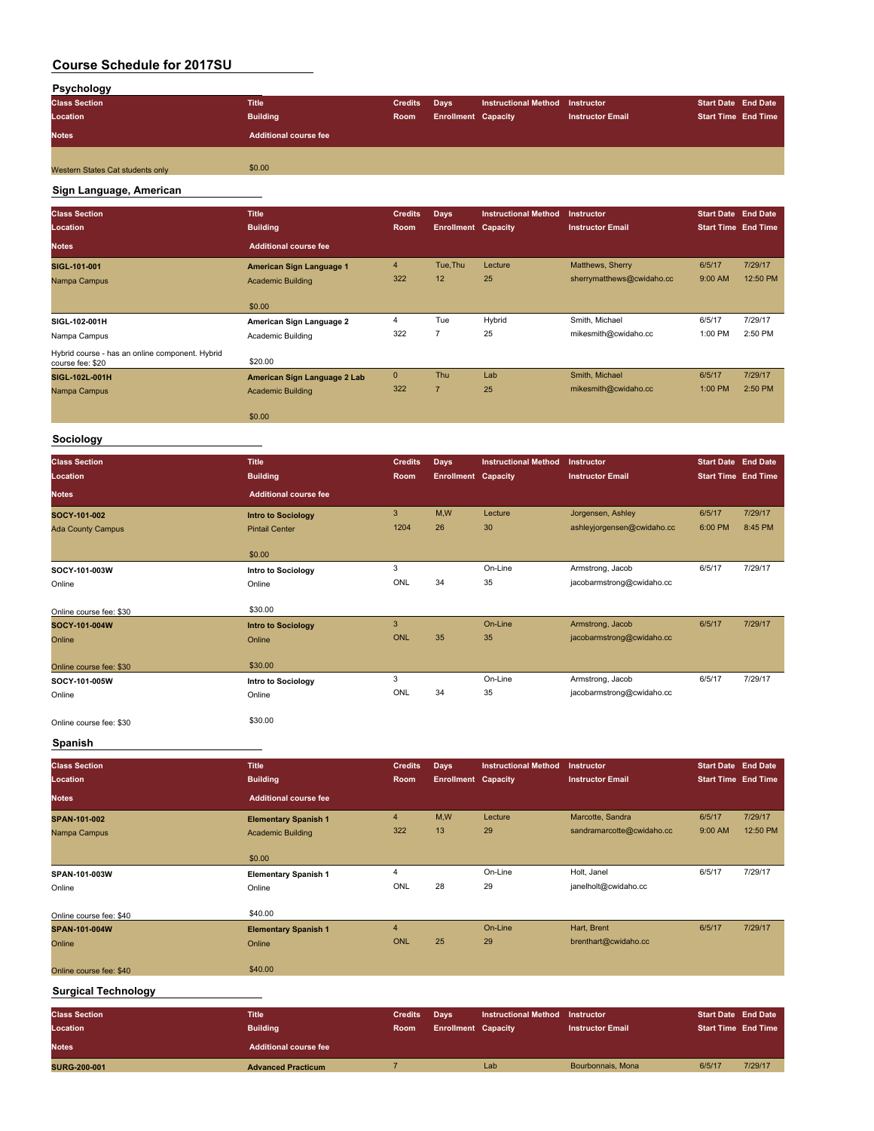| Psychology                       |                              |                |                            |                                 |                         |                            |  |
|----------------------------------|------------------------------|----------------|----------------------------|---------------------------------|-------------------------|----------------------------|--|
| <b>Class Section</b>             | <b>Title</b>                 | <b>Credits</b> | Days                       | Instructional Method Instructor |                         | <b>Start Date End Date</b> |  |
| Location                         | <b>Building</b>              | Room           | <b>Enrollment Capacity</b> |                                 | <b>Instructor Email</b> | <b>Start Time End Time</b> |  |
| <b>Notes</b>                     | <b>Additional course fee</b> |                |                            |                                 |                         |                            |  |
| Western States Cat students only | \$0.00                       |                |                            |                                 |                         |                            |  |
|                                  |                              |                |                            |                                 |                         |                            |  |

# **Sign Language, American**

| <b>Class Section</b>                                                | <b>Title</b>                 | <b>Credits</b> | <b>Days</b>                | <b>Instructional Method</b> | <b>Instructor</b>         | <b>Start Date End Date</b> |          |
|---------------------------------------------------------------------|------------------------------|----------------|----------------------------|-----------------------------|---------------------------|----------------------------|----------|
| <b>Location</b>                                                     | <b>Building</b>              | Room           | <b>Enrollment Capacity</b> |                             | <b>Instructor Email</b>   | <b>Start Time End Time</b> |          |
| <b>Notes</b>                                                        | <b>Additional course fee</b> |                |                            |                             |                           |                            |          |
| SIGL-101-001                                                        | American Sign Language 1     | $\overline{4}$ | Tue, Thu                   | Lecture                     | Matthews, Sherry          | 6/5/17                     | 7/29/17  |
| Nampa Campus                                                        | <b>Academic Building</b>     | 322            | 12                         | 25                          | sherrymatthews@cwidaho.cc | 9:00 AM                    | 12:50 PM |
|                                                                     | \$0.00                       |                |                            |                             |                           |                            |          |
| SIGL-102-001H                                                       | American Sign Language 2     | 4              | Tue                        | Hybrid                      | Smith, Michael            | 6/5/17                     | 7/29/17  |
| Nampa Campus                                                        | Academic Building            | 322            | 7                          | 25                          | mikesmith@cwidaho.cc      | 1:00 PM                    | 2:50 PM  |
| Hybrid course - has an online component. Hybrid<br>course fee: \$20 | \$20.00                      |                |                            |                             |                           |                            |          |
| SIGL-102L-001H                                                      | American Sign Language 2 Lab | $\mathbf{0}$   | Thu                        | Lab                         | Smith, Michael            | 6/5/17                     | 7/29/17  |
| Nampa Campus                                                        | <b>Academic Building</b>     | 322            | 7                          | 25                          | mikesmith@cwidaho.cc      | 1:00 PM                    | 2:50 PM  |
|                                                                     | \$0.00                       |                |                            |                             |                           |                            |          |

### **Sociology**

| <b>Class Section</b><br>Location | <b>Title</b><br><b>Building</b> | <b>Credits</b><br>Room | <b>Days</b><br><b>Enrollment Capacity</b> | <b>Instructional Method</b> | <b>Instructor</b><br><b>Instructor Email</b> | <b>Start Date End Date</b><br><b>Start Time End Time</b> |         |
|----------------------------------|---------------------------------|------------------------|-------------------------------------------|-----------------------------|----------------------------------------------|----------------------------------------------------------|---------|
| <b>Notes</b>                     | <b>Additional course fee</b>    |                        |                                           |                             |                                              |                                                          |         |
| SOCY-101-002                     | <b>Intro to Sociology</b>       | 3                      | M,W                                       | Lecture                     | Jorgensen, Ashley                            | 6/5/17                                                   | 7/29/17 |
| <b>Ada County Campus</b>         | <b>Pintail Center</b>           | 1204                   | 26                                        | 30                          | ashleyjorgensen@cwidaho.cc                   | 6:00 PM                                                  | 8:45 PM |
|                                  | \$0.00                          |                        |                                           |                             |                                              |                                                          |         |
| SOCY-101-003W                    | Intro to Sociology              | 3                      |                                           | On-Line                     | Armstrong, Jacob                             | 6/5/17                                                   | 7/29/17 |
| Online                           | Online                          | ONL                    | 34                                        | 35                          | jacobarmstrong@cwidaho.cc                    |                                                          |         |
| Online course fee: \$30          | \$30.00                         |                        |                                           |                             |                                              |                                                          |         |
| SOCY-101-004W                    | <b>Intro to Sociology</b>       | 3                      |                                           | On-Line                     | Armstrong, Jacob                             | 6/5/17                                                   | 7/29/17 |
| Online                           | Online                          | <b>ONL</b>             | 35                                        | 35                          | jacobarmstrong@cwidaho.cc                    |                                                          |         |
| Online course fee: \$30          | \$30.00                         |                        |                                           |                             |                                              |                                                          |         |
| SOCY-101-005W                    | Intro to Sociology              | 3                      |                                           | On-Line                     | Armstrong, Jacob                             | 6/5/17                                                   | 7/29/17 |
| Online                           | Online                          | ONL                    | 34                                        | 35                          | jacobarmstrong@cwidaho.cc                    |                                                          |         |
| Online course fee: \$30          | \$30.00                         |                        |                                           |                             |                                              |                                                          |         |

### **Spanish**

| <b>Class Section</b>       | <b>Title</b>                 | <b>Credits</b> | <b>Days</b>                | <b>Instructional Method</b> | Instructor                | <b>Start Date</b> End Date |          |
|----------------------------|------------------------------|----------------|----------------------------|-----------------------------|---------------------------|----------------------------|----------|
| Location                   | <b>Building</b>              | Room           | <b>Enrollment Capacity</b> |                             | <b>Instructor Email</b>   | <b>Start Time End Time</b> |          |
| <b>Notes</b>               | <b>Additional course fee</b> |                |                            |                             |                           |                            |          |
| SPAN-101-002               | <b>Elementary Spanish 1</b>  | $\overline{4}$ | M,W                        | Lecture                     | Marcotte, Sandra          | 6/5/17                     | 7/29/17  |
| Nampa Campus               | <b>Academic Building</b>     | 322            | 13                         | 29                          | sandramarcotte@cwidaho.cc | 9:00 AM                    | 12:50 PM |
|                            | \$0.00                       |                |                            |                             |                           |                            |          |
| SPAN-101-003W              | <b>Elementary Spanish 1</b>  | 4              |                            | On-Line                     | Holt, Janel               | 6/5/17                     | 7/29/17  |
| Online                     | Online                       | ONL            | 28                         | 29                          | janelholt@cwidaho.cc      |                            |          |
| Online course fee: \$40    | \$40.00                      |                |                            |                             |                           |                            |          |
| SPAN-101-004W              | <b>Elementary Spanish 1</b>  | $\overline{4}$ |                            | On-Line                     | Hart, Brent               | 6/5/17                     | 7/29/17  |
| Online                     | Online                       | <b>ONL</b>     | 25                         | 29                          | brenthart@cwidaho.cc      |                            |          |
| Online course fee: \$40    | \$40.00                      |                |                            |                             |                           |                            |          |
| <b>Surgical Technology</b> |                              |                |                            |                             |                           |                            |          |
| <b>Class Section</b>       | <b>Title</b>                 | <b>Credits</b> | <b>Days</b>                | <b>Instructional Method</b> | Instructor                | <b>Start Date End Date</b> |          |
| <b>Location</b>            | <b>Building</b>              | Room           | <b>Enrollment Capacity</b> |                             | <b>Instructor Email</b>   | <b>Start Time End Time</b> |          |
| <b>Notes</b>               | <b>Additional course fee</b> |                |                            |                             |                           |                            |          |
| <b>SURG-200-001</b>        | <b>Advanced Practicum</b>    | $\overline{7}$ |                            | Lab                         | Bourbonnais, Mona         | 6/5/17                     | 7/29/17  |